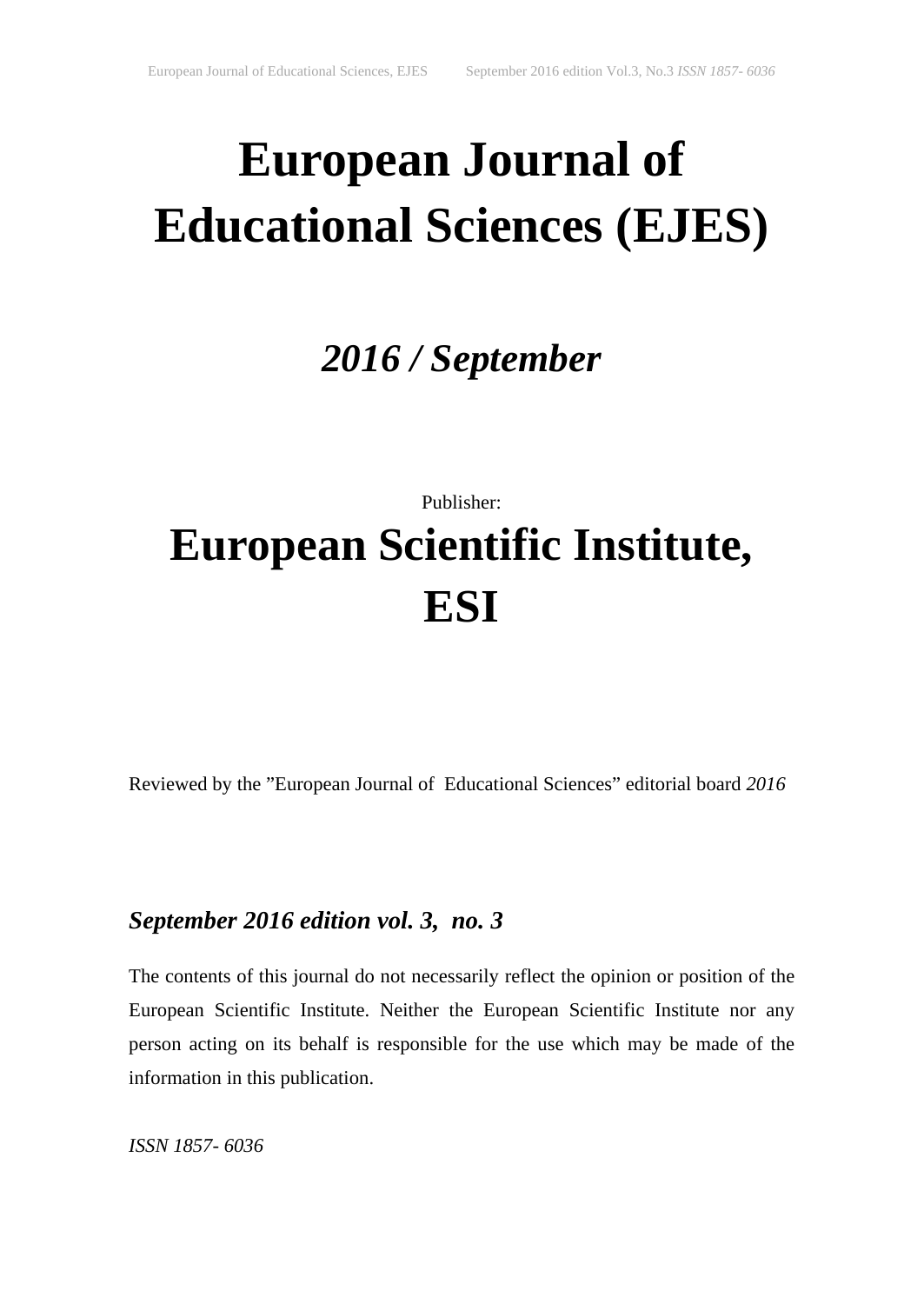# **European Journal of Educational Sciences (EJES)**

## *2016 / September*

## Publisher: **European Scientific Institute, ESI**

Reviewed by the "European Journal of Educational Sciences" editorial board *2016*

### *September 2016 edition vol. 3, no. 3*

The contents of this journal do not necessarily reflect the opinion or position of the European Scientific Institute. Neither the European Scientific Institute nor any person acting on its behalf is responsible for the use which may be made of the information in this publication.

*ISSN 1857- 6036*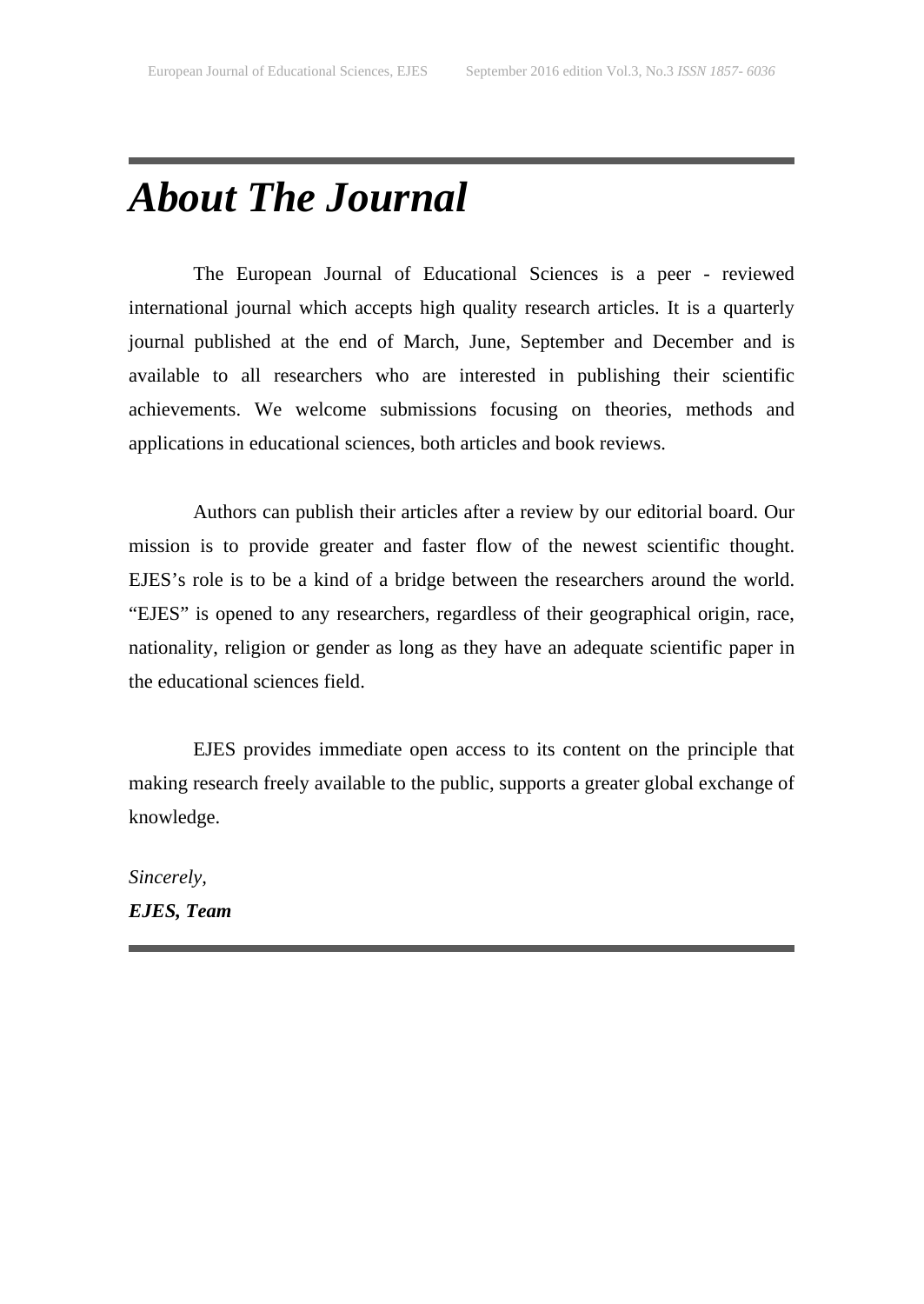## *About The Journal*

The European Journal of Educational Sciences is a peer - reviewed international journal which accepts high quality research articles. It is a quarterly journal published at the end of March, June, September and December and is available to all researchers who are interested in publishing their scientific achievements. We welcome submissions focusing on theories, methods and applications in educational sciences, both articles and book reviews.

Authors can publish their articles after a review by our editorial board. Our mission is to provide greater and faster flow of the newest scientific thought. EJES's role is to be a kind of a bridge between the researchers around the world. "EJES" is opened to any researchers, regardless of their geographical origin, race, nationality, religion or gender as long as they have an adequate scientific paper in the educational sciences field.

EJES provides immediate open access to its content on the principle that making research freely available to the public, supports a greater global exchange of knowledge.

*Sincerely, EJES, Team*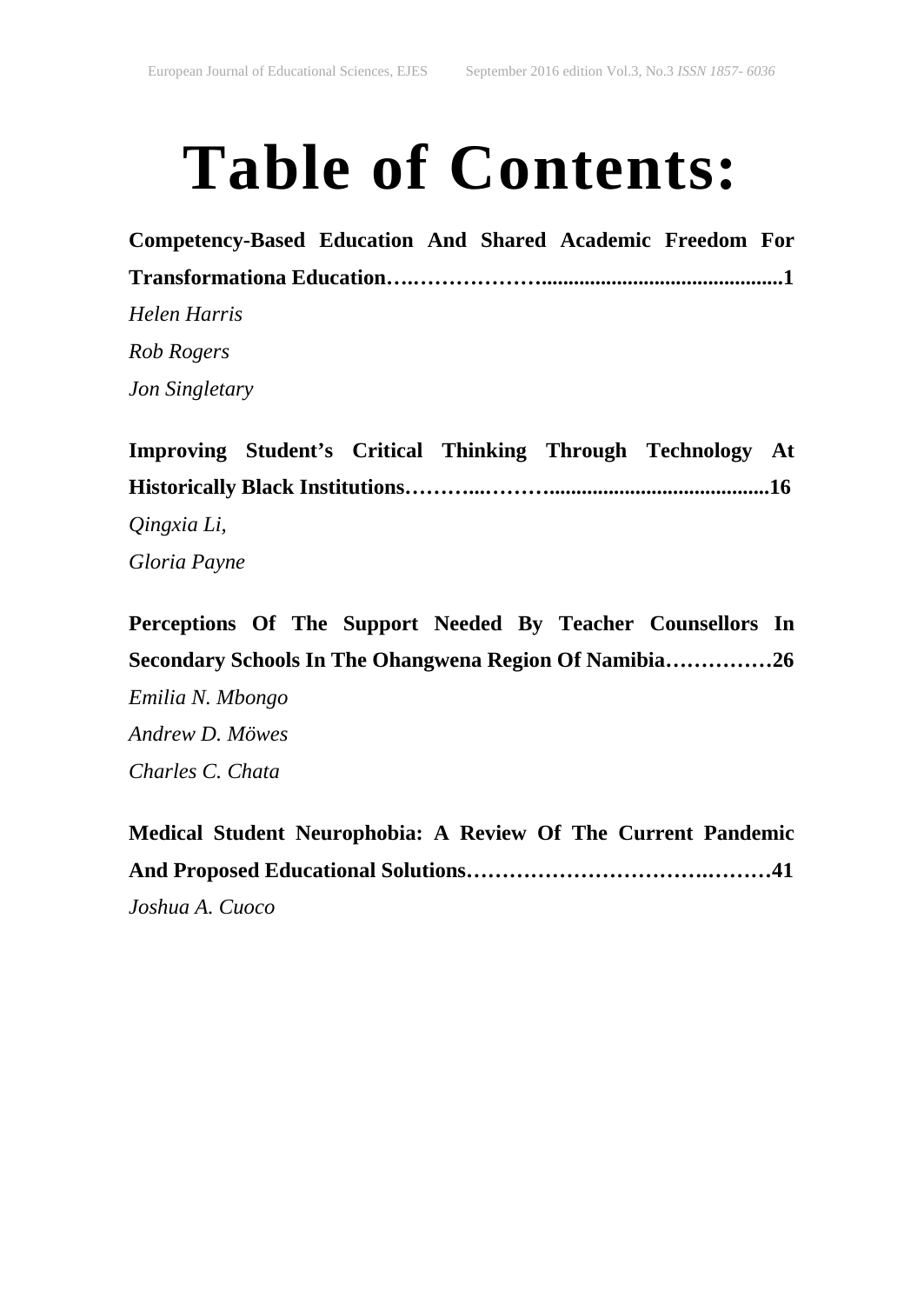# **Table of Contents:**

**Competency-Based Education And Shared Academic Freedom For Transformationa Education….……………….............................................1** *Helen Harris Rob Rogers Jon Singletary*

**Improving Student's Critical Thinking Through Technology At Historically Black Institutions………...……….........................................16** *Qingxia Li, Gloria Payne*

**Perceptions Of The Support Needed By Teacher Counsellors In Secondary Schools In The Ohangwena Region Of Namibia……………26** *Emilia N. Mbongo Andrew D. Möwes Charles C. Chata*

**Medical Student Neurophobia: A Review Of The Current Pandemic And Proposed Educational Solutions…………………………….………41** *Joshua A. Cuoco*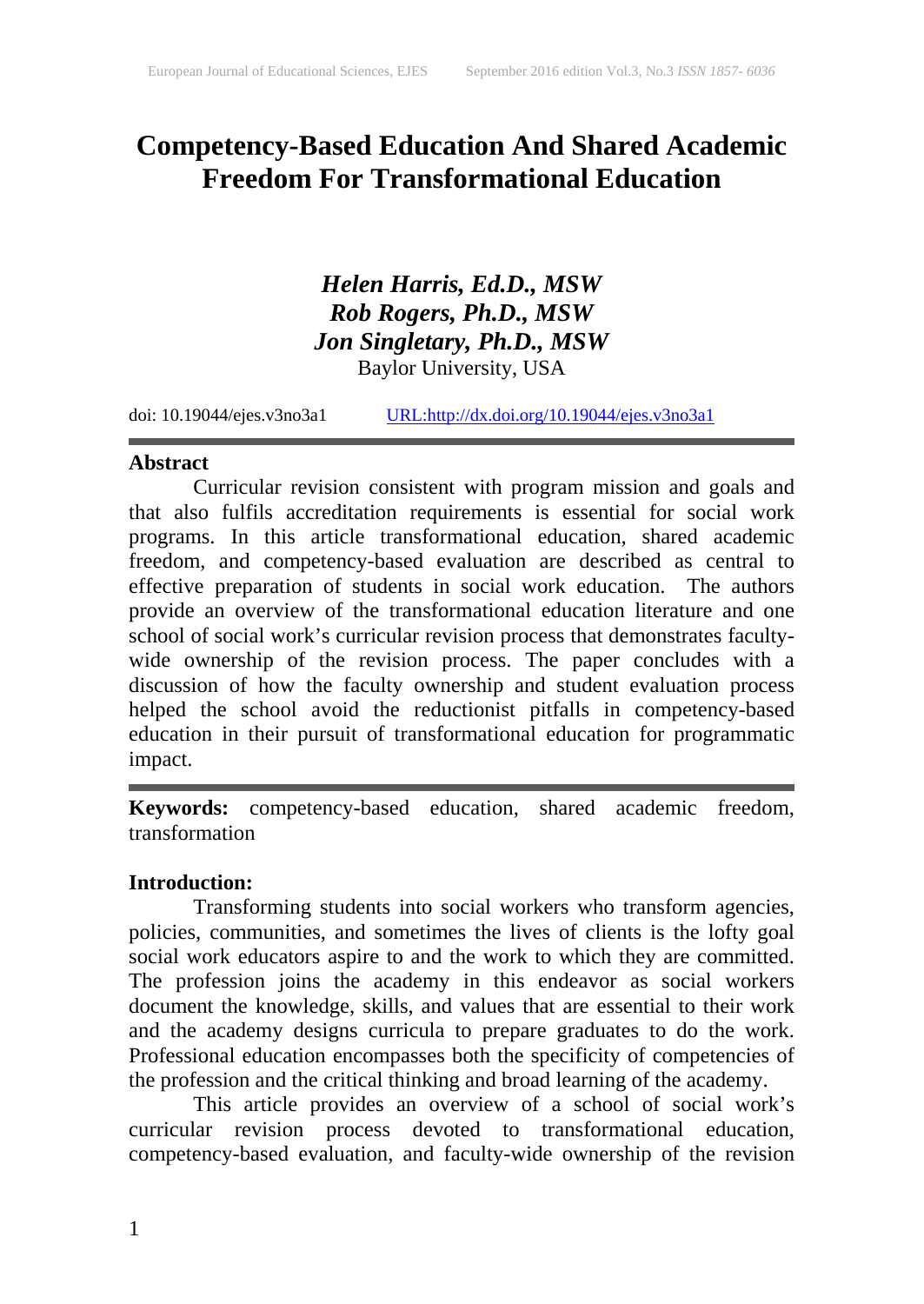### **Competency-Based Education And Shared Academic Freedom For Transformational Education**

### *Helen Harris, Ed.D., MSW Rob Rogers, Ph.D., MSW Jon Singletary, Ph.D., MSW* Baylor University, USA

doi: 10.19044/ejes.v3no3a1 [URL:http://dx.doi.org/10.19044/ejes.v3no3a1](http://dx.doi.org/10.19044/ejes.v3no3a1)

### **Abstract**

Curricular revision consistent with program mission and goals and that also fulfils accreditation requirements is essential for social work programs. In this article transformational education, shared academic freedom, and competency-based evaluation are described as central to effective preparation of students in social work education. The authors provide an overview of the transformational education literature and one school of social work's curricular revision process that demonstrates facultywide ownership of the revision process. The paper concludes with a discussion of how the faculty ownership and student evaluation process helped the school avoid the reductionist pitfalls in competency-based education in their pursuit of transformational education for programmatic impact.

**Keywords:** competency-based education, shared academic freedom, transformation

### **Introduction:**

Transforming students into social workers who transform agencies, policies, communities, and sometimes the lives of clients is the lofty goal social work educators aspire to and the work to which they are committed. The profession joins the academy in this endeavor as social workers document the knowledge, skills, and values that are essential to their work and the academy designs curricula to prepare graduates to do the work. Professional education encompasses both the specificity of competencies of the profession and the critical thinking and broad learning of the academy.

This article provides an overview of a school of social work's curricular revision process devoted to transformational education, competency-based evaluation, and faculty-wide ownership of the revision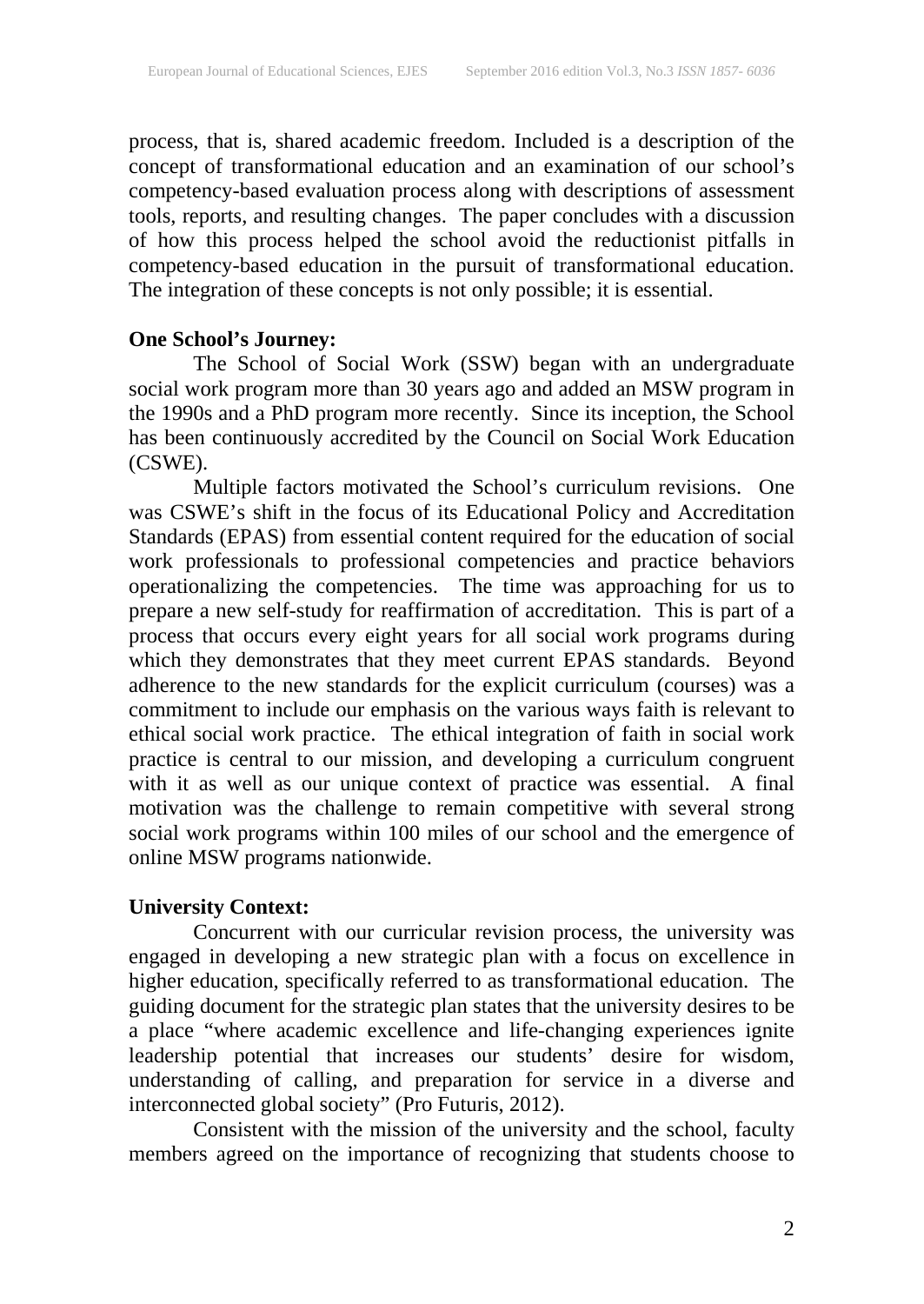process, that is, shared academic freedom. Included is a description of the concept of transformational education and an examination of our school's competency-based evaluation process along with descriptions of assessment tools, reports, and resulting changes. The paper concludes with a discussion of how this process helped the school avoid the reductionist pitfalls in competency-based education in the pursuit of transformational education. The integration of these concepts is not only possible; it is essential.

### **One School's Journey:**

The School of Social Work (SSW) began with an undergraduate social work program more than 30 years ago and added an MSW program in the 1990s and a PhD program more recently. Since its inception, the School has been continuously accredited by the Council on Social Work Education (CSWE).

Multiple factors motivated the School's curriculum revisions. One was CSWE's shift in the focus of its Educational Policy and Accreditation Standards (EPAS) from essential content required for the education of social work professionals to professional competencies and practice behaviors operationalizing the competencies. The time was approaching for us to prepare a new self-study for reaffirmation of accreditation. This is part of a process that occurs every eight years for all social work programs during which they demonstrates that they meet current EPAS standards. Beyond adherence to the new standards for the explicit curriculum (courses) was a commitment to include our emphasis on the various ways faith is relevant to ethical social work practice. The ethical integration of faith in social work practice is central to our mission, and developing a curriculum congruent with it as well as our unique context of practice was essential. A final motivation was the challenge to remain competitive with several strong social work programs within 100 miles of our school and the emergence of online MSW programs nationwide.

### **University Context:**

Concurrent with our curricular revision process, the university was engaged in developing a new strategic plan with a focus on excellence in higher education, specifically referred to as transformational education. The guiding document for the strategic plan states that the university desires to be a place "where academic excellence and life-changing experiences ignite leadership potential that increases our students' desire for wisdom, understanding of calling, and preparation for service in a diverse and interconnected global society" (Pro Futuris, 2012).

Consistent with the mission of the university and the school, faculty members agreed on the importance of recognizing that students choose to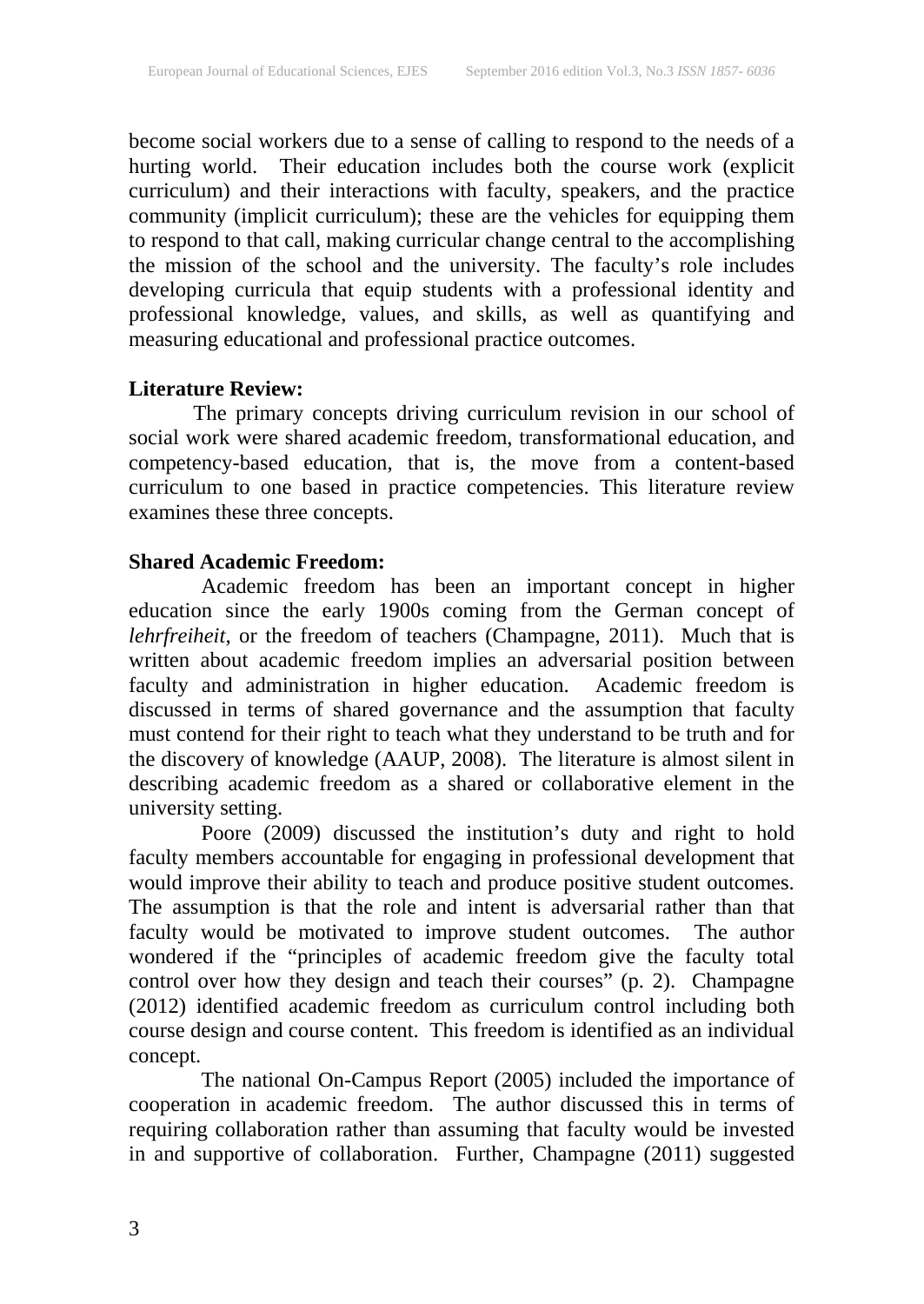become social workers due to a sense of calling to respond to the needs of a hurting world. Their education includes both the course work (explicit curriculum) and their interactions with faculty, speakers, and the practice community (implicit curriculum); these are the vehicles for equipping them to respond to that call, making curricular change central to the accomplishing the mission of the school and the university. The faculty's role includes developing curricula that equip students with a professional identity and professional knowledge, values, and skills, as well as quantifying and measuring educational and professional practice outcomes.

### **Literature Review:**

The primary concepts driving curriculum revision in our school of social work were shared academic freedom, transformational education, and competency-based education, that is, the move from a content-based curriculum to one based in practice competencies. This literature review examines these three concepts.

### **Shared Academic Freedom:**

Academic freedom has been an important concept in higher education since the early 1900s coming from the German concept of *lehrfreiheit*, or the freedom of teachers (Champagne, 2011). Much that is written about academic freedom implies an adversarial position between faculty and administration in higher education. Academic freedom is discussed in terms of shared governance and the assumption that faculty must contend for their right to teach what they understand to be truth and for the discovery of knowledge (AAUP, 2008). The literature is almost silent in describing academic freedom as a shared or collaborative element in the university setting.

Poore (2009) discussed the institution's duty and right to hold faculty members accountable for engaging in professional development that would improve their ability to teach and produce positive student outcomes. The assumption is that the role and intent is adversarial rather than that faculty would be motivated to improve student outcomes. The author wondered if the "principles of academic freedom give the faculty total control over how they design and teach their courses" (p. 2). Champagne (2012) identified academic freedom as curriculum control including both course design and course content. This freedom is identified as an individual concept.

The national On-Campus Report (2005) included the importance of cooperation in academic freedom. The author discussed this in terms of requiring collaboration rather than assuming that faculty would be invested in and supportive of collaboration. Further, Champagne (2011) suggested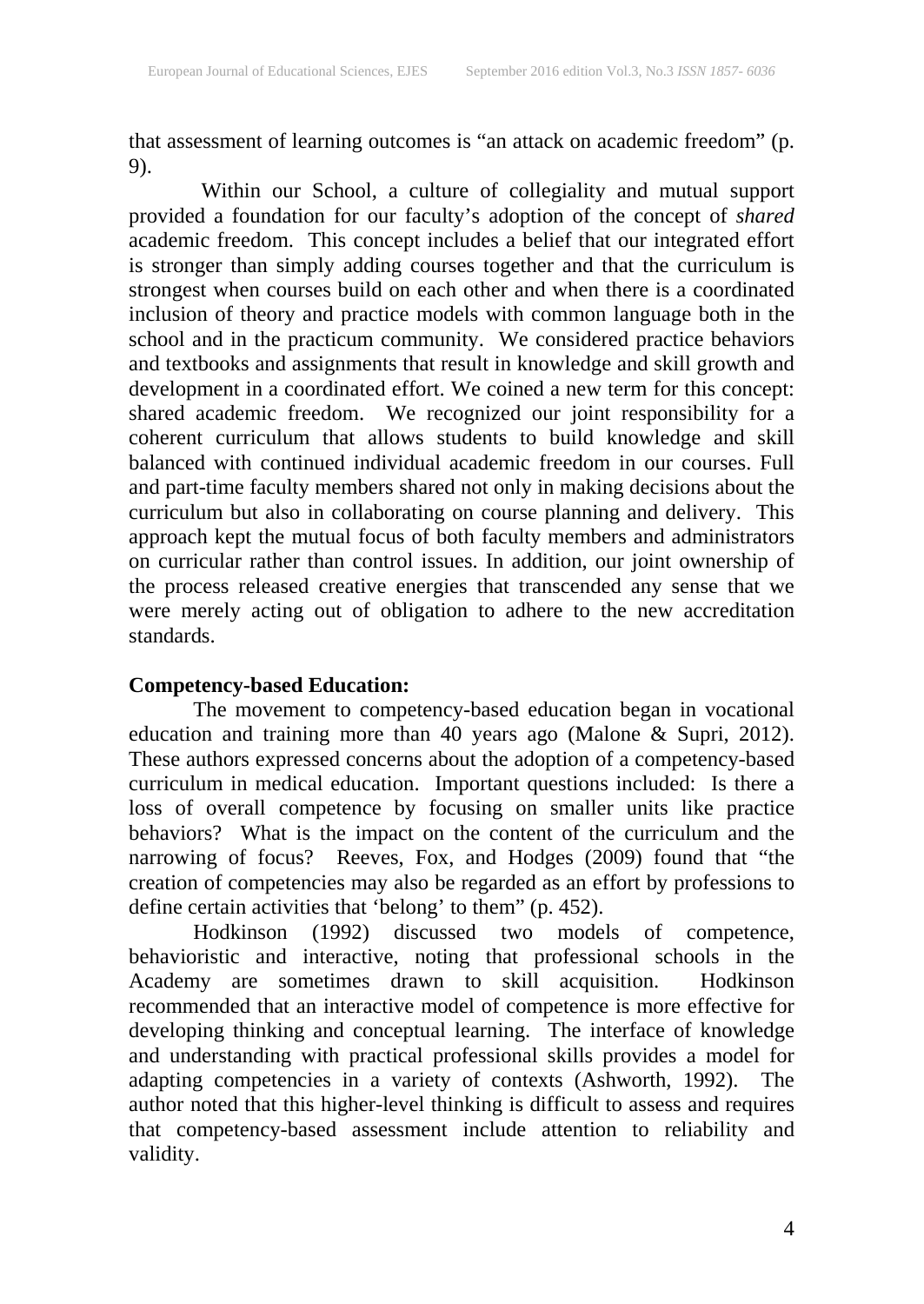that assessment of learning outcomes is "an attack on academic freedom" (p. 9).

Within our School, a culture of collegiality and mutual support provided a foundation for our faculty's adoption of the concept of *shared* academic freedom. This concept includes a belief that our integrated effort is stronger than simply adding courses together and that the curriculum is strongest when courses build on each other and when there is a coordinated inclusion of theory and practice models with common language both in the school and in the practicum community. We considered practice behaviors and textbooks and assignments that result in knowledge and skill growth and development in a coordinated effort. We coined a new term for this concept: shared academic freedom. We recognized our joint responsibility for a coherent curriculum that allows students to build knowledge and skill balanced with continued individual academic freedom in our courses. Full and part-time faculty members shared not only in making decisions about the curriculum but also in collaborating on course planning and delivery. This approach kept the mutual focus of both faculty members and administrators on curricular rather than control issues. In addition, our joint ownership of the process released creative energies that transcended any sense that we were merely acting out of obligation to adhere to the new accreditation standards.

### **Competency-based Education:**

The movement to competency-based education began in vocational education and training more than 40 years ago (Malone & Supri, 2012). These authors expressed concerns about the adoption of a competency-based curriculum in medical education. Important questions included: Is there a loss of overall competence by focusing on smaller units like practice behaviors? What is the impact on the content of the curriculum and the narrowing of focus? Reeves, Fox, and Hodges (2009) found that "the creation of competencies may also be regarded as an effort by professions to define certain activities that 'belong' to them" (p. 452).

Hodkinson (1992) discussed two models of competence, behavioristic and interactive, noting that professional schools in the Academy are sometimes drawn to skill acquisition. Hodkinson recommended that an interactive model of competence is more effective for developing thinking and conceptual learning. The interface of knowledge and understanding with practical professional skills provides a model for adapting competencies in a variety of contexts (Ashworth, 1992). The author noted that this higher-level thinking is difficult to assess and requires that competency-based assessment include attention to reliability and validity.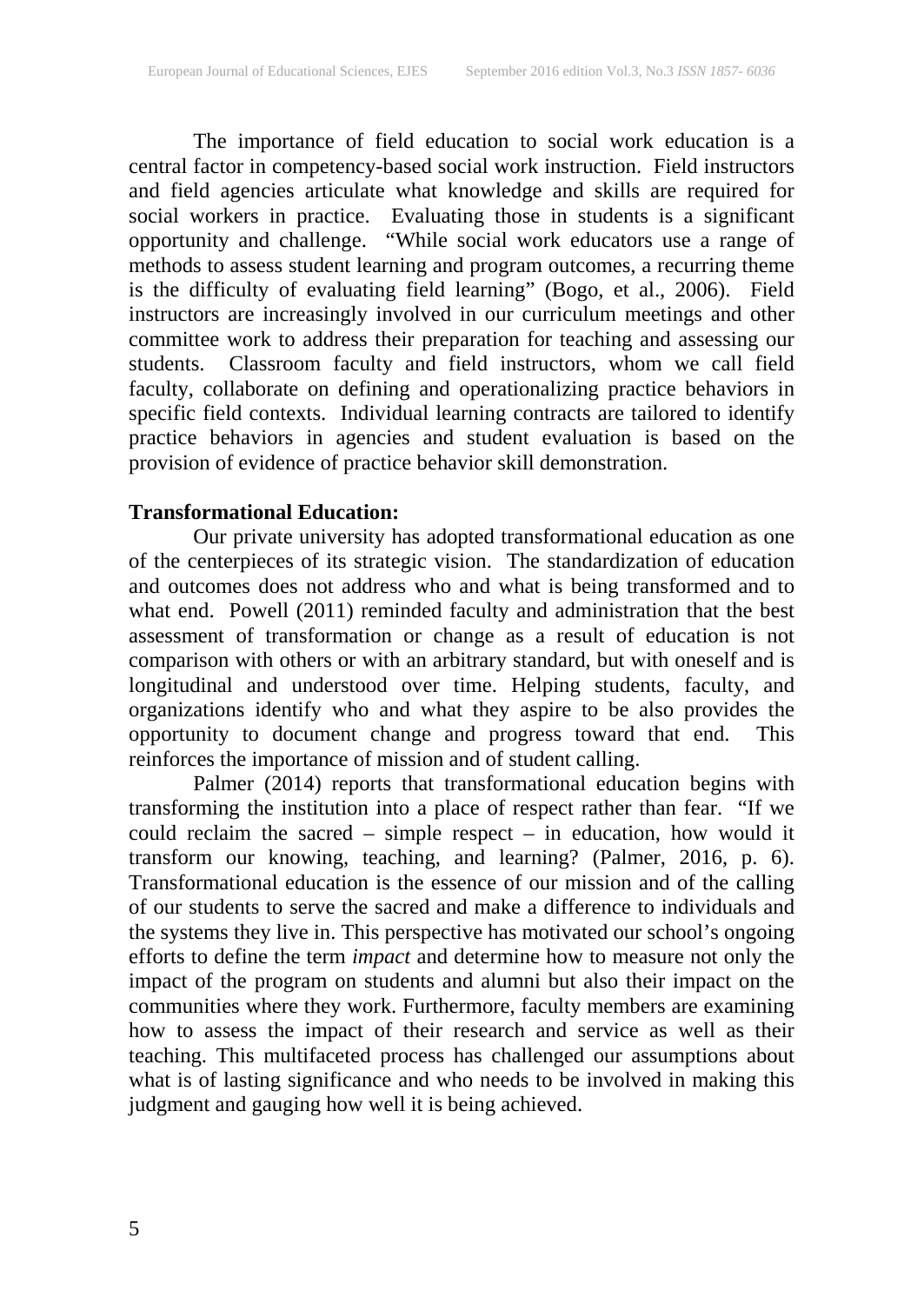The importance of field education to social work education is a central factor in competency-based social work instruction. Field instructors and field agencies articulate what knowledge and skills are required for social workers in practice. Evaluating those in students is a significant opportunity and challenge. "While social work educators use a range of methods to assess student learning and program outcomes, a recurring theme is the difficulty of evaluating field learning" (Bogo, et al., 2006). Field instructors are increasingly involved in our curriculum meetings and other committee work to address their preparation for teaching and assessing our students. Classroom faculty and field instructors, whom we call field faculty, collaborate on defining and operationalizing practice behaviors in specific field contexts. Individual learning contracts are tailored to identify practice behaviors in agencies and student evaluation is based on the provision of evidence of practice behavior skill demonstration.

### **Transformational Education:**

Our private university has adopted transformational education as one of the centerpieces of its strategic vision. The standardization of education and outcomes does not address who and what is being transformed and to what end. Powell (2011) reminded faculty and administration that the best assessment of transformation or change as a result of education is not comparison with others or with an arbitrary standard, but with oneself and is longitudinal and understood over time. Helping students, faculty, and organizations identify who and what they aspire to be also provides the opportunity to document change and progress toward that end. This representing to determine enange and progress toward

Palmer (2014) reports that transformational education begins with transforming the institution into a place of respect rather than fear. "If we could reclaim the sacred – simple respect – in education, how would it transform our knowing, teaching, and learning? (Palmer, 2016, p. 6). Transformational education is the essence of our mission and of the calling of our students to serve the sacred and make a difference to individuals and the systems they live in. This perspective has motivated our school's ongoing efforts to define the term *impact* and determine how to measure not only the impact of the program on students and alumni but also their impact on the communities where they work. Furthermore, faculty members are examining how to assess the impact of their research and service as well as their teaching. This multifaceted process has challenged our assumptions about what is of lasting significance and who needs to be involved in making this judgment and gauging how well it is being achieved.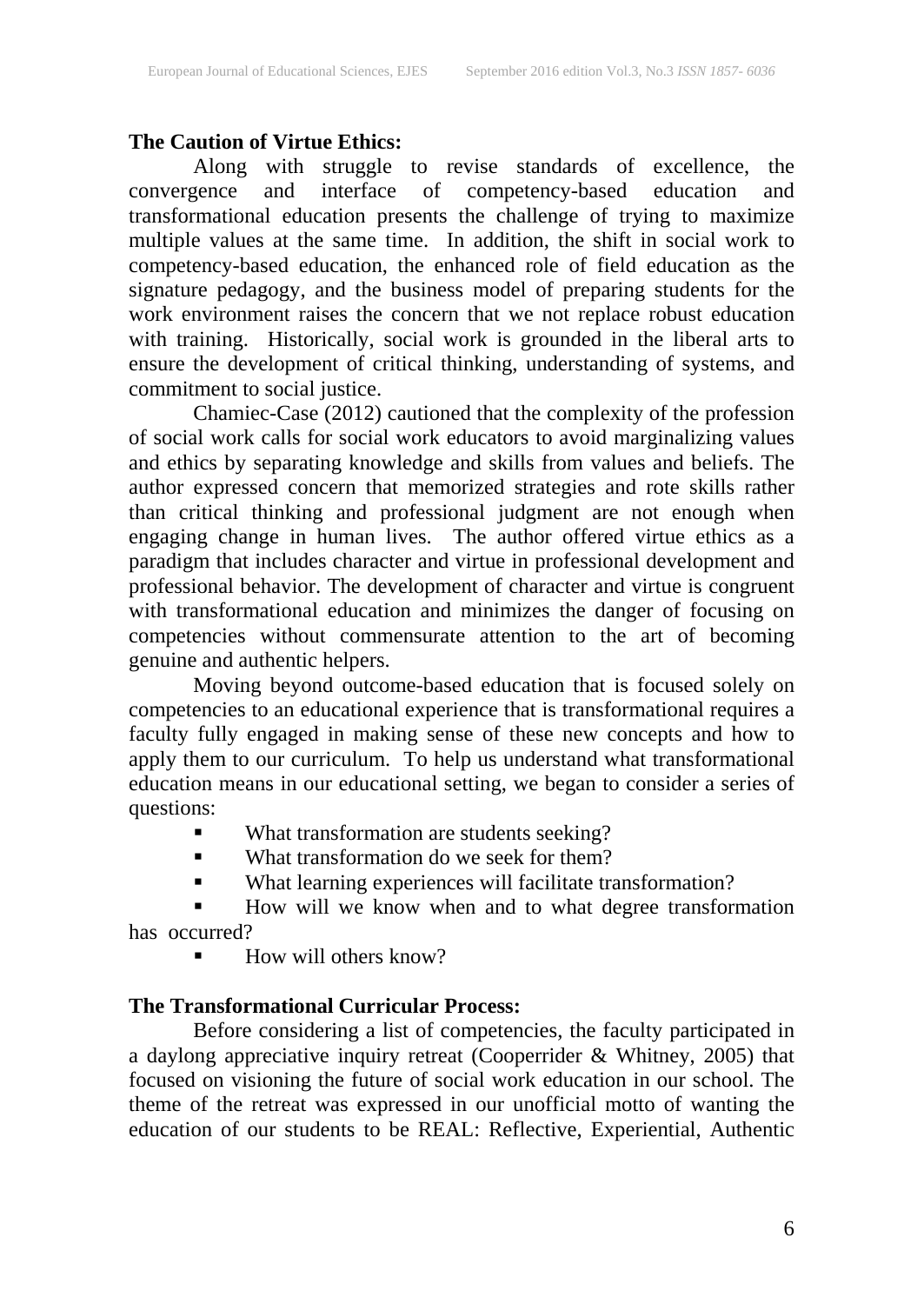### **The Caution of Virtue Ethics:**

Along with struggle to revise standards of excellence, the convergence and interface of competency-based education and transformational education presents the challenge of trying to maximize multiple values at the same time. In addition, the shift in social work to competency-based education, the enhanced role of field education as the signature pedagogy, and the business model of preparing students for the work environment raises the concern that we not replace robust education with training. Historically, social work is grounded in the liberal arts to ensure the development of critical thinking, understanding of systems, and commitment to social justice.

Chamiec-Case (2012) cautioned that the complexity of the profession of social work calls for social work educators to avoid marginalizing values and ethics by separating knowledge and skills from values and beliefs. The author expressed concern that memorized strategies and rote skills rather than critical thinking and professional judgment are not enough when engaging change in human lives. The author offered virtue ethics as a paradigm that includes character and virtue in professional development and professional behavior. The development of character and virtue is congruent with transformational education and minimizes the danger of focusing on competencies without commensurate attention to the art of becoming genuine and authentic helpers.

Moving beyond outcome-based education that is focused solely on competencies to an educational experience that is transformational requires a faculty fully engaged in making sense of these new concepts and how to apply them to our curriculum. To help us understand what transformational education means in our educational setting, we began to consider a series of questions:

- What transformation are students seeking?
- What transformation do we seek for them?
- What learning experiences will facilitate transformation?

 How will we know when and to what degree transformation has occurred?

How will others know?

### **The Transformational Curricular Process:**

Before considering a list of competencies, the faculty participated in a daylong appreciative inquiry retreat (Cooperrider & Whitney, 2005) that focused on visioning the future of social work education in our school. The theme of the retreat was expressed in our unofficial motto of wanting the education of our students to be REAL: Reflective, Experiential, Authentic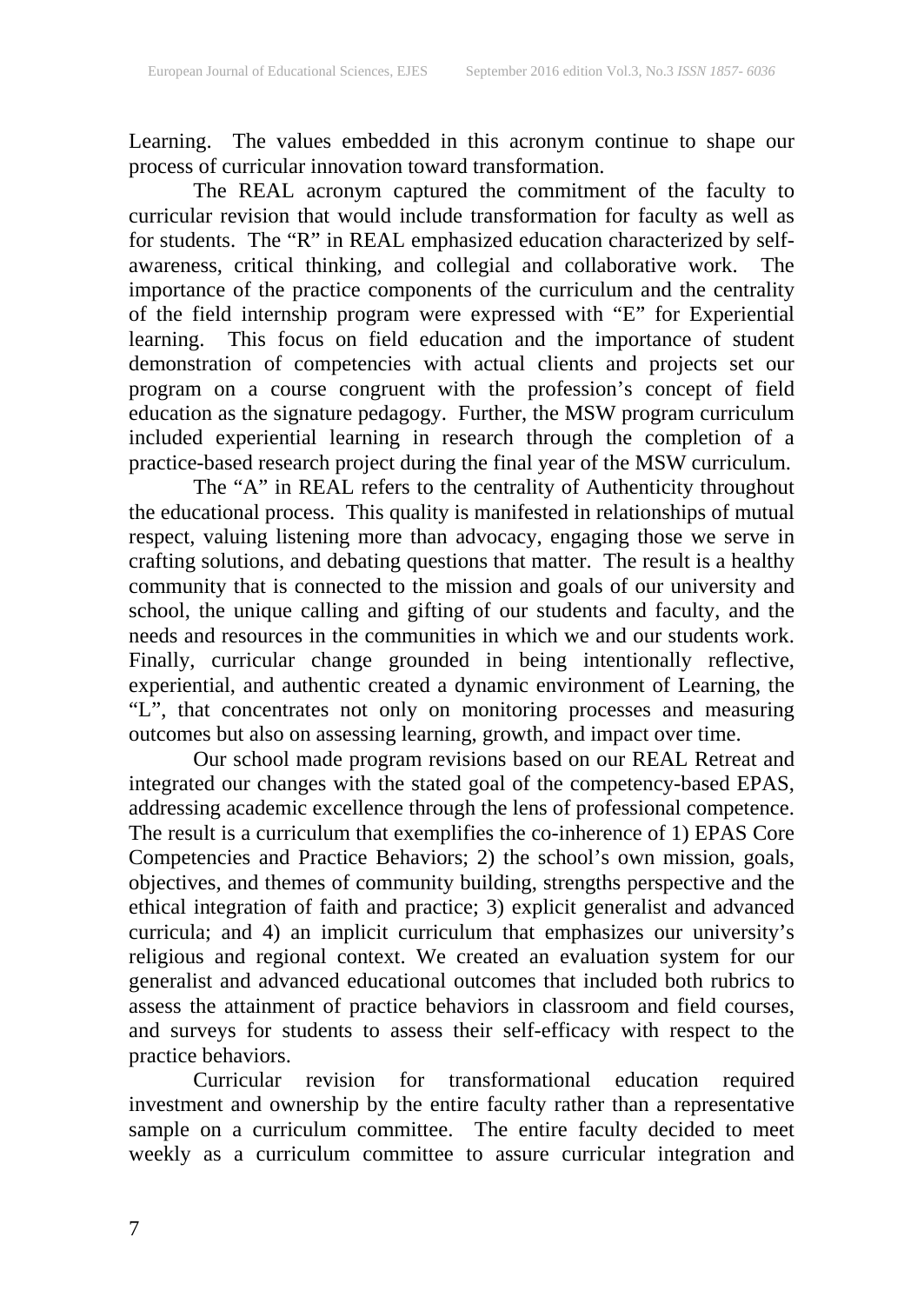Learning. The values embedded in this acronym continue to shape our process of curricular innovation toward transformation.

The REAL acronym captured the commitment of the faculty to curricular revision that would include transformation for faculty as well as for students. The "R" in REAL emphasized education characterized by selfawareness, critical thinking, and collegial and collaborative work. The importance of the practice components of the curriculum and the centrality of the field internship program were expressed with "E" for Experiential learning. This focus on field education and the importance of student demonstration of competencies with actual clients and projects set our program on a course congruent with the profession's concept of field education as the signature pedagogy. Further, the MSW program curriculum included experiential learning in research through the completion of a practice-based research project during the final year of the MSW curriculum.

The "A" in REAL refers to the centrality of Authenticity throughout the educational process. This quality is manifested in relationships of mutual respect, valuing listening more than advocacy, engaging those we serve in crafting solutions, and debating questions that matter. The result is a healthy community that is connected to the mission and goals of our university and school, the unique calling and gifting of our students and faculty, and the needs and resources in the communities in which we and our students work. Finally, curricular change grounded in being intentionally reflective, experiential, and authentic created a dynamic environment of Learning, the "L", that concentrates not only on monitoring processes and measuring outcomes but also on assessing learning, growth, and impact over time.

Our school made program revisions based on our REAL Retreat and integrated our changes with the stated goal of the competency-based EPAS, addressing academic excellence through the lens of professional competence. The result is a curriculum that exemplifies the co-inherence of 1) EPAS Core Competencies and Practice Behaviors; 2) the school's own mission, goals, objectives, and themes of community building, strengths perspective and the ethical integration of faith and practice; 3) explicit generalist and advanced curricula; and 4) an implicit curriculum that emphasizes our university's religious and regional context. We created an evaluation system for our generalist and advanced educational outcomes that included both rubrics to assess the attainment of practice behaviors in classroom and field courses, and surveys for students to assess their self-efficacy with respect to the practice behaviors.

Curricular revision for transformational education required investment and ownership by the entire faculty rather than a representative sample on a curriculum committee. The entire faculty decided to meet weekly as a curriculum committee to assure curricular integration and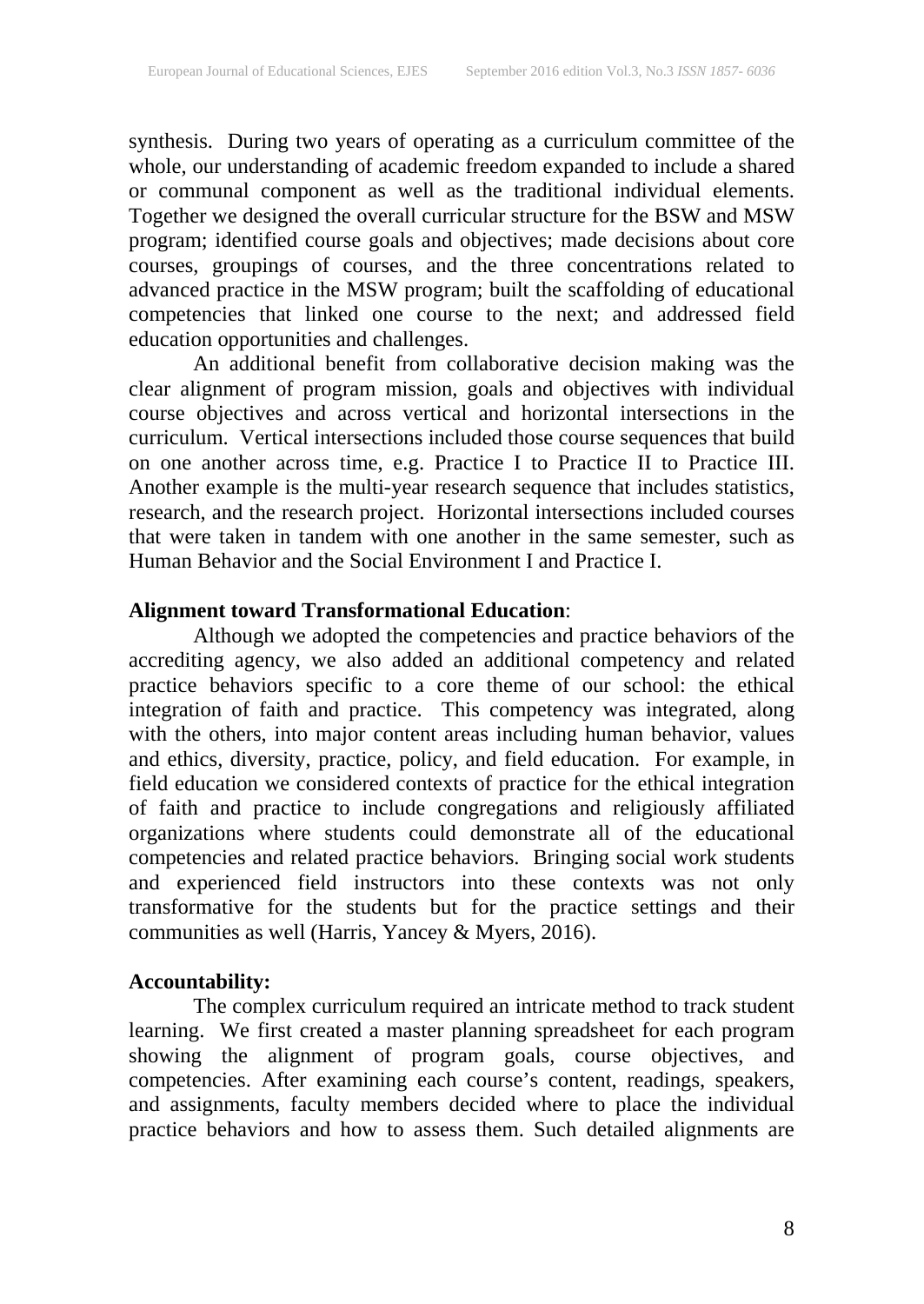synthesis. During two years of operating as a curriculum committee of the whole, our understanding of academic freedom expanded to include a shared or communal component as well as the traditional individual elements. Together we designed the overall curricular structure for the BSW and MSW program; identified course goals and objectives; made decisions about core courses, groupings of courses, and the three concentrations related to advanced practice in the MSW program; built the scaffolding of educational competencies that linked one course to the next; and addressed field education opportunities and challenges.

An additional benefit from collaborative decision making was the clear alignment of program mission, goals and objectives with individual course objectives and across vertical and horizontal intersections in the curriculum. Vertical intersections included those course sequences that build on one another across time, e.g. Practice I to Practice II to Practice III. Another example is the multi-year research sequence that includes statistics, research, and the research project. Horizontal intersections included courses that were taken in tandem with one another in the same semester, such as Human Behavior and the Social Environment I and Practice I.

### **Alignment toward Transformational Education**:

Although we adopted the competencies and practice behaviors of the accrediting agency, we also added an additional competency and related practice behaviors specific to a core theme of our school: the ethical integration of faith and practice. This competency was integrated, along with the others, into major content areas including human behavior, values and ethics, diversity, practice, policy, and field education. For example, in field education we considered contexts of practice for the ethical integration of faith and practice to include congregations and religiously affiliated organizations where students could demonstrate all of the educational competencies and related practice behaviors. Bringing social work students and experienced field instructors into these contexts was not only transformative for the students but for the practice settings and their communities as well (Harris, Yancey & Myers, 2016).

### **Accountability:**

The complex curriculum required an intricate method to track student learning. We first created a master planning spreadsheet for each program showing the alignment of program goals, course objectives, and competencies. After examining each course's content, readings, speakers, and assignments, faculty members decided where to place the individual practice behaviors and how to assess them. Such detailed alignments are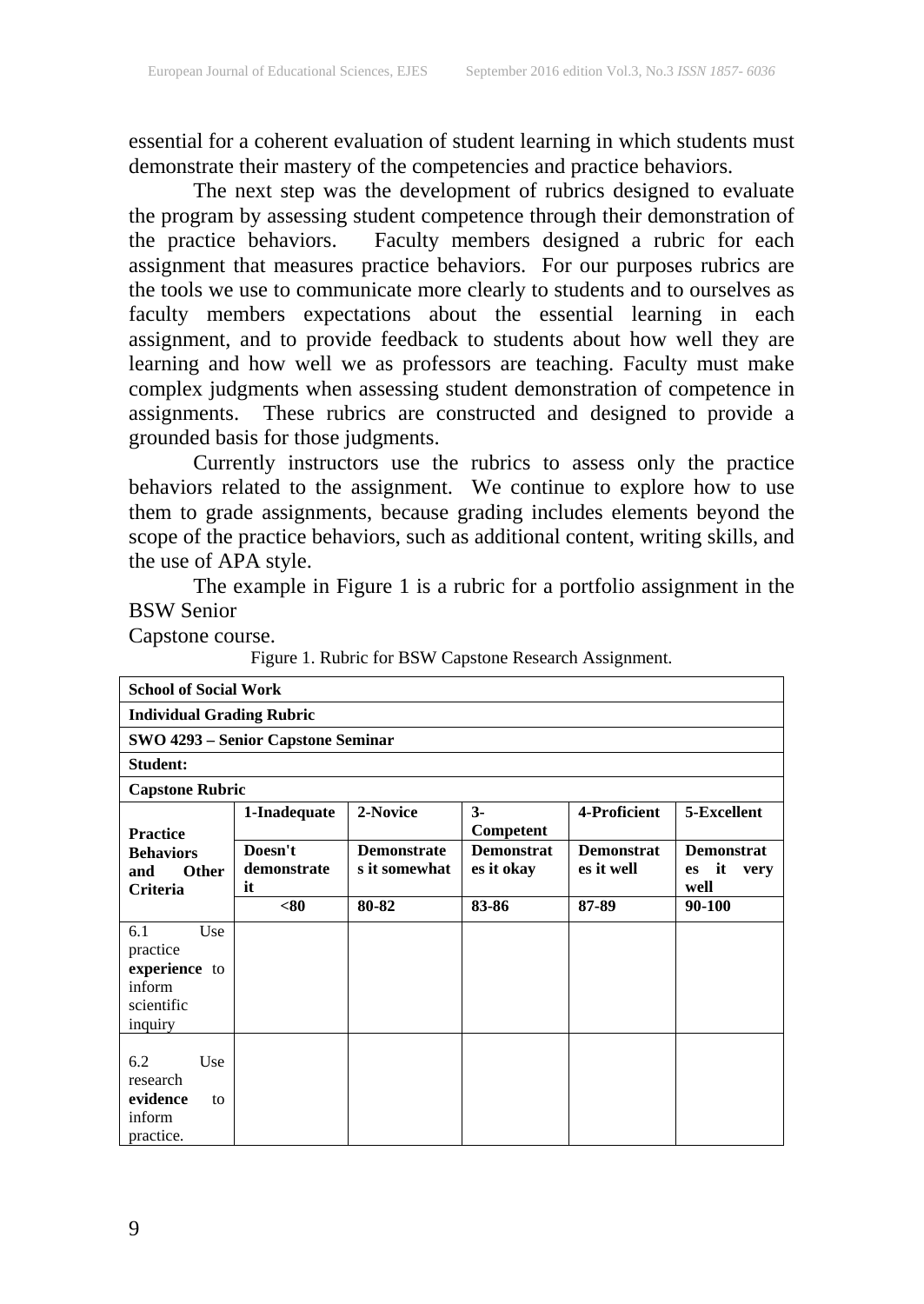essential for a coherent evaluation of student learning in which students must demonstrate their mastery of the competencies and practice behaviors.

The next step was the development of rubrics designed to evaluate the program by assessing student competence through their demonstration of the practice behaviors. Faculty members designed a rubric for each assignment that measures practice behaviors. For our purposes rubrics are the tools we use to communicate more clearly to students and to ourselves as faculty members expectations about the essential learning in each assignment, and to provide feedback to students about how well they are learning and how well we as professors are teaching. Faculty must make complex judgments when assessing student demonstration of competence in assignments. These rubrics are constructed and designed to provide a These rubrics are constructed and designed to provide a grounded basis for those judgments.

Currently instructors use the rubrics to assess only the practice behaviors related to the assignment. We continue to explore how to use them to grade assignments, because grading includes elements beyond the scope of the practice behaviors, such as additional content, writing skills, and the use of APA style.

The example in Figure 1 is a rubric for a portfolio assignment in the BSW Senior

Capstone course.

Figure 1. Rubric for BSW Capstone Research Assignment.

| <b>School of Social Work</b>                                               |                              |                                     |                                 |                                 |                                                      |  |  |  |
|----------------------------------------------------------------------------|------------------------------|-------------------------------------|---------------------------------|---------------------------------|------------------------------------------------------|--|--|--|
| <b>Individual Grading Rubric</b>                                           |                              |                                     |                                 |                                 |                                                      |  |  |  |
| SWO 4293 – Senior Capstone Seminar                                         |                              |                                     |                                 |                                 |                                                      |  |  |  |
| Student:                                                                   |                              |                                     |                                 |                                 |                                                      |  |  |  |
| <b>Capstone Rubric</b>                                                     |                              |                                     |                                 |                                 |                                                      |  |  |  |
| <b>Practice</b>                                                            | 1-Inadequate                 | 2-Novice                            | $3-$<br>Competent               | 4-Proficient                    | 5-Excellent                                          |  |  |  |
| <b>Behaviors</b><br>Other<br>and<br>Criteria                               | Doesn't<br>demonstrate<br>it | <b>Demonstrate</b><br>s it somewhat | <b>Demonstrat</b><br>es it okay | <b>Demonstrat</b><br>es it well | <b>Demonstrat</b><br>it<br>very<br><b>es</b><br>well |  |  |  |
|                                                                            | < 80                         | 80-82                               | 83-86                           | 87-89                           | 90-100                                               |  |  |  |
| 6.1<br>Use<br>practice<br>experience to<br>inform<br>scientific<br>inquiry |                              |                                     |                                 |                                 |                                                      |  |  |  |
| 6.2<br>Use<br>research<br>evidence<br>to<br>inform<br>practice.            |                              |                                     |                                 |                                 |                                                      |  |  |  |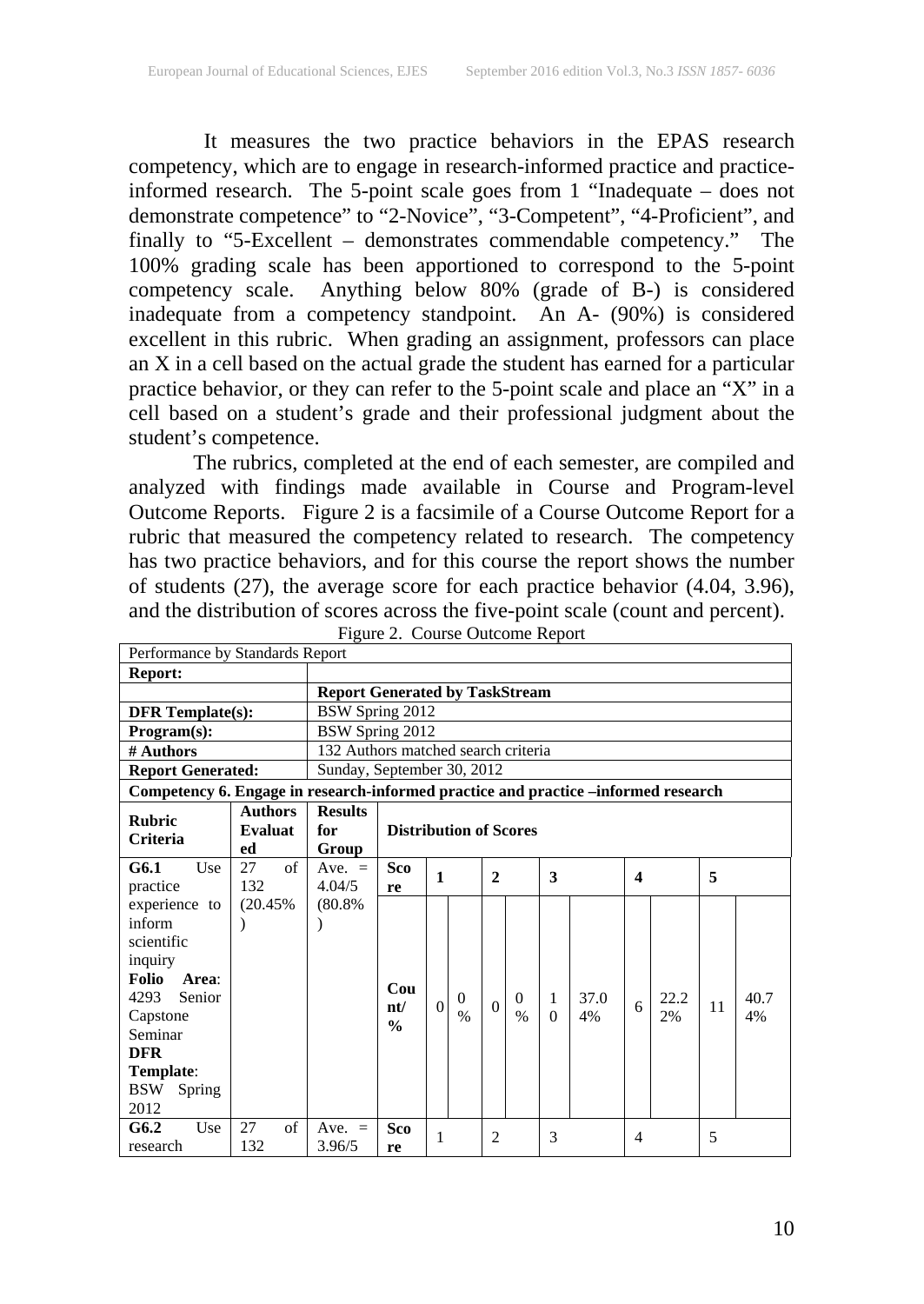It measures the two practice behaviors in the EPAS research competency, which are to engage in research-informed practice and practiceinformed research. The 5-point scale goes from 1 "Inadequate – does not demonstrate competence" to "2-Novice", "3-Competent", "4-Proficient", and finally to "5-Excellent – demonstrates commendable competency." The 100% grading scale has been apportioned to correspond to the 5-point competency scale. Anything below 80% (grade of B-) is considered inadequate from a competency standpoint. An A- (90%) is considered excellent in this rubric. When grading an assignment, professors can place an X in a cell based on the actual grade the student has earned for a particular practice behavior, or they can refer to the 5-point scale and place an "X" in a cell based on a student's grade and their professional judgment about the student's competence.

The rubrics, completed at the end of each semester, are compiled and analyzed with findings made available in Course and Program-level Outcome Reports. Figure 2 is a facsimile of a Course Outcome Report for a rubric that measured the competency related to research. The competency has two practice behaviors, and for this course the report shows the number of students (27), the average score for each practice behavior (4.04, 3.96), and the distribution of scores across the five-point scale (count and percent).<br>Figure 2. Course Outcome Report

| Performance by Standards Report                                                    |                |                                       |                               |          |               |                |               |                  |      |                |      |    |      |
|------------------------------------------------------------------------------------|----------------|---------------------------------------|-------------------------------|----------|---------------|----------------|---------------|------------------|------|----------------|------|----|------|
| <b>Report:</b>                                                                     |                |                                       |                               |          |               |                |               |                  |      |                |      |    |      |
|                                                                                    |                | <b>Report Generated by TaskStream</b> |                               |          |               |                |               |                  |      |                |      |    |      |
| <b>DFR</b> Template(s):                                                            |                | BSW Spring 2012                       |                               |          |               |                |               |                  |      |                |      |    |      |
| Program(s):                                                                        |                | BSW Spring 2012                       |                               |          |               |                |               |                  |      |                |      |    |      |
| # Authors                                                                          |                | 132 Authors matched search criteria   |                               |          |               |                |               |                  |      |                |      |    |      |
| <b>Report Generated:</b>                                                           |                | Sunday, September 30, 2012            |                               |          |               |                |               |                  |      |                |      |    |      |
| Competency 6. Engage in research-informed practice and practice –informed research |                |                                       |                               |          |               |                |               |                  |      |                |      |    |      |
|                                                                                    | <b>Authors</b> | <b>Results</b>                        |                               |          |               |                |               |                  |      |                |      |    |      |
| <b>Rubric</b>                                                                      | Evaluat        | for                                   | <b>Distribution of Scores</b> |          |               |                |               |                  |      |                |      |    |      |
| Criteria                                                                           | ed             | Group                                 |                               |          |               |                |               |                  |      |                |      |    |      |
| G6.1<br>Use                                                                        | 27<br>of       | Ave. $=$                              | <b>Sco</b><br>$\mathbf{1}$    |          |               | 3              |               | $\boldsymbol{4}$ |      | 5              |      |    |      |
| practice                                                                           | 132            | 4.04/5                                | re                            |          |               | $\overline{2}$ |               |                  |      |                |      |    |      |
| experience to                                                                      | (20.45%        | (80.8%                                |                               |          |               |                |               |                  |      |                |      |    |      |
| inform                                                                             |                |                                       |                               |          |               |                |               |                  |      |                |      |    |      |
| scientific                                                                         |                |                                       |                               |          |               |                |               |                  |      |                |      |    |      |
| inquiry                                                                            |                |                                       |                               |          |               |                |               |                  |      |                |      |    |      |
| <b>Folio</b><br>Area:                                                              |                |                                       |                               |          |               |                |               |                  |      |                |      |    |      |
| 4293<br>Senior                                                                     |                |                                       | Cou                           | $\Omega$ | $\Omega$      |                | $\Omega$      | 1                | 37.0 |                | 22.2 |    | 40.7 |
| Capstone                                                                           |                |                                       | nt/                           |          | $\frac{0}{0}$ | $\Omega$       | $\frac{0}{0}$ | $\theta$         | 4%   | 6              | 2%   | 11 | 4%   |
| Seminar                                                                            |                |                                       | $\frac{0}{0}$                 |          |               |                |               |                  |      |                |      |    |      |
| <b>DFR</b>                                                                         |                |                                       |                               |          |               |                |               |                  |      |                |      |    |      |
| Template:                                                                          |                |                                       |                               |          |               |                |               |                  |      |                |      |    |      |
| <b>BSW</b><br>Spring                                                               |                |                                       |                               |          |               |                |               |                  |      |                |      |    |      |
| 2012                                                                               |                |                                       |                               |          |               |                |               |                  |      |                |      |    |      |
| G6.2<br>Use                                                                        | 27<br>of       | Ave. $=$                              | Sco                           | 1        |               | $\overline{c}$ |               |                  |      | $\overline{4}$ |      | 5  |      |
| research                                                                           | 132            | 3.96/5                                | re                            |          |               |                |               | 3                |      |                |      |    |      |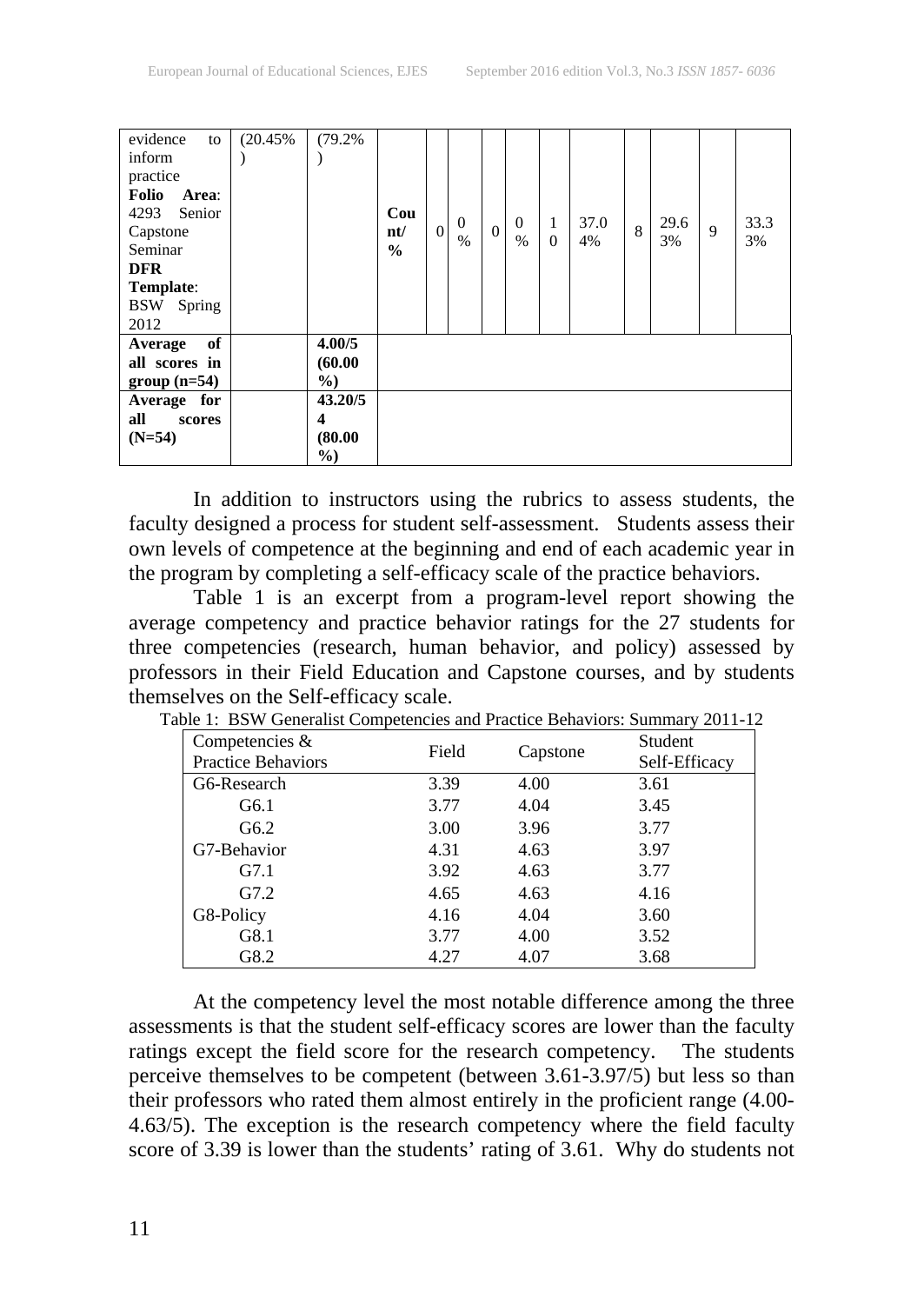| evidence<br>to<br>inform<br>practice<br>Folio<br>Area:<br>Senior<br>4293<br>Capstone<br>Seminar<br><b>DFR</b><br>Template:<br><b>BSW</b> Spring<br>2012 | (20.45% | (79.2%                            | Cou<br>nt/<br>$\frac{0}{0}$ | $\overline{0}$ | $\Omega$<br>$\%$ | $\Omega$ | $\Omega$<br>$\frac{0}{0}$ | 1<br>$\overline{0}$ | 37.0<br>4% | 8 | 29.6<br>3% | 9 | 33.3<br>3% |
|---------------------------------------------------------------------------------------------------------------------------------------------------------|---------|-----------------------------------|-----------------------------|----------------|------------------|----------|---------------------------|---------------------|------------|---|------------|---|------------|
| of<br>Average<br>all scores in<br>$group(n=54)$                                                                                                         |         | 4.00/5<br>(60.00)<br>$\%$ )       |                             |                |                  |          |                           |                     |            |   |            |   |            |
| Average for<br>all<br>scores<br>$(N=54)$                                                                                                                |         | 43.20/5<br>4<br>(80.00)<br>$\%$ ) |                             |                |                  |          |                           |                     |            |   |            |   |            |

In addition to instructors using the rubrics to assess students, the faculty designed a process for student self-assessment. Students assess their own levels of competence at the beginning and end of each academic year in the program by completing a self-efficacy scale of the practice behaviors.

Table 1 is an excerpt from a program-level report showing the average competency and practice behavior ratings for the 27 students for three competencies (research, human behavior, and policy) assessed by professors in their Field Education and Capstone courses, and by students themselves on the Self-efficacy scale.

| Competencies $&$<br><b>Practice Behaviors</b> | Field | Capstone | Student<br>Self-Efficacy |
|-----------------------------------------------|-------|----------|--------------------------|
| G6-Research                                   | 3.39  | 4.00     | 3.61                     |
| G6.1                                          | 3.77  | 4.04     | 3.45                     |
| G6.2                                          | 3.00  | 3.96     | 3.77                     |
| G7-Behavior                                   | 4.31  | 4.63     | 3.97                     |
| G7.1                                          | 3.92  | 4.63     | 3.77                     |
| G7.2                                          | 4.65  | 4.63     | 4.16                     |
| G8-Policy                                     | 4.16  | 4.04     | 3.60                     |
| G8.1                                          | 3.77  | 4.00     | 3.52                     |
| G8.2                                          | 4.27  | 4.07     | 3.68                     |

Table 1: BSW Generalist Competencies and Practice Behaviors: Summary 2011-12

At the competency level the most notable difference among the three assessments is that the student self-efficacy scores are lower than the faculty ratings except the field score for the research competency. The students perceive themselves to be competent (between 3.61-3.97/5) but less so than their professors who rated them almost entirely in the proficient range (4.00- 4.63/5). The exception is the research competency where the field faculty score of 3.39 is lower than the students' rating of 3.61. Why do students not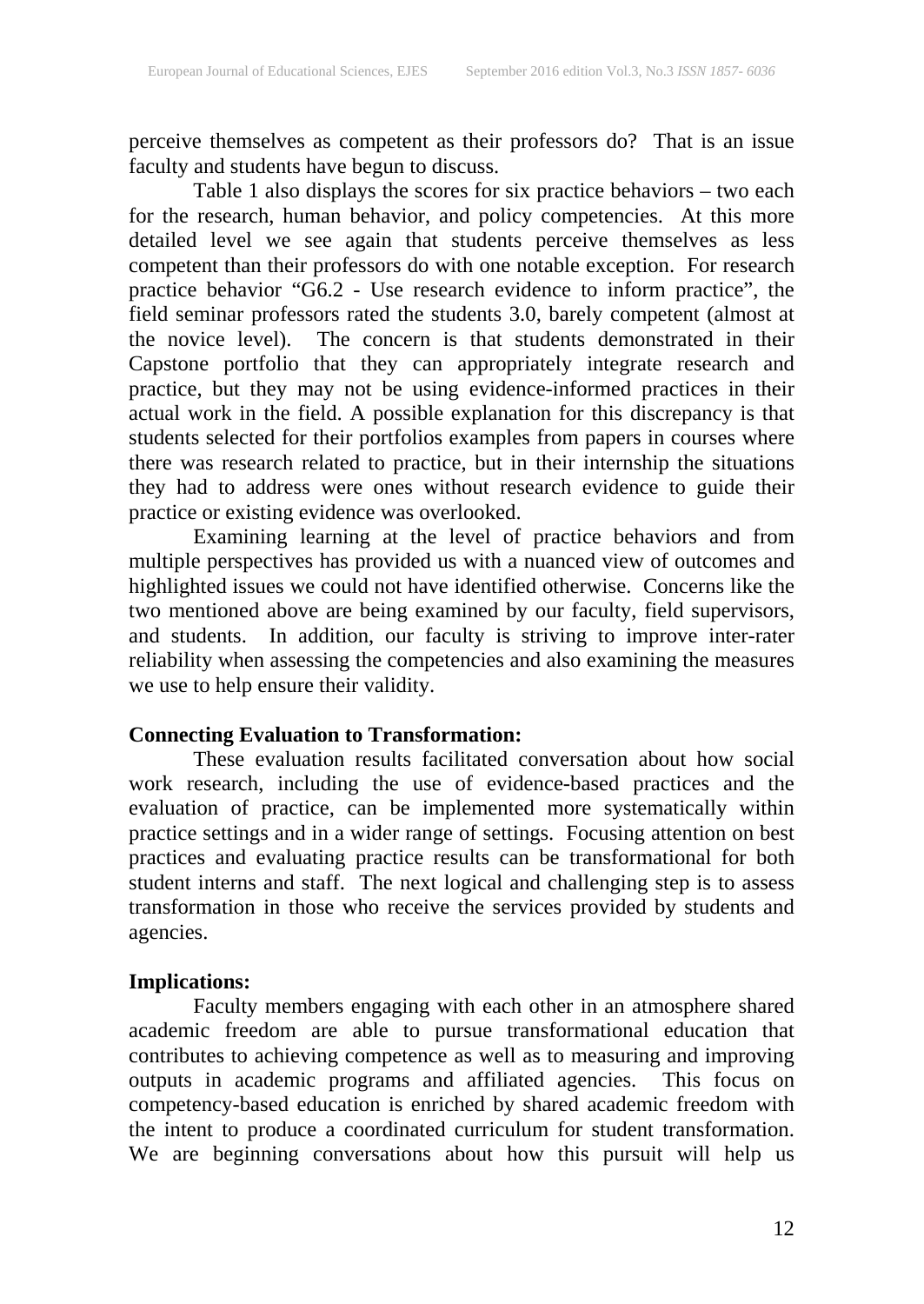perceive themselves as competent as their professors do? That is an issue faculty and students have begun to discuss.

Table 1 also displays the scores for six practice behaviors – two each for the research, human behavior, and policy competencies. At this more detailed level we see again that students perceive themselves as less competent than their professors do with one notable exception. For research practice behavior "G6.2 - Use research evidence to inform practice", the field seminar professors rated the students 3.0, barely competent (almost at the novice level). The concern is that students demonstrated in their Capstone portfolio that they can appropriately integrate research and practice, but they may not be using evidence-informed practices in their actual work in the field. A possible explanation for this discrepancy is that students selected for their portfolios examples from papers in courses where there was research related to practice, but in their internship the situations they had to address were ones without research evidence to guide their practice or existing evidence was overlooked.

Examining learning at the level of practice behaviors and from multiple perspectives has provided us with a nuanced view of outcomes and highlighted issues we could not have identified otherwise. Concerns like the two mentioned above are being examined by our faculty, field supervisors, and students. In addition, our faculty is striving to improve inter-rater reliability when assessing the competencies and also examining the measures we use to help ensure their validity.

### **Connecting Evaluation to Transformation:**

These evaluation results facilitated conversation about how social work research, including the use of evidence-based practices and the evaluation of practice, can be implemented more systematically within practice settings and in a wider range of settings. Focusing attention on best practices and evaluating practice results can be transformational for both student interns and staff. The next logical and challenging step is to assess transformation in those who receive the services provided by students and agencies.

### **Implications:**

Faculty members engaging with each other in an atmosphere shared academic freedom are able to pursue transformational education that contributes to achieving competence as well as to measuring and improving outputs in academic programs and affiliated agencies. This focus on competency-based education is enriched by shared academic freedom with the intent to produce a coordinated curriculum for student transformation. We are beginning conversations about how this pursuit will help us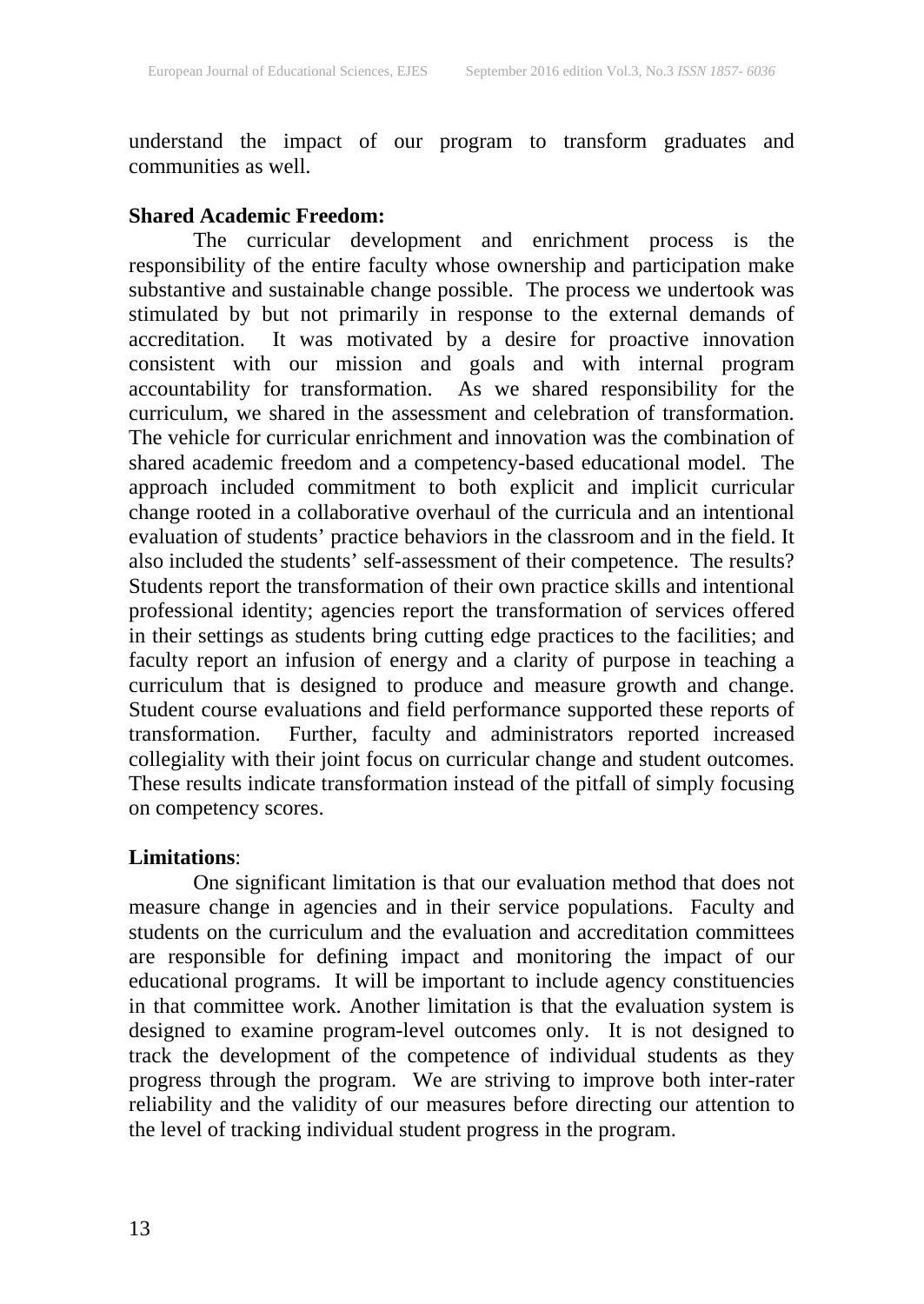understand the impact of our program to transform graduates and communities as well.

### **Shared Academic Freedom:**

The curricular development and enrichment process is the responsibility of the entire faculty whose ownership and participation make substantive and sustainable change possible. The process we undertook was stimulated by but not primarily in response to the external demands of accreditation. It was motivated by a desire for proactive innovation consistent with our mission and goals and with internal program accountability for transformation. As we shared responsibility for the curriculum, we shared in the assessment and celebration of transformation. The vehicle for curricular enrichment and innovation was the combination of shared academic freedom and a competency-based educational model. The approach included commitment to both explicit and implicit curricular change rooted in a collaborative overhaul of the curricula and an intentional evaluation of students' practice behaviors in the classroom and in the field. It also included the students' self-assessment of their competence. The results? Students report the transformation of their own practice skills and intentional professional identity; agencies report the transformation of services offered in their settings as students bring cutting edge practices to the facilities; and faculty report an infusion of energy and a clarity of purpose in teaching a curriculum that is designed to produce and measure growth and change. Student course evaluations and field performance supported these reports of transformation. Further, faculty and administrators reported increased collegiality with their joint focus on curricular change and student outcomes. These results indicate transformation instead of the pitfall of simply focusing on competency scores.

### **Limitations**:

One significant limitation is that our evaluation method that does not measure change in agencies and in their service populations. Faculty and students on the curriculum and the evaluation and accreditation committees are responsible for defining impact and monitoring the impact of our educational programs. It will be important to include agency constituencies in that committee work. Another limitation is that the evaluation system is designed to examine program-level outcomes only. It is not designed to track the development of the competence of individual students as they progress through the program. We are striving to improve both inter-rater reliability and the validity of our measures before directing our attention to the level of tracking individual student progress in the program.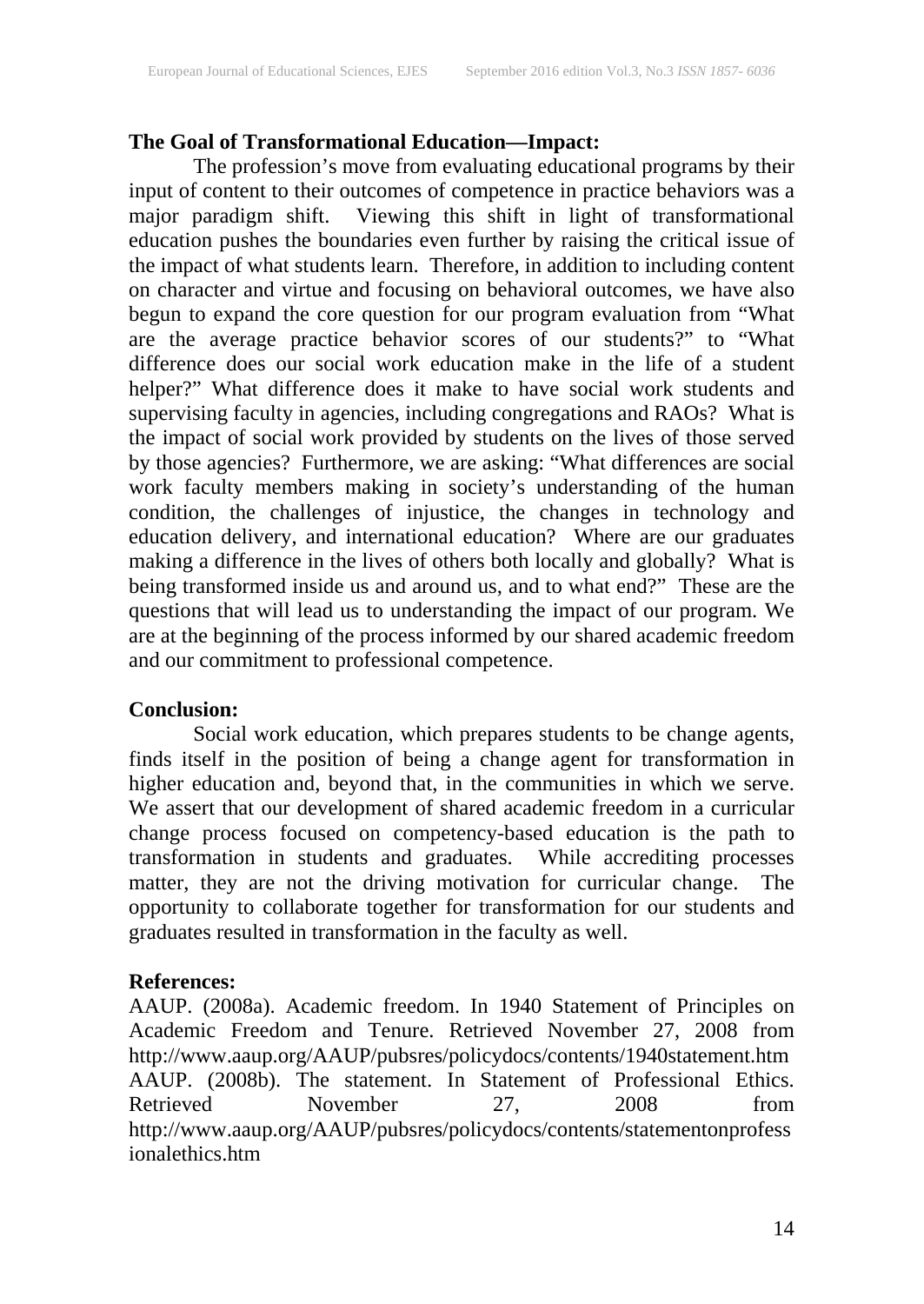### **The Goal of Transformational Education—Impact:**

The profession's move from evaluating educational programs by their input of content to their outcomes of competence in practice behaviors was a major paradigm shift. Viewing this shift in light of transformational education pushes the boundaries even further by raising the critical issue of the impact of what students learn. Therefore, in addition to including content on character and virtue and focusing on behavioral outcomes, we have also begun to expand the core question for our program evaluation from "What are the average practice behavior scores of our students?" to "What difference does our social work education make in the life of a student helper?" What difference does it make to have social work students and supervising faculty in agencies, including congregations and RAOs? What is the impact of social work provided by students on the lives of those served by those agencies? Furthermore, we are asking: "What differences are social work faculty members making in society's understanding of the human condition, the challenges of injustice, the changes in technology and education delivery, and international education? Where are our graduates making a difference in the lives of others both locally and globally? What is being transformed inside us and around us, and to what end?" These are the questions that will lead us to understanding the impact of our program. We are at the beginning of the process informed by our shared academic freedom and our commitment to professional competence.

### **Conclusion:**

Social work education, which prepares students to be change agents, finds itself in the position of being a change agent for transformation in higher education and, beyond that, in the communities in which we serve. We assert that our development of shared academic freedom in a curricular change process focused on competency-based education is the path to transformation in students and graduates. While accrediting processes matter, they are not the driving motivation for curricular change. The opportunity to collaborate together for transformation for our students and graduates resulted in transformation in the faculty as well.

### **References:**

AAUP. (2008a). Academic freedom. In 1940 Statement of Principles on Academic Freedom and Tenure. Retrieved November 27, 2008 from http://www.aaup.org/AAUP/pubsres/policydocs/contents/1940statement.htm AAUP. (2008b). The statement. In Statement of Professional Ethics. Retrieved November 27, 2008 from http://www.aaup.org/AAUP/pubsres/policydocs/contents/statementonprofess ionalethics.htm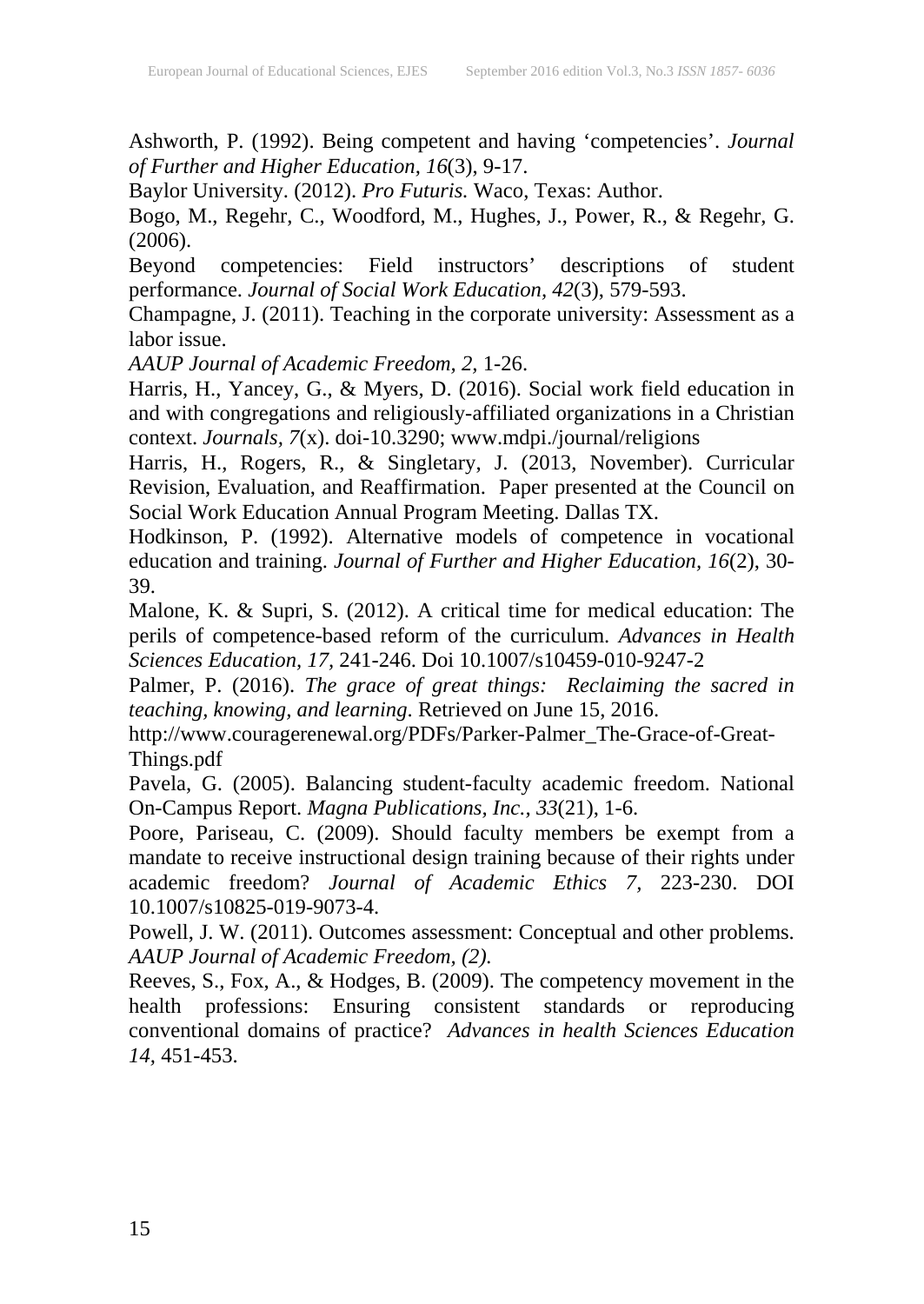Ashworth, P. (1992). Being competent and having 'competencies'. *Journal of Further and Higher Education, 16*(3), 9-17.

Baylor University. (2012). *Pro Futuris.* Waco, Texas: Author.

Bogo, M., Regehr, C., Woodford, M., Hughes, J., Power, R., & Regehr, G. (2006).

Beyond competencies: Field instructors' descriptions of student performance. *Journal of Social Work Education, 42*(3), 579-593.

Champagne, J. (2011). Teaching in the corporate university: Assessment as a labor issue.

*AAUP Journal of Academic Freedom, 2,* 1-26.

Harris, H., Yancey, G., & Myers, D. (2016). Social work field education in and with congregations and religiously-affiliated organizations in a Christian context. *Journals, 7*(x). doi-10.3290; www.mdpi./journal/religions

Harris, H., Rogers, R., & Singletary, J. (2013, November). Curricular Revision, Evaluation, and Reaffirmation. Paper presented at the Council on Social Work Education Annual Program Meeting. Dallas TX.

Hodkinson, P. (1992). Alternative models of competence in vocational education and training. *Journal of Further and Higher Education, 16*(2), 30- 39.

Malone, K. & Supri, S. (2012). A critical time for medical education: The perils of competence-based reform of the curriculum. *Advances in Health Sciences Education, 17,* 241-246. Doi 10.1007/s10459-010-9247-2

Palmer, P. (2016). *The grace of great things: Reclaiming the sacred in teaching, knowing, and learning*. Retrieved on June 15, 2016.

http://www.couragerenewal.org/PDFs/Parker-Palmer\_The-Grace-of-Great-Things.pdf

Pavela, G. (2005). Balancing student-faculty academic freedom. National On-Campus Report. *Magna Publications, Inc., 33*(21), 1-6.

Poore, Pariseau, C. (2009). Should faculty members be exempt from a mandate to receive instructional design training because of their rights under academic freedom? *Journal of Academic Ethics 7,* 223-230. DOI 10.1007/s10825-019-9073-4.

Powell, J. W. (2011). Outcomes assessment: Conceptual and other problems. *AAUP Journal of Academic Freedom, (2).*

Reeves, S., Fox, A., & Hodges, B. (2009). The competency movement in the health professions: Ensuring consistent standards or reproducing conventional domains of practice? *Advances in health Sciences Education 14,* 451-453.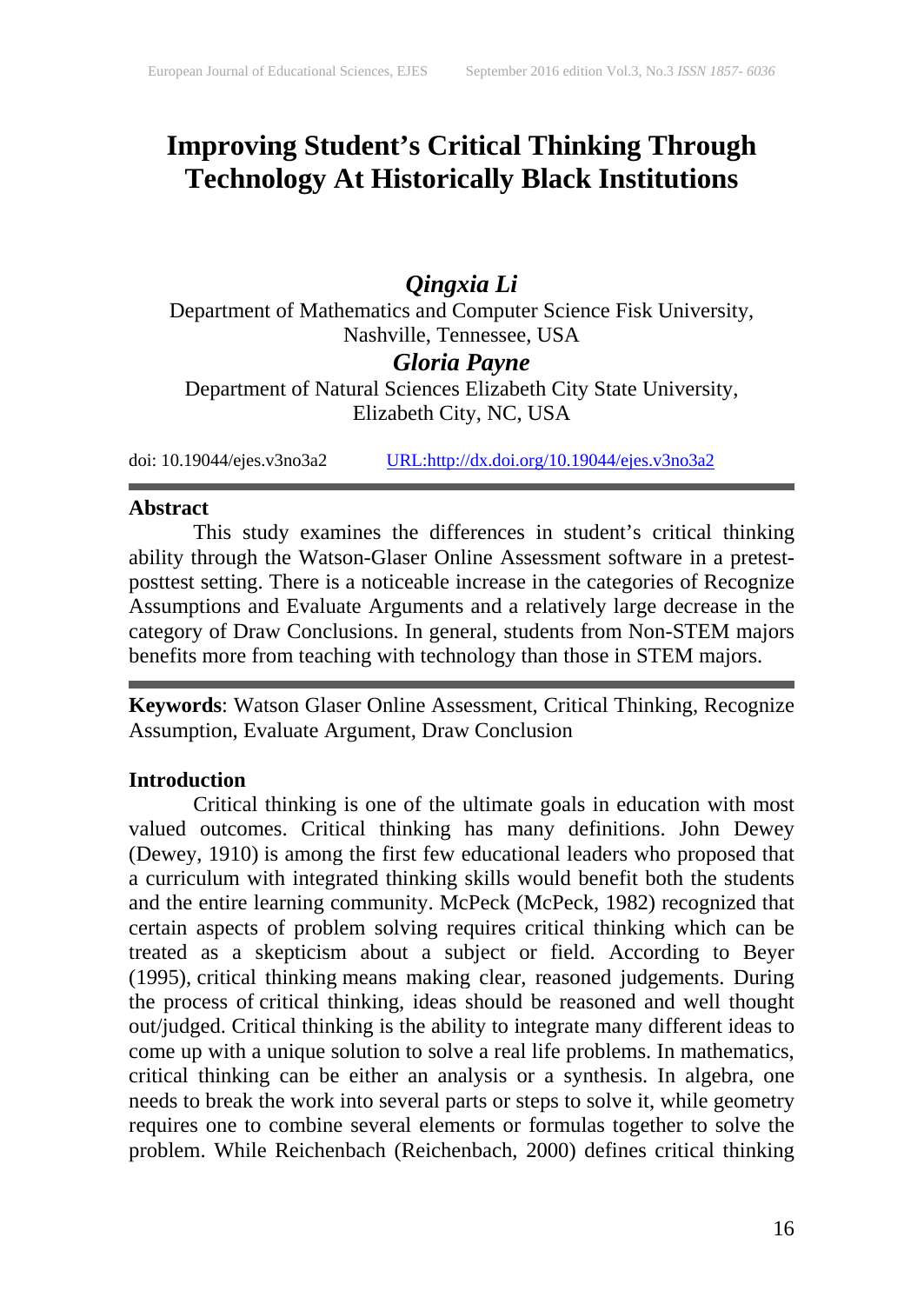### **Improving Student's Critical Thinking Through Technology At Historically Black Institutions**

### *Qingxia Li*

Department of Mathematics and Computer Science Fisk University, Nashville, Tennessee, USA

### *Gloria Payne*

Department of Natural Sciences Elizabeth City State University, Elizabeth City, NC, USA

doi: 10.19044/ejes.v3no3a2 [URL:http://dx.doi.org/10.19044/ejes.v3no3a2](http://dx.doi.org/10.19044/ejes.v3no3a2)

#### **Abstract**

This study examines the differences in student's critical thinking ability through the Watson-Glaser Online Assessment software in a pretestposttest setting. There is a noticeable increase in the categories of Recognize Assumptions and Evaluate Arguments and a relatively large decrease in the category of Draw Conclusions. In general, students from Non-STEM majors benefits more from teaching with technology than those in STEM majors.

**Keywords**: Watson Glaser Online Assessment, Critical Thinking, Recognize Assumption, Evaluate Argument, Draw Conclusion

#### **Introduction**

Critical thinking is one of the ultimate goals in education with most valued outcomes. Critical thinking has many definitions. John Dewey (Dewey, 1910) is among the first few educational leaders who proposed that a curriculum with integrated thinking skills would benefit both the students and the entire learning community. McPeck (McPeck, 1982) recognized that certain aspects of problem solving requires critical thinking which can be treated as a skepticism about a subject or field. According to Beyer (1995), critical thinking means making clear, reasoned judgements. During the process of critical thinking, ideas should be reasoned and well thought out/judged. Critical thinking is the ability to integrate many different ideas to come up with a unique solution to solve a real life problems. In mathematics, critical thinking can be either an analysis or a synthesis. In algebra, one needs to break the work into several parts or steps to solve it, while geometry requires one to combine several elements or formulas together to solve the problem. While Reichenbach (Reichenbach, 2000) defines critical thinking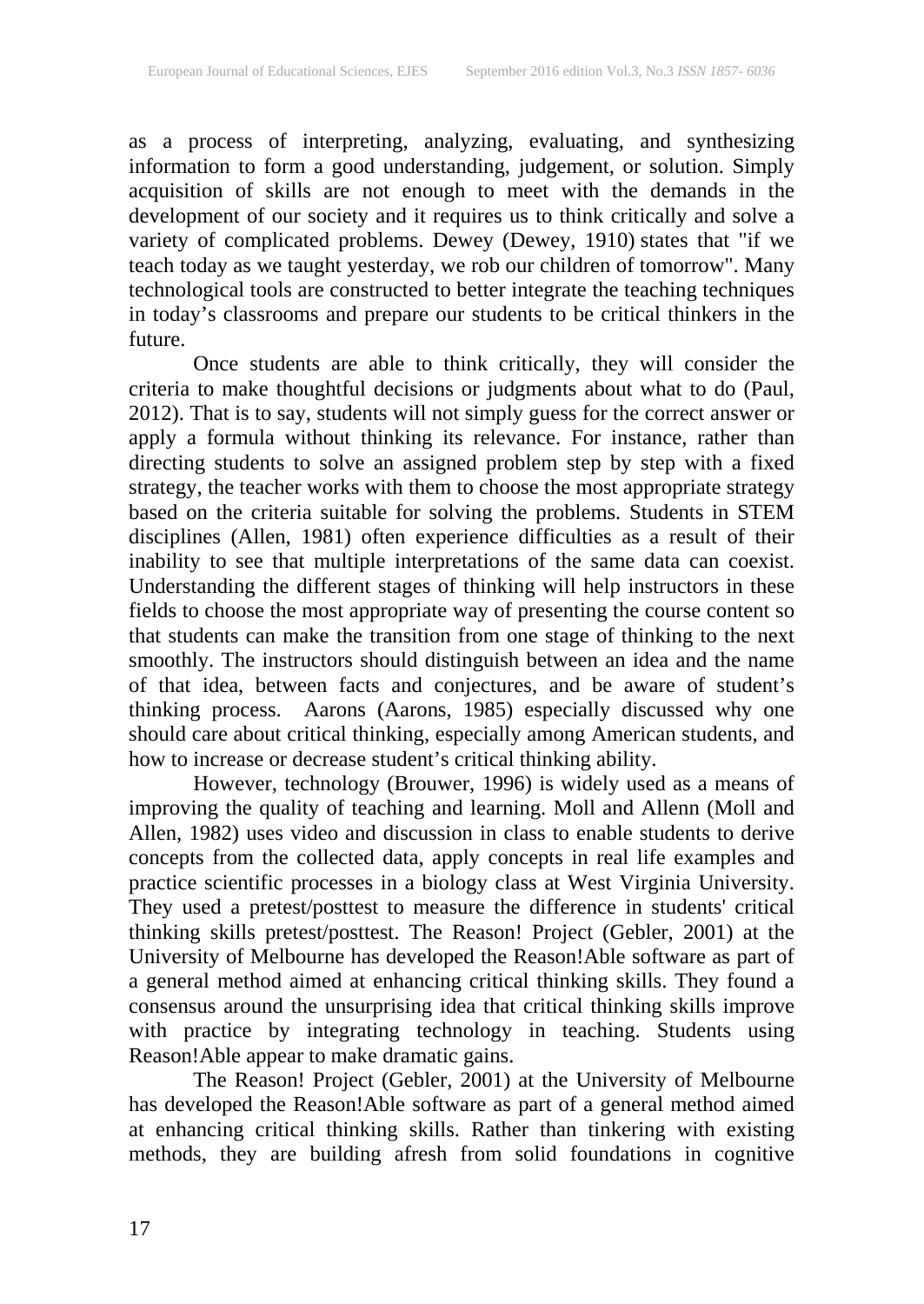as a process of interpreting, analyzing, evaluating, and synthesizing information to form a good understanding, judgement, or solution. Simply acquisition of skills are not enough to meet with the demands in the development of our society and it requires us to think critically and solve a variety of complicated problems. Dewey (Dewey, 1910) states that "if we teach today as we taught yesterday, we rob our children of tomorrow". Many technological tools are constructed to better integrate the teaching techniques in today's classrooms and prepare our students to be critical thinkers in the future.

Once students are able to think critically, they will consider the criteria to make thoughtful decisions or judgments about what to do (Paul, 2012). That is to say, students will not simply guess for the correct answer or apply a formula without thinking its relevance. For instance, rather than directing students to solve an assigned problem step by step with a fixed strategy, the teacher works with them to choose the most appropriate strategy based on the criteria suitable for solving the problems. Students in STEM disciplines (Allen, 1981) often experience difficulties as a result of their inability to see that multiple interpretations of the same data can coexist. Understanding the different stages of thinking will help instructors in these fields to choose the most appropriate way of presenting the course content so that students can make the transition from one stage of thinking to the next smoothly. The instructors should distinguish between an idea and the name of that idea, between facts and conjectures, and be aware of student's thinking process. Aarons (Aarons, 1985) especially discussed why one should care about critical thinking, especially among American students, and how to increase or decrease student's critical thinking ability.

However, technology (Brouwer, 1996) is widely used as a means of improving the quality of teaching and learning. Moll and Allenn (Moll and Allen, 1982) uses video and discussion in class to enable students to derive concepts from the collected data, apply concepts in real life examples and practice scientific processes in a biology class at West Virginia University. They used a pretest/posttest to measure the difference in students' critical thinking skills pretest/posttest. The Reason! Project (Gebler, 2001) at the University of Melbourne has developed the Reason!Able software as part of a general method aimed at enhancing critical thinking skills. They found a consensus around the unsurprising idea that critical thinking skills improve with practice by integrating technology in teaching. Students using Reason!Able appear to make dramatic gains.

The Reason! Project (Gebler, 2001) at the University of Melbourne has developed the Reason!Able software as part of a general method aimed at enhancing critical thinking skills. Rather than tinkering with existing methods, they are building afresh from solid foundations in cognitive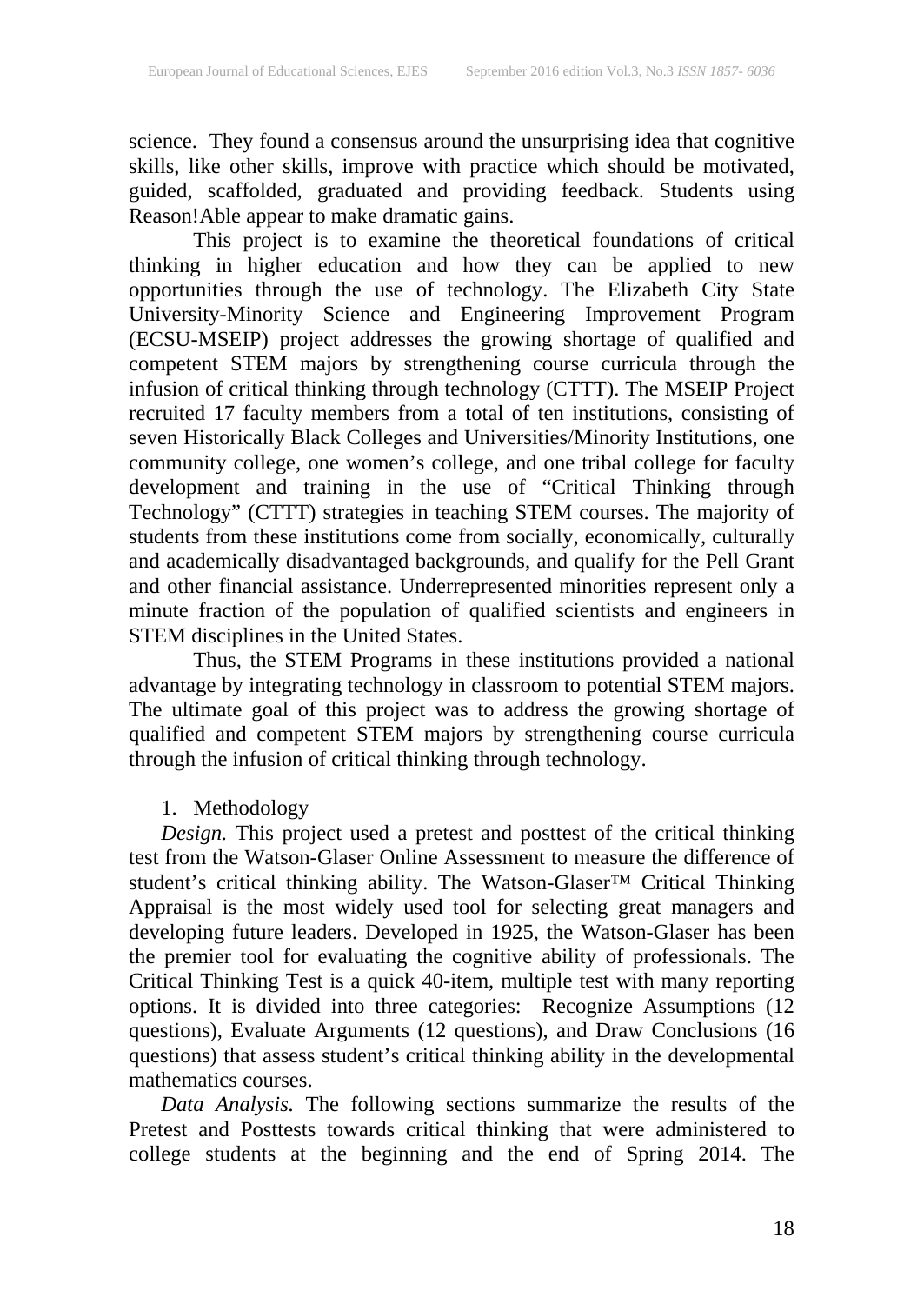science. They found a consensus around the unsurprising idea that cognitive skills, like other skills, improve with practice which should be motivated, guided, scaffolded, graduated and providing feedback. Students using Reason!Able appear to make dramatic gains.

This project is to examine the theoretical foundations of critical thinking in higher education and how they can be applied to new opportunities through the use of technology. The Elizabeth City State University-Minority Science and Engineering Improvement Program (ECSU-MSEIP) project addresses the growing shortage of qualified and competent STEM majors by strengthening course curricula through the infusion of critical thinking through technology (CTTT). The MSEIP Project recruited 17 faculty members from a total of ten institutions, consisting of seven Historically Black Colleges and Universities/Minority Institutions, one community college, one women's college, and one tribal college for faculty development and training in the use of "Critical Thinking through Technology" (CTTT) strategies in teaching STEM courses. The majority of students from these institutions come from socially, economically, culturally and academically disadvantaged backgrounds, and qualify for the Pell Grant and other financial assistance. Underrepresented minorities represent only a minute fraction of the population of qualified scientists and engineers in STEM disciplines in the United States.

Thus, the STEM Programs in these institutions provided a national advantage by integrating technology in classroom to potential STEM majors. The ultimate goal of this project was to address the growing shortage of qualified and competent STEM majors by strengthening course curricula through the infusion of critical thinking through technology.

### 1. Methodology

*Design.* This project used a pretest and posttest of the critical thinking test from the Watson-Glaser Online Assessment to measure the difference of student's critical thinking ability. The Watson-Glaser™ Critical Thinking Appraisal is the most widely used tool for selecting great managers and developing future leaders. Developed in 1925, the Watson-Glaser has been the premier tool for evaluating the cognitive ability of professionals. The Critical Thinking Test is a quick 40-item, multiple test with many reporting options. It is divided into three categories: Recognize Assumptions (12 questions), Evaluate Arguments (12 questions), and Draw Conclusions (16 questions) that assess student's critical thinking ability in the developmental mathematics courses.

*Data Analysis.* The following sections summarize the results of the Pretest and Posttests towards critical thinking that were administered to college students at the beginning and the end of Spring 2014. The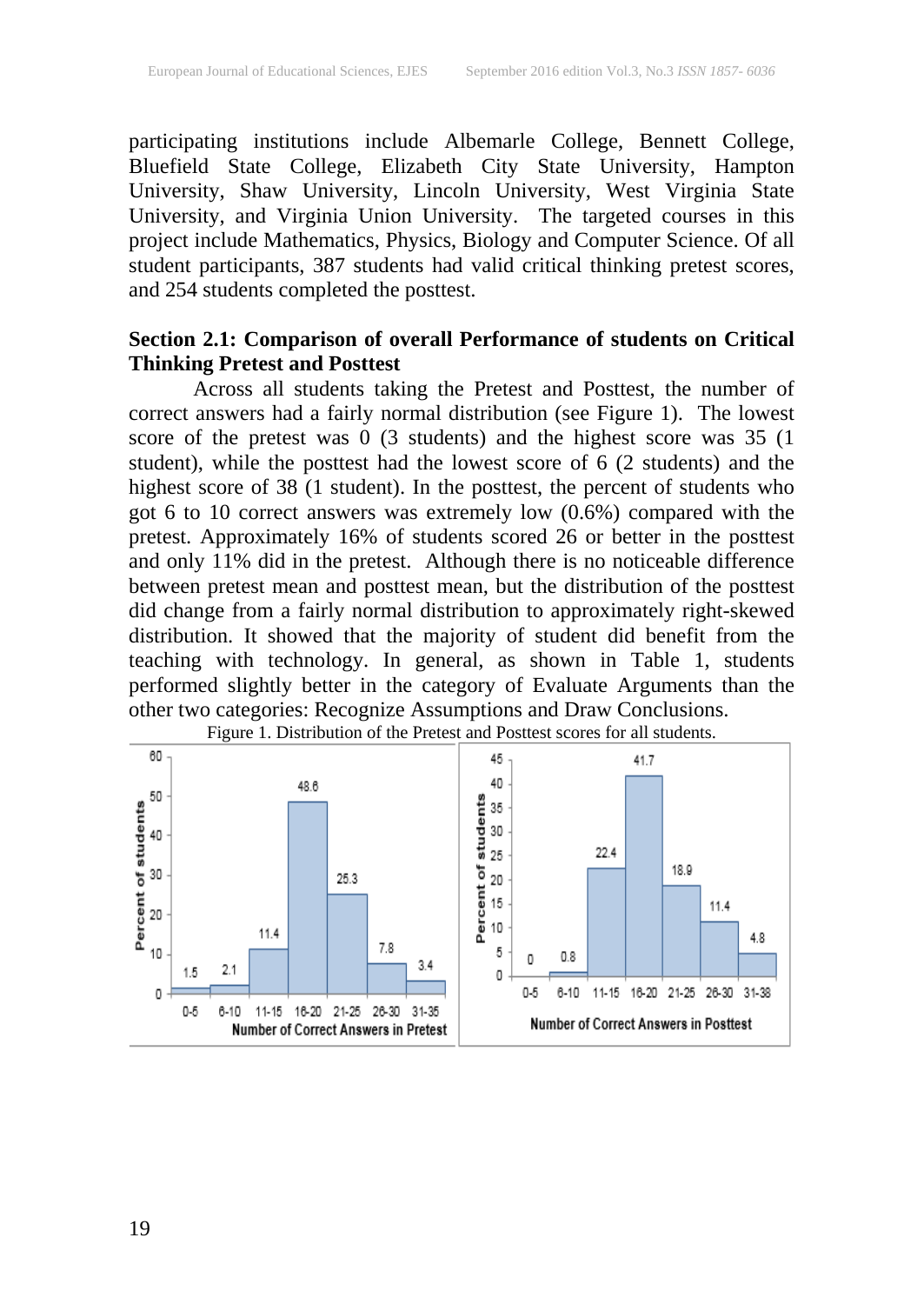participating institutions include Albemarle College, Bennett College, Bluefield State College, Elizabeth City State University, Hampton University, Shaw University, Lincoln University, West Virginia State University, and Virginia Union University. The targeted courses in this project include Mathematics, Physics, Biology and Computer Science. Of all student participants, 387 students had valid critical thinking pretest scores, and 254 students completed the posttest.

### **Section 2.1: Comparison of overall Performance of students on Critical Thinking Pretest and Posttest**

Across all students taking the Pretest and Posttest, the number of correct answers had a fairly normal distribution (see Figure 1). The lowest score of the pretest was 0 (3 students) and the highest score was 35 (1 student), while the posttest had the lowest score of 6 (2 students) and the highest score of 38 (1 student). In the posttest, the percent of students who got 6 to 10 correct answers was extremely low (0.6%) compared with the pretest. Approximately 16% of students scored 26 or better in the posttest and only 11% did in the pretest. Although there is no noticeable difference between pretest mean and posttest mean, but the distribution of the posttest did change from a fairly normal distribution to approximately right-skewed distribution. It showed that the majority of student did benefit from the teaching with technology. In general, as shown in Table 1, students performed slightly better in the category of Evaluate Arguments than the other two categories: Recognize Assumptions and Draw Conclusions.



Figure 1. Distribution of the Pretest and Posttest scores for all students.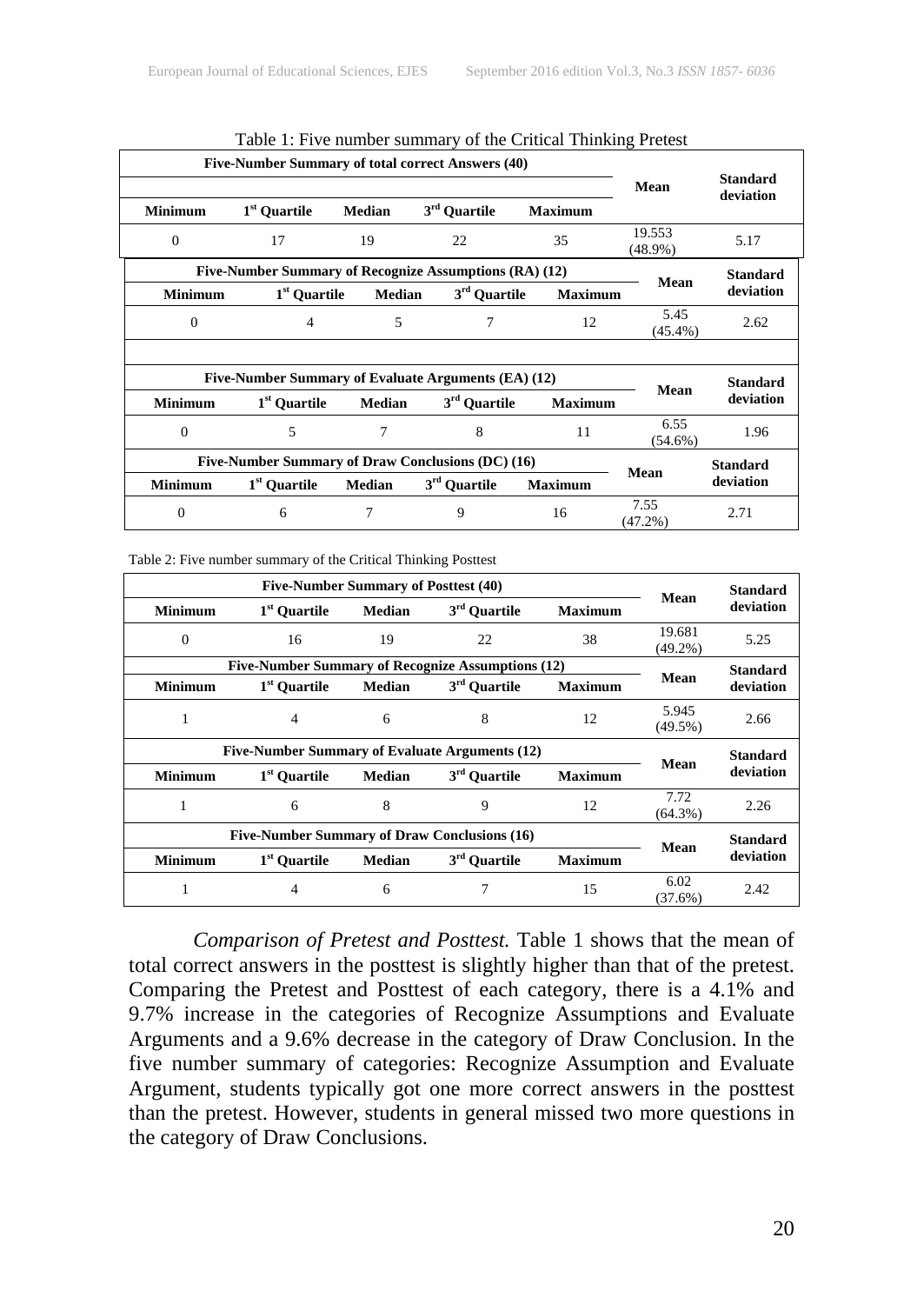|                |                          |               |                                                                               | $\sigma$ and $\sigma$ control 1 minuting 1 retent |                      |                              |  |
|----------------|--------------------------|---------------|-------------------------------------------------------------------------------|---------------------------------------------------|----------------------|------------------------------|--|
| <b>Minimum</b> | 1 <sup>st</sup> Ouartile | <b>Median</b> | Five-Number Summary of total correct Answers (40)<br>3 <sup>rd</sup> Quartile | <b>Maximum</b>                                    | Mean                 | <b>Standard</b><br>deviation |  |
| $\Omega$       | 17                       | 19            | 22                                                                            | 35                                                | 19.553<br>$(48.9\%)$ | 5.17                         |  |
|                |                          |               | Five-Number Summary of Recognize Assumptions (RA) (12)                        |                                                   |                      | <b>Standard</b>              |  |
| <b>Minimum</b> | 1 <sup>st</sup> Ouartile | <b>Median</b> | 3 <sup>rd</sup> Quartile<br><b>Maximum</b>                                    |                                                   | Mean                 | deviation                    |  |
| 0              |                          | 5             | 7                                                                             |                                                   | 5.45<br>$(45.4\%)$   | 2.62                         |  |
|                |                          |               |                                                                               |                                                   |                      |                              |  |
|                |                          |               | Five-Number Summary of Evaluate Arguments (EA) (12)                           |                                                   |                      | <b>Standard</b>              |  |
| <b>Minimum</b> | 1 <sup>st</sup> Ouartile | Median        | $3rd$ Quartile                                                                | <b>Maximum</b>                                    | Mean                 | deviation                    |  |
| $\Omega$       | 5                        | 7             | 8                                                                             | 11                                                | 6.55<br>$(54.6\%)$   | 1.96                         |  |
|                |                          |               | Five-Number Summary of Draw Conclusions (DC) (16)                             |                                                   |                      | <b>Standard</b>              |  |
| <b>Minimum</b> | 1 <sup>st</sup> Quartile | <b>Median</b> | 3 <sup>rd</sup> Ouartile                                                      | <b>Maximum</b>                                    | Mean                 | deviation                    |  |
| $\Omega$       | 6                        | 7             | 9                                                                             | 16                                                | 7.55<br>$(47.2\%)$   | 2.71                         |  |

| Table 1: Five number summary of the Critical Thinking Pretest |  |  |
|---------------------------------------------------------------|--|--|
|---------------------------------------------------------------|--|--|

Table 2: Five number summary of the Critical Thinking Posttest

|                | <b>Five-Number Summary of Posttest (40)</b> |               |                                                   |                |                      | <b>Standard</b> |  |
|----------------|---------------------------------------------|---------------|---------------------------------------------------|----------------|----------------------|-----------------|--|
| <b>Minimum</b> | 1 <sup>st</sup> Ouartile                    | <b>Median</b> | 3 <sup>rd</sup> Quartile                          | <b>Maximum</b> | Mean                 | deviation       |  |
| $\Omega$       | 16                                          | 19            | 22                                                | 38             | 19.681<br>$(49.2\%)$ | 5.25            |  |
|                |                                             |               | Five-Number Summary of Recognize Assumptions (12) |                |                      | <b>Standard</b> |  |
| <b>Minimum</b> | 1 <sup>st</sup> Ouartile                    | <b>Median</b> | 3 <sup>rd</sup> Ouartile                          | <b>Maximum</b> | Mean                 | deviation       |  |
|                | 4                                           | 6             | 8                                                 | 12             | 5.945<br>$(49.5\%)$  | 2.66            |  |
|                |                                             |               | Five-Number Summary of Evaluate Arguments (12)    |                | Mean                 | <b>Standard</b> |  |
| <b>Minimum</b> | 1 <sup>st</sup> Ouartile                    | <b>Median</b> | 3 <sup>rd</sup> Ouartile                          | <b>Maximum</b> |                      | deviation       |  |
| 1              | 6                                           | 8             | 9                                                 | 12             | 7.72<br>$(64.3\%)$   | 2.26            |  |
|                |                                             |               | Five-Number Summary of Draw Conclusions (16)      |                |                      | <b>Standard</b> |  |
| <b>Minimum</b> | 1 <sup>st</sup> Ouartile                    | <b>Median</b> | 3 <sup>rd</sup> Quartile                          | <b>Maximum</b> | Mean                 | deviation       |  |
|                | 4                                           | 6             |                                                   | 15             | 6.02<br>$(37.6\%)$   | 2.42            |  |

*Comparison of Pretest and Posttest.* Table 1 shows that the mean of total correct answers in the posttest is slightly higher than that of the pretest. Comparing the Pretest and Posttest of each category, there is a 4.1% and 9.7% increase in the categories of Recognize Assumptions and Evaluate Arguments and a 9.6% decrease in the category of Draw Conclusion. In the five number summary of categories: Recognize Assumption and Evaluate Argument, students typically got one more correct answers in the posttest than the pretest. However, students in general missed two more questions in the category of Draw Conclusions.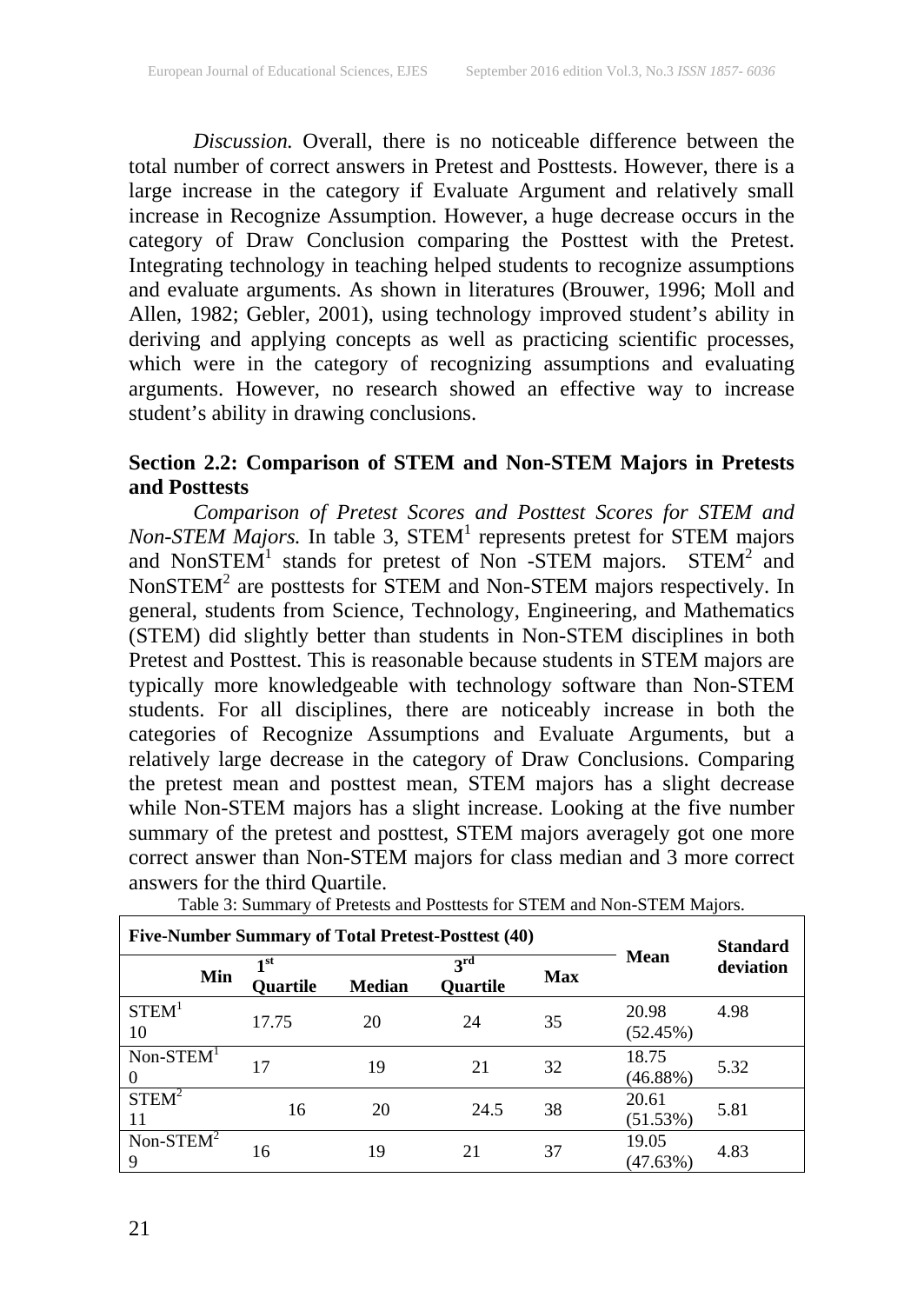*Discussion.* Overall, there is no noticeable difference between the total number of correct answers in Pretest and Posttests. However, there is a large increase in the category if Evaluate Argument and relatively small increase in Recognize Assumption. However, a huge decrease occurs in the category of Draw Conclusion comparing the Posttest with the Pretest. Integrating technology in teaching helped students to recognize assumptions and evaluate arguments. As shown in literatures (Brouwer, 1996; Moll and Allen, 1982; Gebler, 2001), using technology improved student's ability in deriving and applying concepts as well as practicing scientific processes, which were in the category of recognizing assumptions and evaluating arguments. However, no research showed an effective way to increase student's ability in drawing conclusions.

### **Section 2.2: Comparison of STEM and Non-STEM Majors in Pretests and Posttests**

*Comparison of Pretest Scores and Posttest Scores for STEM and Non-STEM Majors.* In table 3, STEM<sup>1</sup> represents pretest for STEM majors and NonSTEM<sup>1</sup> stands for pretest of Non -STEM majors. STEM<sup>2</sup> and NonSTEM $^2$  are posttests for STEM and Non-STEM majors respectively. In general, students from Science, Technology, Engineering, and Mathematics (STEM) did slightly better than students in Non-STEM disciplines in both Pretest and Posttest. This is reasonable because students in STEM majors are typically more knowledgeable with technology software than Non-STEM students. For all disciplines, there are noticeably increase in both the categories of Recognize Assumptions and Evaluate Arguments, but a relatively large decrease in the category of Draw Conclusions. Comparing the pretest mean and posttest mean, STEM majors has a slight decrease while Non-STEM majors has a slight increase. Looking at the five number summary of the pretest and posttest, STEM majors averagely got one more correct answer than Non-STEM majors for class median and 3 more correct answers for the third Quartile.

| Five-Number Summary of Total Pretest-Posttest (40) |                  |               |                             | <b>Standard</b> |                      |           |  |
|----------------------------------------------------|------------------|---------------|-----------------------------|-----------------|----------------------|-----------|--|
| Min                                                | 1 st<br>Quartile | <b>Median</b> | 3 <sup>rd</sup><br>Quartile | <b>Max</b>      | <b>Mean</b>          | deviation |  |
| STEM <sup>1</sup><br>10                            | 17.75            | 20            | 24                          | 35              | 20.98<br>(52.45%)    | 4.98      |  |
| $Non-STEM1$<br>$\theta$                            | 17               | 19            | 21                          | 32              | 18.75<br>$(46.88\%)$ | 5.32      |  |
| STEM <sup>2</sup><br>11                            | 16               | 20            | 24.5                        | 38              | 20.61<br>(51.53%)    | 5.81      |  |
| Non-STEM $2$<br>9                                  | 16               | 19            | 21                          | 37              | 19.05<br>(47.63%)    | 4.83      |  |

Table 3: Summary of Pretests and Posttests for STEM and Non-STEM Majors.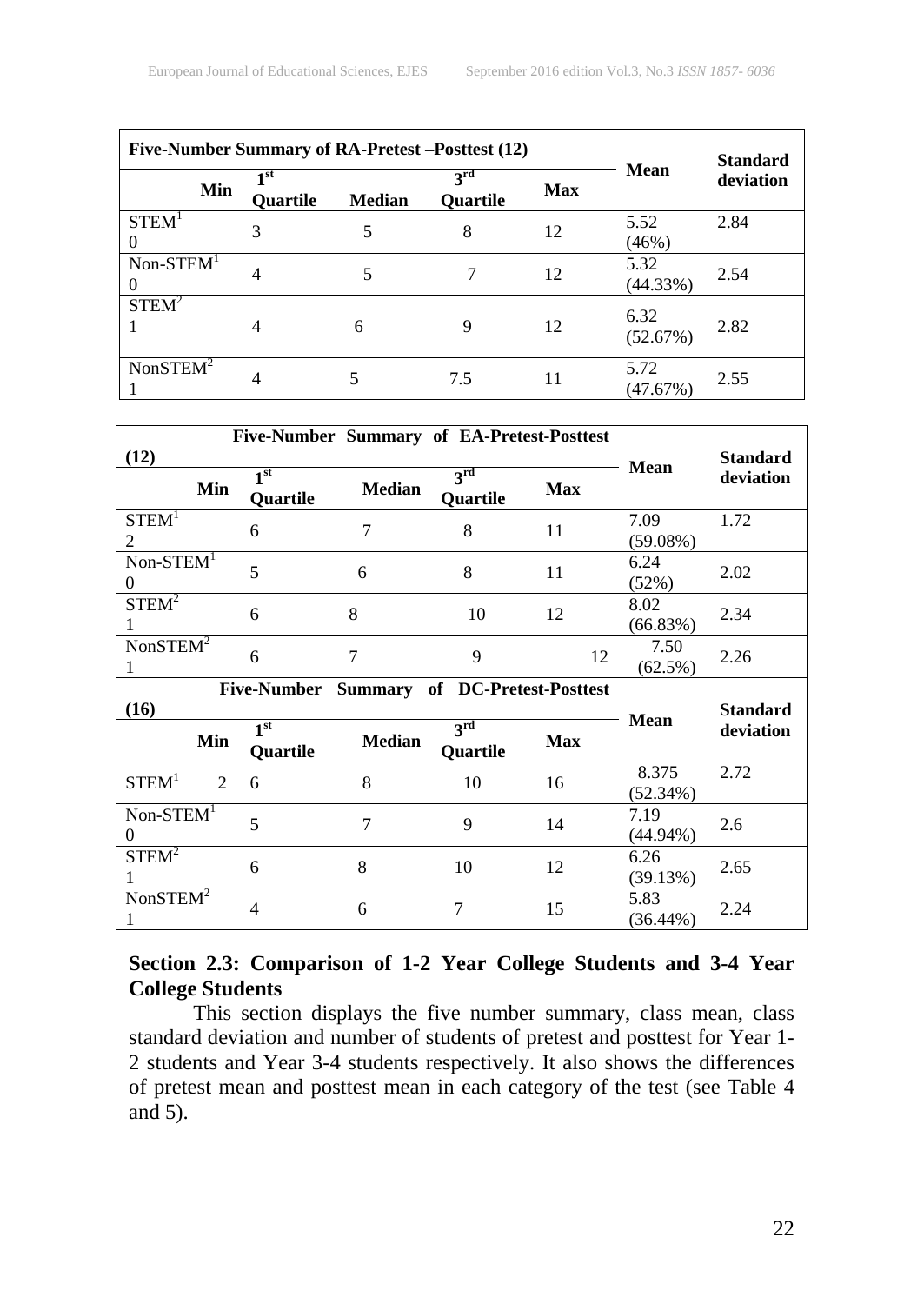|                      |     | Five-Number Summary of RA-Pretest-Posttest (12) |               | <b>Standard</b>                             |     |                     |           |
|----------------------|-----|-------------------------------------------------|---------------|---------------------------------------------|-----|---------------------|-----------|
|                      | Min | 1 st<br><b>Quartile</b>                         | <b>Median</b> | $\mathbf{a}^{\text{rd}}$<br><b>Ouartile</b> | Max | <b>Mean</b>         | deviation |
| STEM <sup>1</sup>    |     |                                                 |               | 8                                           | 12  | 5.52<br>(46%)       | 2.84      |
| $Non-STEM1$          |     | 4                                               |               |                                             | 12  | 5.32<br>(44.33%)    | 2.54      |
| $STEM^2$             |     | 4                                               | 6             | 9                                           | 12  | 6.32<br>(52.67%)    | 2.82      |
| NonSTEM <sup>2</sup> |     | 4                                               |               | 7.5                                         | 11  | 5.72<br>$(47.67\%)$ | 2.55      |

|                                     |                             |                                    | Five-Number Summary of EA-Pretest-Posttest |                                    |            |                     |                 |  |
|-------------------------------------|-----------------------------|------------------------------------|--------------------------------------------|------------------------------------|------------|---------------------|-----------------|--|
| (12)                                |                             |                                    |                                            |                                    |            | <b>Mean</b>         | <b>Standard</b> |  |
|                                     | Min                         | 1 <sup>st</sup><br><b>Quartile</b> | <b>Median</b>                              | 3 <sup>rd</sup><br><b>Quartile</b> | <b>Max</b> |                     | deviation       |  |
| STEM <sup>1</sup><br>$\mathfrak{D}$ |                             | 6                                  | 7                                          | 8                                  | 11         | 7.09<br>(59.08%)    | 1.72            |  |
| $Non-STEM1$<br>0                    |                             | 5                                  | 6                                          | 8                                  | 11         | 6.24<br>(52%)       | 2.02            |  |
| $STEM^2$                            |                             | 6                                  | 8                                          | 10                                 | 12         | 8.02<br>(66.83%)    | 2.34            |  |
| NonSTEM <sup>2</sup><br>1           |                             | 6                                  | 7                                          | 9                                  | 12         | 7.50<br>$(62.5\%)$  | 2.26            |  |
|                                     |                             |                                    | Five-Number Summary of DC-Pretest-Posttest |                                    |            |                     |                 |  |
| (16)                                |                             |                                    |                                            |                                    |            | <b>Mean</b>         | <b>Standard</b> |  |
|                                     | Min                         | 1 <sup>st</sup><br><b>Quartile</b> | <b>Median</b>                              | 3 <sup>rd</sup><br><b>Quartile</b> | <b>Max</b> |                     | deviation       |  |
| STEM <sup>1</sup>                   | $\mathcal{D}_{\mathcal{L}}$ | 6                                  | 8                                          | 10                                 | 16         | 8.375<br>(52.34%)   | 2.72            |  |
| $Non-STEM1$<br>0                    |                             | 5                                  | $\overline{7}$                             | 9                                  | 14         | 7.19<br>$(44.94\%)$ | 2.6             |  |
| STEM <sup>2</sup>                   |                             | 6                                  | 8                                          | 10                                 | 12         | 6.26<br>(39.13%)    | 2.65            |  |
| NonSTEM <sup>2</sup>                |                             | $\overline{\mathcal{L}}$           | 6                                          | $\overline{7}$                     | 15         | 5.83<br>$(36.44\%)$ | 2.24            |  |

### **Section 2.3: Comparison of 1-2 Year College Students and 3-4 Year College Students**

This section displays the five number summary, class mean, class standard deviation and number of students of pretest and posttest for Year 1- 2 students and Year 3-4 students respectively. It also shows the differences of pretest mean and posttest mean in each category of the test (see Table 4 and 5).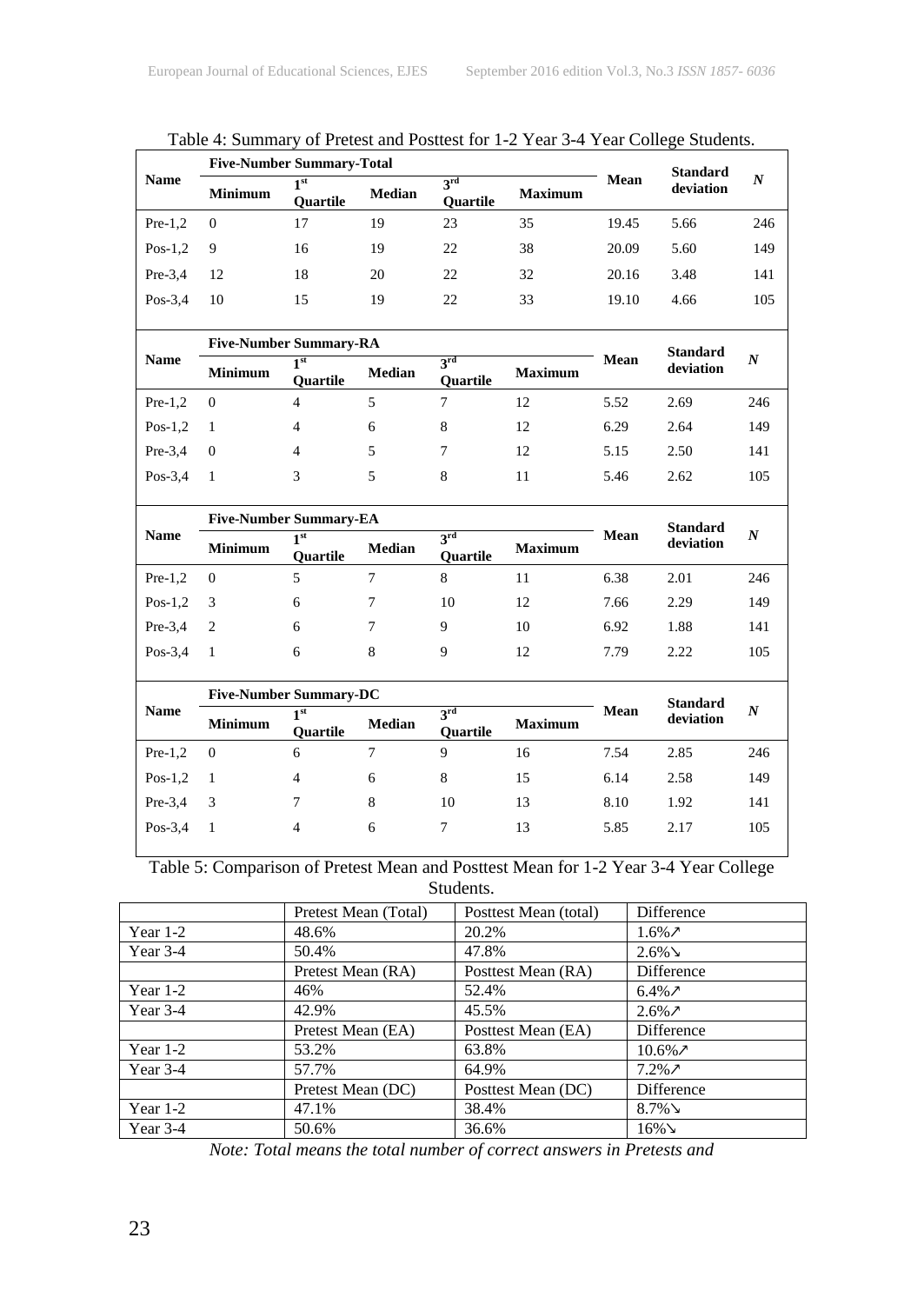|             | <b>Five-Number Summary-Total</b> |                                    |               | <b>Standard</b>                          |    |       |           |     |
|-------------|----------------------------------|------------------------------------|---------------|------------------------------------------|----|-------|-----------|-----|
| <b>Name</b> | <b>Minimum</b>                   | 1 <sup>st</sup><br><b>Ouartile</b> | <b>Median</b> | 3rd<br><b>Maximum</b><br><b>Ouartile</b> |    | Mean  | deviation | N   |
| $Pre-1,2$   | $\theta$                         | 17                                 | 19            | 23                                       | 35 | 19.45 | 5.66      | 246 |
| $Pos-1,2$   | 9                                | 16                                 | 19            | 22                                       | 38 | 20.09 | 5.60      | 149 |
| $Pre-3.4$   | 12                               | 18                                 | 20            | 22                                       | 32 | 20.16 | 3.48      | 141 |
| $Pos-3,4$   | 10                               | 15                                 | 19            | 22                                       | 33 | 19.10 | 4.66      | 105 |
|             |                                  |                                    |               |                                          |    |       |           |     |

| Table 4: Summary of Pretest and Posttest for 1-2 Year 3-4 Year College Students. |  |
|----------------------------------------------------------------------------------|--|
|----------------------------------------------------------------------------------|--|

|             | <b>Five-Number Summary-RA</b> |                        |               |                               |                |      | <b>Standard</b> |                  |
|-------------|-------------------------------|------------------------|---------------|-------------------------------|----------------|------|-----------------|------------------|
| <b>Name</b> | <b>Minimum</b>                | ⊣st<br><b>Ouartile</b> | <b>Median</b> | <b>2rd</b><br><b>Ouartile</b> | <b>Maximum</b> | Mean | deviation       | $\boldsymbol{N}$ |
| $Pre-1,2$   | $\theta$                      | 4                      |               |                               | 12             | 5.52 | 2.69            | 246              |
| $Pos-1,2$   |                               | 4                      | 6             | 8                             | 12             | 6.29 | 2.64            | 149              |
| $Pre-3.4$   | $\Omega$                      | 4                      | 5             |                               | 12             | 5.15 | 2.50            | 141              |
| $Pos-3,4$   |                               | 3                      | 5             | 8                             | 11             | 5.46 | 2.62            | 105              |

|             | <b>Five-Number Summary-EA</b> |                        |               |                        |                |      | <b>Standard</b> |     |
|-------------|-------------------------------|------------------------|---------------|------------------------|----------------|------|-----------------|-----|
| <b>Name</b> | <b>Minimum</b>                | 1st<br><b>Ouartile</b> | <b>Median</b> | 3rd<br><b>Ouartile</b> | <b>Maximum</b> | Mean | deviation       | N   |
| $Pre-1,2$   | $\theta$                      |                        |               | 8                      | 11             | 6.38 | 2.01            | 246 |
| $Pos-1,2$   | - 3                           | 6                      |               | 10                     | 12             | 7.66 | 2.29            | 149 |
| $Pre-3.4$   | $\overline{2}$                | 6                      |               | 9                      | 10             | 6.92 | 1.88            | 141 |
| $Pos-3,4$   |                               | 6                      | 8             | Q                      | 12             | 7.79 | 2.22            | 105 |

|             | <b>Five-Number Summary-DC</b> |                        |               |                                    |                |      | <b>Standard</b> |     |
|-------------|-------------------------------|------------------------|---------------|------------------------------------|----------------|------|-----------------|-----|
| <b>Name</b> | <b>Minimum</b>                | ⊣st<br><b>Ouartile</b> | <b>Median</b> | $2^{\text{rd}}$<br><b>Ouartile</b> | <b>Maximum</b> | Mean | deviation       | N   |
| $Pre-1,2$   | $\overline{0}$                | 6                      |               | Q                                  | 16             | 7.54 | 2.85            | 246 |
| $Pos-1,2$   |                               | $\overline{4}$         | 6             | 8                                  | 15             | 6.14 | 2.58            | 149 |
| $Pre-3.4$   | 3                             |                        | 8             | 10                                 | 13             | 8.10 | 1.92            | 141 |
| $Pos-3.4$   |                               | 4                      | 6             |                                    | 13             | 5.85 | 2.17            | 105 |

Table 5: Comparison of Pretest Mean and Posttest Mean for 1-2 Year 3-4 Year College Students.

|            | Pretest Mean (Total) | Posttest Mean (total) | Difference         |
|------------|----------------------|-----------------------|--------------------|
| Year $1-2$ | 48.6%                | 20.2%                 | $1.6\%$ $\lambda$  |
| Year $3-4$ | 50.4%                | 47.8%                 | $2.6\%$            |
|            | Pretest Mean (RA)    | Posttest Mean (RA)    | Difference         |
| Year $1-2$ | 46%                  | 52.4%                 | $6.4\%$ $\lambda$  |
| Year $3-4$ | 42.9%                | 45.5%                 | $2.6\%$ 7          |
|            | Pretest Mean (EA)    | Posttest Mean (EA)    | Difference         |
| Year $1-2$ | 53.2%                | 63.8%                 | $10.6\%$ $\lambda$ |
| Year $3-4$ | 57.7%                | 64.9%                 | $7.2\%$ 7          |
|            | Pretest Mean (DC)    | Posttest Mean (DC)    | Difference         |
| Year $1-2$ | 47.1%                | 38.4%                 | $8.7\%$            |
| Year $3-4$ | 50.6%                | 36.6%                 | $16\%$             |

*Note: Total means the total number of correct answers in Pretests and*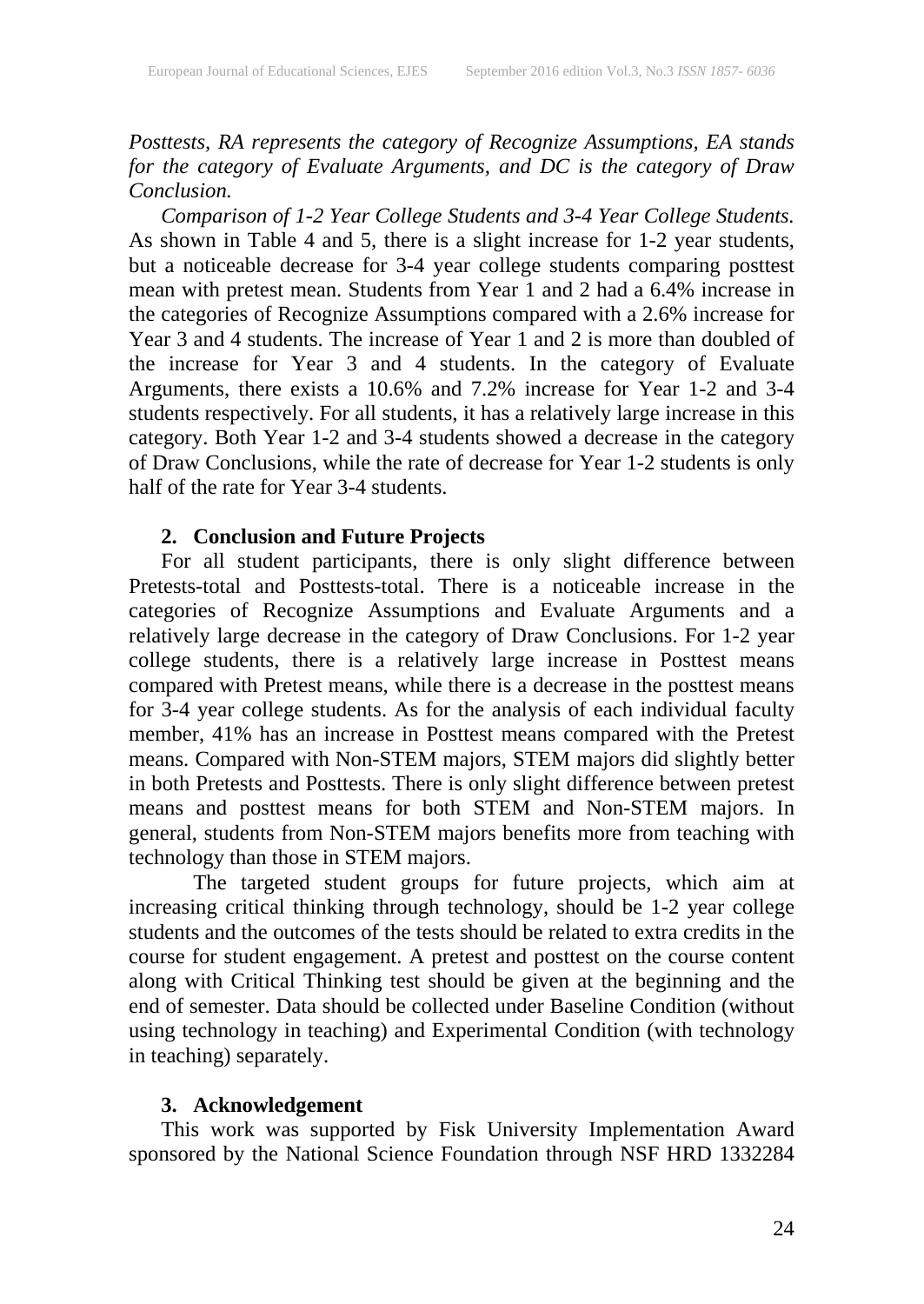*Posttests, RA represents the category of Recognize Assumptions, EA stands for the category of Evaluate Arguments, and DC is the category of Draw Conclusion.*

*Comparison of 1-2 Year College Students and 3-4 Year College Students.* As shown in Table 4 and 5, there is a slight increase for 1-2 year students, but a noticeable decrease for 3-4 year college students comparing posttest mean with pretest mean. Students from Year 1 and 2 had a 6.4% increase in the categories of Recognize Assumptions compared with a 2.6% increase for Year 3 and 4 students. The increase of Year 1 and 2 is more than doubled of the increase for Year 3 and 4 students. In the category of Evaluate Arguments, there exists a 10.6% and 7.2% increase for Year 1-2 and 3-4 students respectively. For all students, it has a relatively large increase in this category. Both Year 1-2 and 3-4 students showed a decrease in the category of Draw Conclusions, while the rate of decrease for Year 1-2 students is only half of the rate for Year 3-4 students.

### **2. Conclusion and Future Projects**

For all student participants, there is only slight difference between Pretests-total and Posttests-total. There is a noticeable increase in the categories of Recognize Assumptions and Evaluate Arguments and a relatively large decrease in the category of Draw Conclusions. For 1-2 year college students, there is a relatively large increase in Posttest means compared with Pretest means, while there is a decrease in the posttest means for 3-4 year college students. As for the analysis of each individual faculty member, 41% has an increase in Posttest means compared with the Pretest means. Compared with Non-STEM majors, STEM majors did slightly better in both Pretests and Posttests. There is only slight difference between pretest means and posttest means for both STEM and Non-STEM majors. In general, students from Non-STEM majors benefits more from teaching with technology than those in STEM majors.

The targeted student groups for future projects, which aim at increasing critical thinking through technology, should be 1-2 year college students and the outcomes of the tests should be related to extra credits in the course for student engagement. A pretest and posttest on the course content along with Critical Thinking test should be given at the beginning and the end of semester. Data should be collected under Baseline Condition (without using technology in teaching) and Experimental Condition (with technology in teaching) separately.

### **3. Acknowledgement**

This work was supported by Fisk University Implementation Award sponsored by the National Science Foundation through NSF HRD 1332284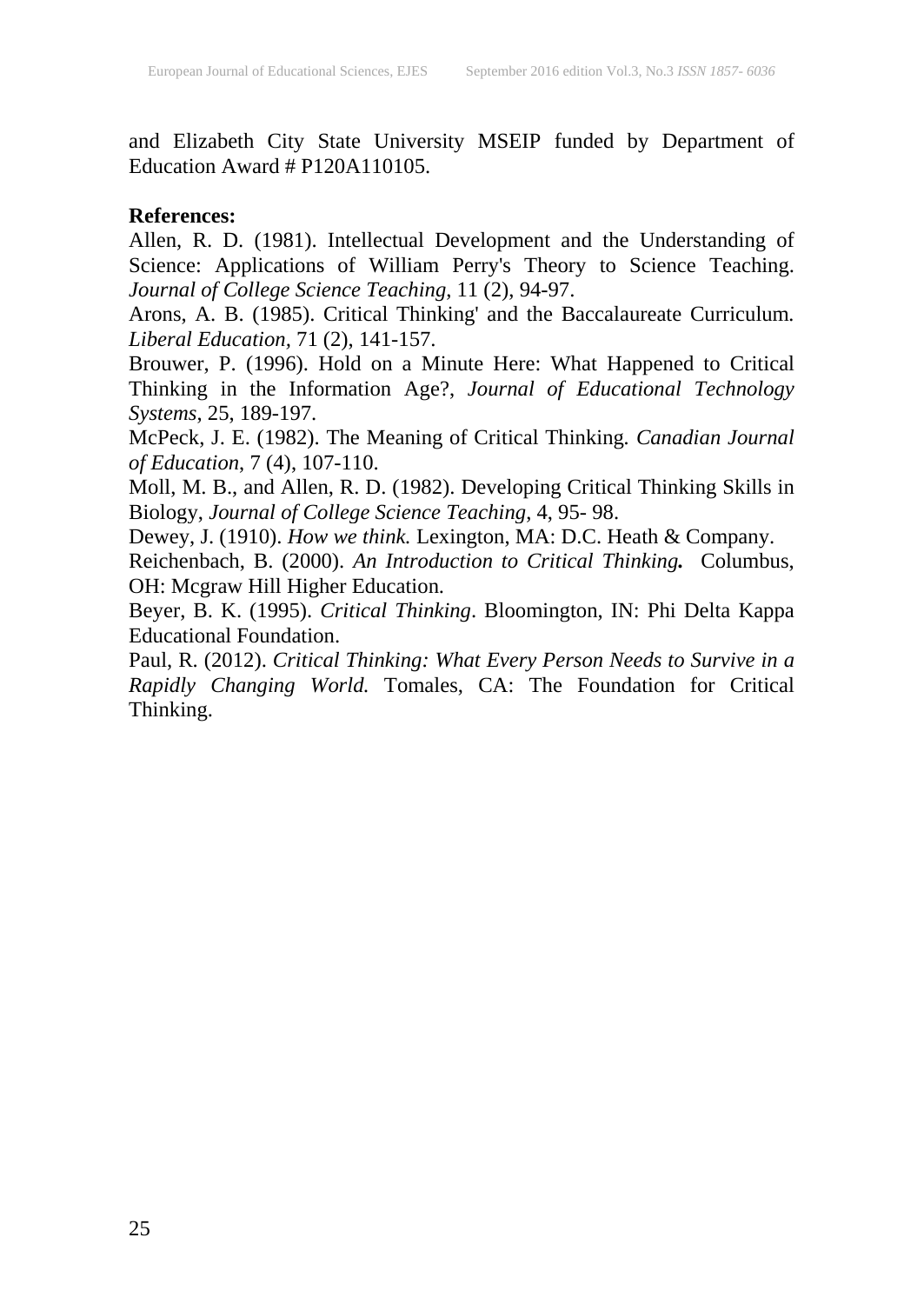and Elizabeth City State University MSEIP funded by Department of Education Award # P120A110105.

### **References:**

Allen, R. D. (1981). Intellectual Development and the Understanding of Science: Applications of William Perry's Theory to Science Teaching. *Journal of College Science Teaching*, 11 (2), 94-97.

Arons, A. B. (1985). Critical Thinking' and the Baccalaureate Curriculum*. Liberal Education,* 71 (2), 141-157.

Brouwer, P. (1996). Hold on a Minute Here: What Happened to Critical Thinking in the Information Age?, *Journal of Educational Technology Systems*, 25, 189-197.

McPeck, J. E. (1982). The Meaning of Critical Thinking*. Canadian Journal of Education*, 7 (4), 107-110.

Moll, M. B., and Allen, R. D. (1982). Developing Critical Thinking Skills in Biology, *Journal of College Science Teaching*, 4, 95- 98.

Dewey, J. (1910). *How we think.* Lexington, MA: D.C. Heath & Company.

Reichenbach, B. (2000). *An Introduction to Critical Thinking.* Columbus, OH: Mcgraw Hill Higher Education.

Beyer, B. K. (1995). *Critical Thinking*. Bloomington, IN: Phi Delta Kappa Educational Foundation.

Paul, R. (2012). *Critical Thinking: What Every Person Needs to Survive in a Rapidly Changing World.* Tomales, CA: The Foundation for Critical Thinking.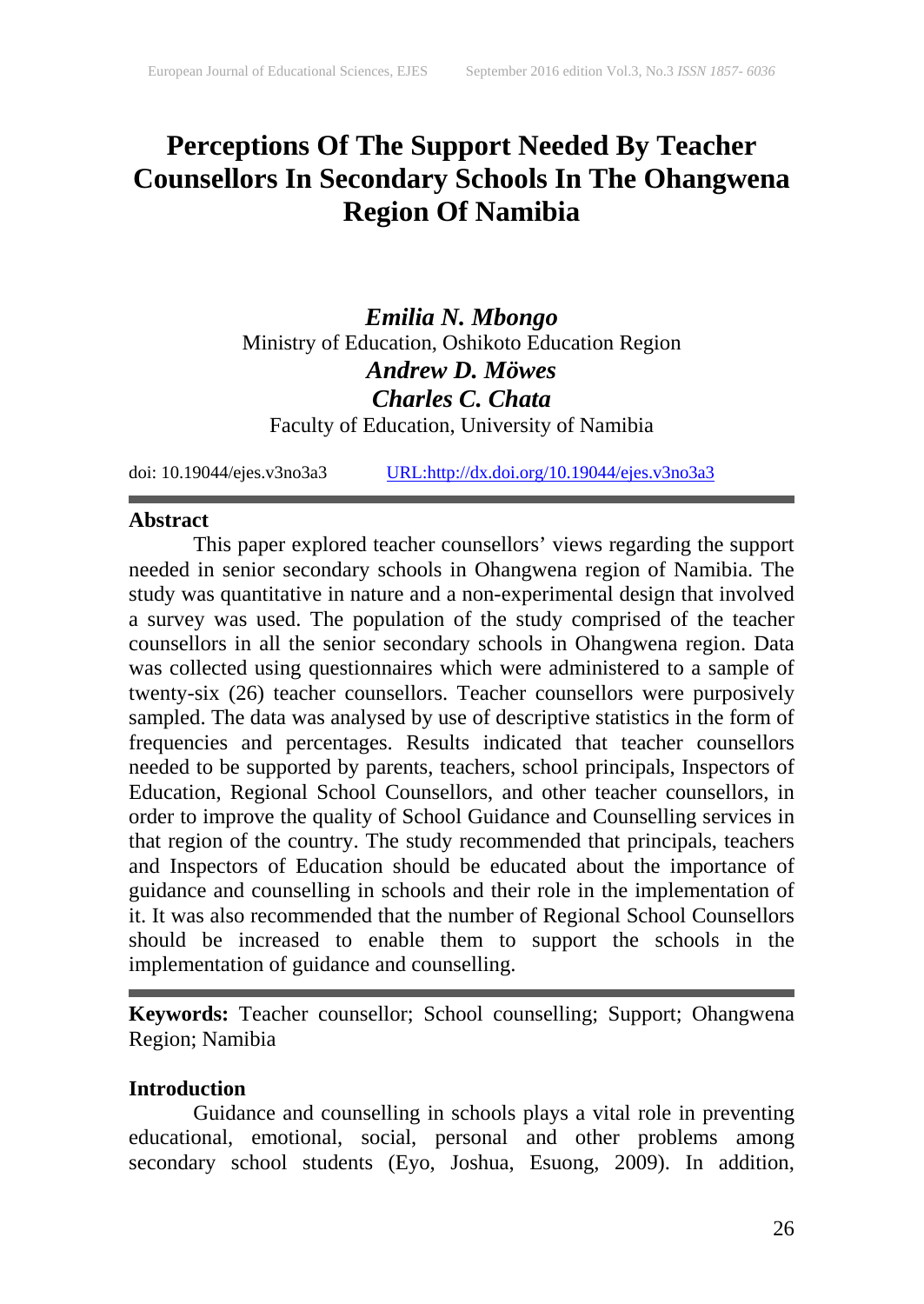### **Perceptions Of The Support Needed By Teacher Counsellors In Secondary Schools In The Ohangwena Region Of Namibia**

*Emilia N. Mbongo* Ministry of Education, Oshikoto Education Region *Andrew D. Möwes Charles C. Chata*

Faculty of Education, University of Namibia

doi: 10.19044/ejes.v3no3a3 [URL:http://dx.doi.org/10.19044/ejes.v3no3a3](http://dx.doi.org/10.19044/ejes.v3no3a3)

#### **Abstract**

This paper explored teacher counsellors' views regarding the support needed in senior secondary schools in Ohangwena region of Namibia. The study was quantitative in nature and a non-experimental design that involved a survey was used. The population of the study comprised of the teacher counsellors in all the senior secondary schools in Ohangwena region. Data was collected using questionnaires which were administered to a sample of twenty-six (26) teacher counsellors. Teacher counsellors were purposively sampled. The data was analysed by use of descriptive statistics in the form of frequencies and percentages. Results indicated that teacher counsellors needed to be supported by parents, teachers, school principals, Inspectors of Education, Regional School Counsellors, and other teacher counsellors, in order to improve the quality of School Guidance and Counselling services in that region of the country. The study recommended that principals, teachers and Inspectors of Education should be educated about the importance of guidance and counselling in schools and their role in the implementation of it. It was also recommended that the number of Regional School Counsellors should be increased to enable them to support the schools in the implementation of guidance and counselling.

**Keywords:** Teacher counsellor; School counselling; Support; Ohangwena Region; Namibia

### **Introduction**

Guidance and counselling in schools plays a vital role in preventing educational, emotional, social, personal and other problems among secondary school students (Eyo, Joshua, Esuong, 2009). In addition,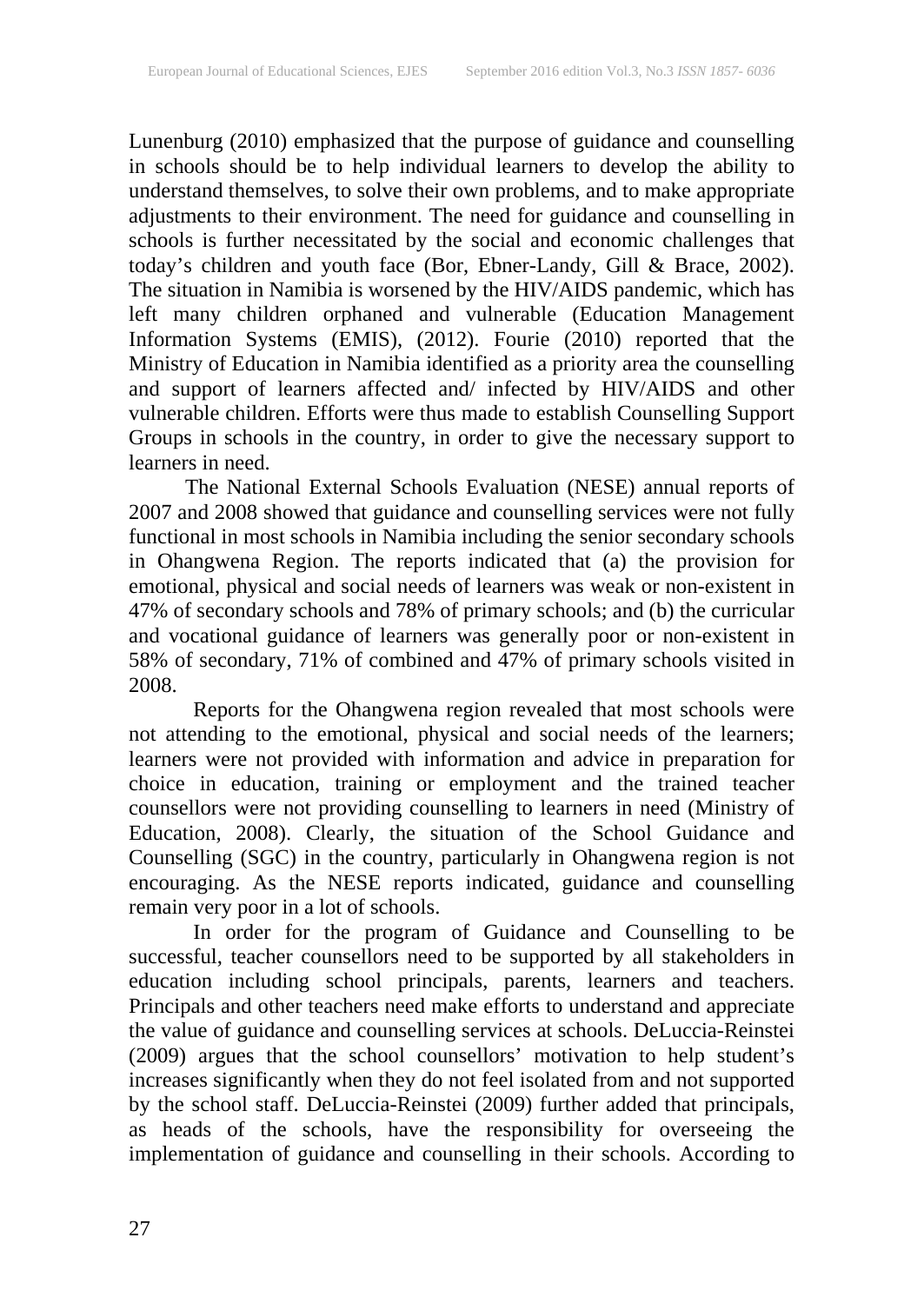Lunenburg (2010) emphasized that the purpose of guidance and counselling in schools should be to help individual learners to develop the ability to understand themselves, to solve their own problems, and to make appropriate adjustments to their environment. The need for guidance and counselling in schools is further necessitated by the social and economic challenges that today's children and youth face (Bor, Ebner-Landy, Gill & Brace, 2002). The situation in Namibia is worsened by the HIV/AIDS pandemic, which has left many children orphaned and vulnerable (Education Management Information Systems (EMIS), (2012). Fourie (2010) reported that the Ministry of Education in Namibia identified as a priority area the counselling and support of learners affected and/ infected by HIV/AIDS and other vulnerable children. Efforts were thus made to establish Counselling Support Groups in schools in the country, in order to give the necessary support to learners in need.

The National External Schools Evaluation (NESE) annual reports of 2007 and 2008 showed that guidance and counselling services were not fully functional in most schools in Namibia including the senior secondary schools in Ohangwena Region. The reports indicated that (a) the provision for emotional, physical and social needs of learners was weak or non-existent in 47% of secondary schools and 78% of primary schools; and (b) the curricular and vocational guidance of learners was generally poor or non-existent in 58% of secondary, 71% of combined and 47% of primary schools visited in 2008.

Reports for the Ohangwena region revealed that most schools were not attending to the emotional, physical and social needs of the learners; learners were not provided with information and advice in preparation for choice in education, training or employment and the trained teacher counsellors were not providing counselling to learners in need (Ministry of Education, 2008). Clearly, the situation of the School Guidance and Counselling (SGC) in the country, particularly in Ohangwena region is not encouraging. As the NESE reports indicated, guidance and counselling remain very poor in a lot of schools.

In order for the program of Guidance and Counselling to be successful, teacher counsellors need to be supported by all stakeholders in education including school principals, parents, learners and teachers. Principals and other teachers need make efforts to understand and appreciate the value of guidance and counselling services at schools. DeLuccia-Reinstei (2009) argues that the school counsellors' motivation to help student's increases significantly when they do not feel isolated from and not supported by the school staff. DeLuccia-Reinstei (2009) further added that principals, as heads of the schools, have the responsibility for overseeing the implementation of guidance and counselling in their schools. According to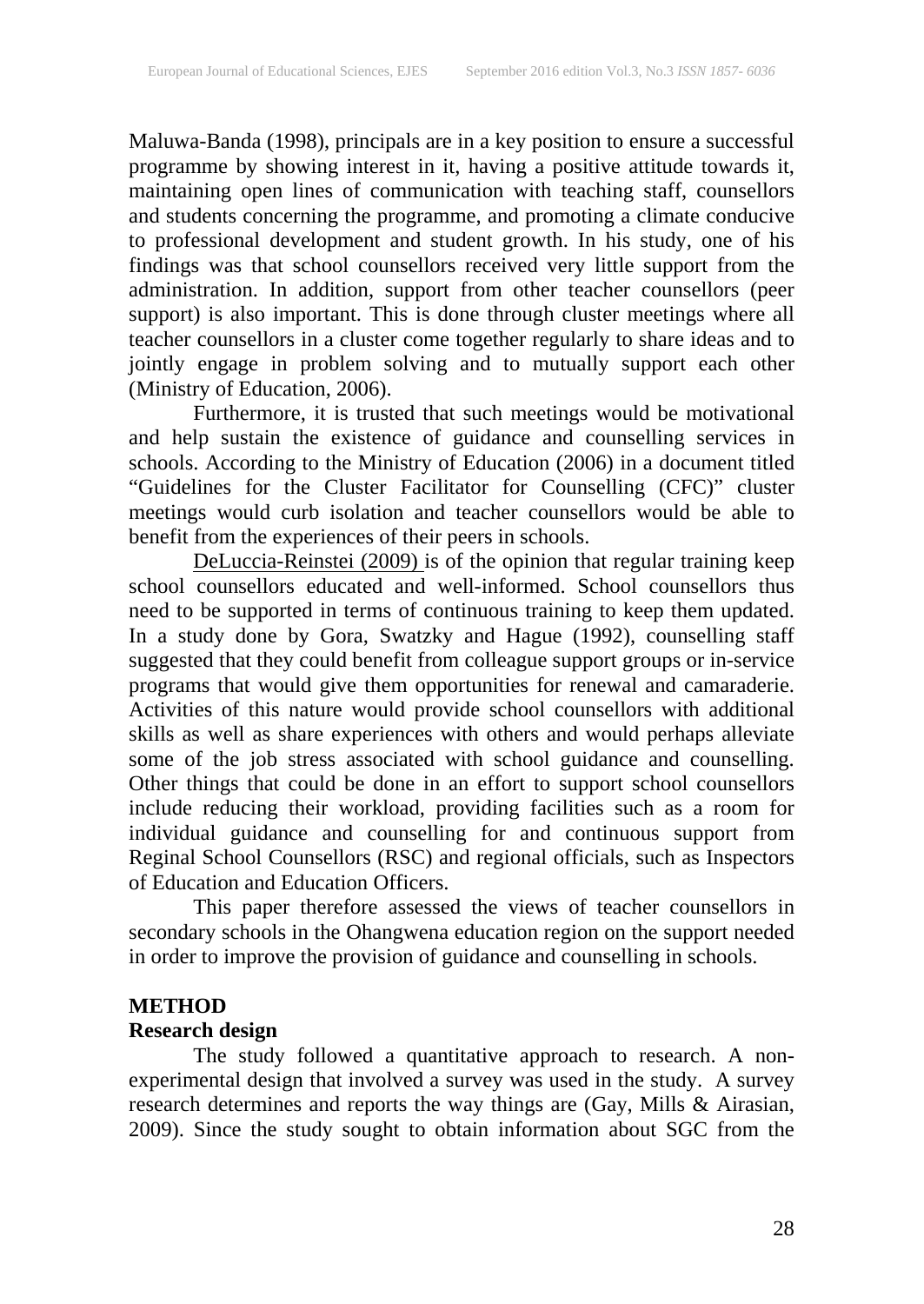Maluwa-Banda (1998), principals are in a key position to ensure a successful programme by showing interest in it, having a positive attitude towards it, maintaining open lines of communication with teaching staff, counsellors and students concerning the programme, and promoting a climate conducive to professional development and student growth. In his study, one of his findings was that school counsellors received very little support from the administration. In addition, support from other teacher counsellors (peer support) is also important. This is done through cluster meetings where all teacher counsellors in a cluster come together regularly to share ideas and to jointly engage in problem solving and to mutually support each other (Ministry of Education, 2006).

Furthermore, it is trusted that such meetings would be motivational and help sustain the existence of guidance and counselling services in schools. According to the Ministry of Education (2006) in a document titled "Guidelines for the Cluster Facilitator for Counselling (CFC)" cluster meetings would curb isolation and teacher counsellors would be able to benefit from the experiences of their peers in schools.

DeLuccia-Reinstei (2009) is of the opinion that regular training keep school counsellors educated and well-informed. School counsellors thus need to be supported in terms of continuous training to keep them updated. In a study done by Gora, Swatzky and Hague (1992), counselling staff suggested that they could benefit from colleague support groups or in-service programs that would give them opportunities for renewal and camaraderie. Activities of this nature would provide school counsellors with additional skills as well as share experiences with others and would perhaps alleviate some of the job stress associated with school guidance and counselling. Other things that could be done in an effort to support school counsellors include reducing their workload, providing facilities such as a room for individual guidance and counselling for and continuous support from Reginal School Counsellors (RSC) and regional officials, such as Inspectors of Education and Education Officers.

This paper therefore assessed the views of teacher counsellors in secondary schools in the Ohangwena education region on the support needed in order to improve the provision of guidance and counselling in schools.

### **METHOD**

#### **Research design**

The study followed a quantitative approach to research. A nonexperimental design that involved a survey was used in the study. A survey research determines and reports the way things are (Gay, Mills & Airasian, 2009). Since the study sought to obtain information about SGC from the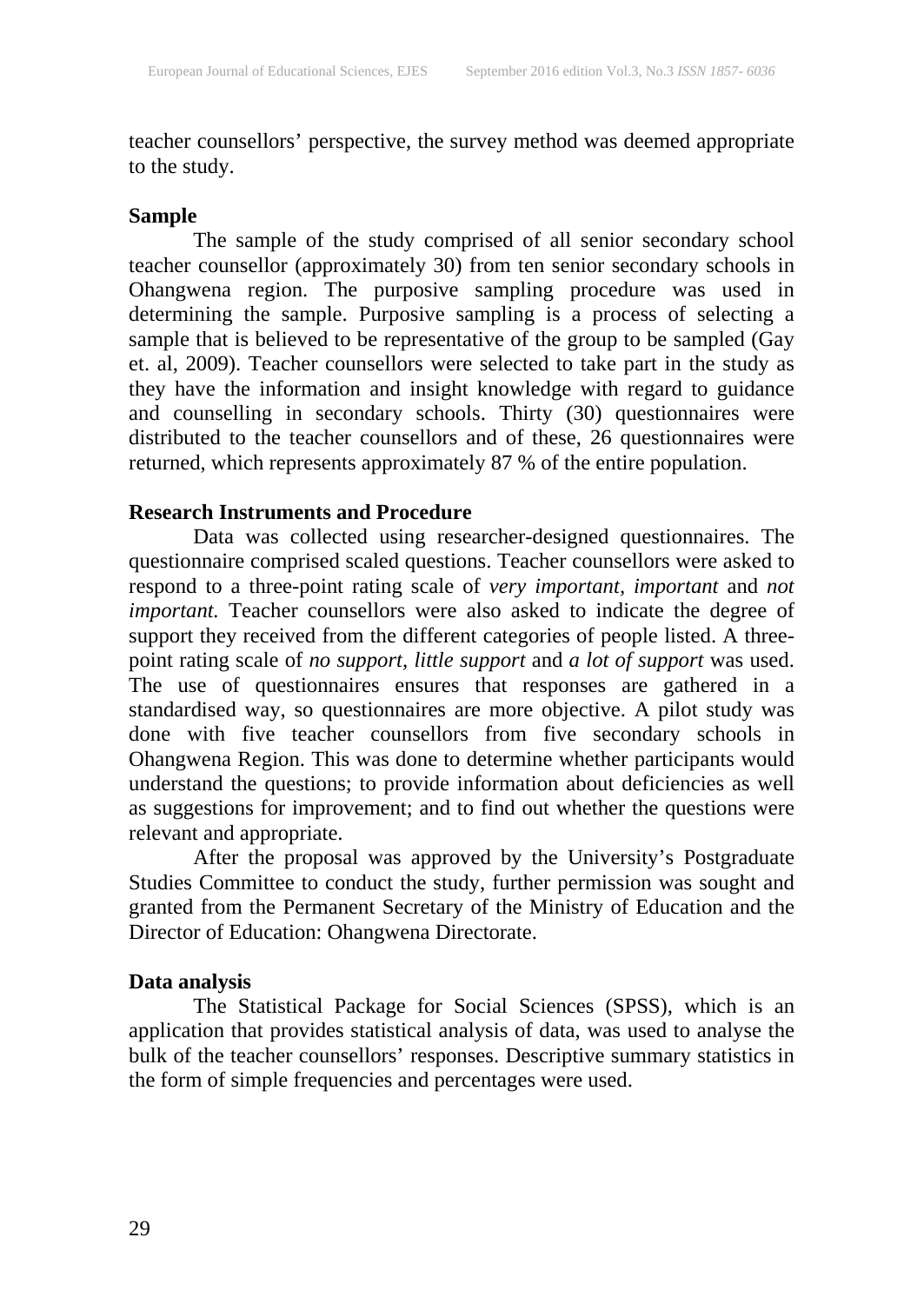teacher counsellors' perspective, the survey method was deemed appropriate to the study.

### **Sample**

The sample of the study comprised of all senior secondary school teacher counsellor (approximately 30) from ten senior secondary schools in Ohangwena region. The purposive sampling procedure was used in determining the sample. Purposive sampling is a process of selecting a sample that is believed to be representative of the group to be sampled (Gay et. al, 2009). Teacher counsellors were selected to take part in the study as they have the information and insight knowledge with regard to guidance and counselling in secondary schools. Thirty (30) questionnaires were distributed to the teacher counsellors and of these, 26 questionnaires were returned, which represents approximately 87 % of the entire population.

### **Research Instruments and Procedure**

Data was collected using researcher-designed questionnaires. The questionnaire comprised scaled questions. Teacher counsellors were asked to respond to a three-point rating scale of *very important, important* and *not important*. Teacher counsellors were also asked to indicate the degree of support they received from the different categories of people listed. A threepoint rating scale of *no support, little support* and *a lot of support* was used. The use of questionnaires ensures that responses are gathered in a standardised way, so questionnaires are more objective. A pilot study was done with five teacher counsellors from five secondary schools in Ohangwena Region. This was done to determine whether participants would understand the questions; to provide information about deficiencies as well as suggestions for improvement; and to find out whether the questions were relevant and appropriate.

After the proposal was approved by the University's Postgraduate Studies Committee to conduct the study, further permission was sought and granted from the Permanent Secretary of the Ministry of Education and the Director of Education: Ohangwena Directorate.

### **Data analysis**

The Statistical Package for Social Sciences (SPSS), which is an application that provides statistical analysis of data, was used to analyse the bulk of the teacher counsellors' responses. Descriptive summary statistics in the form of simple frequencies and percentages were used.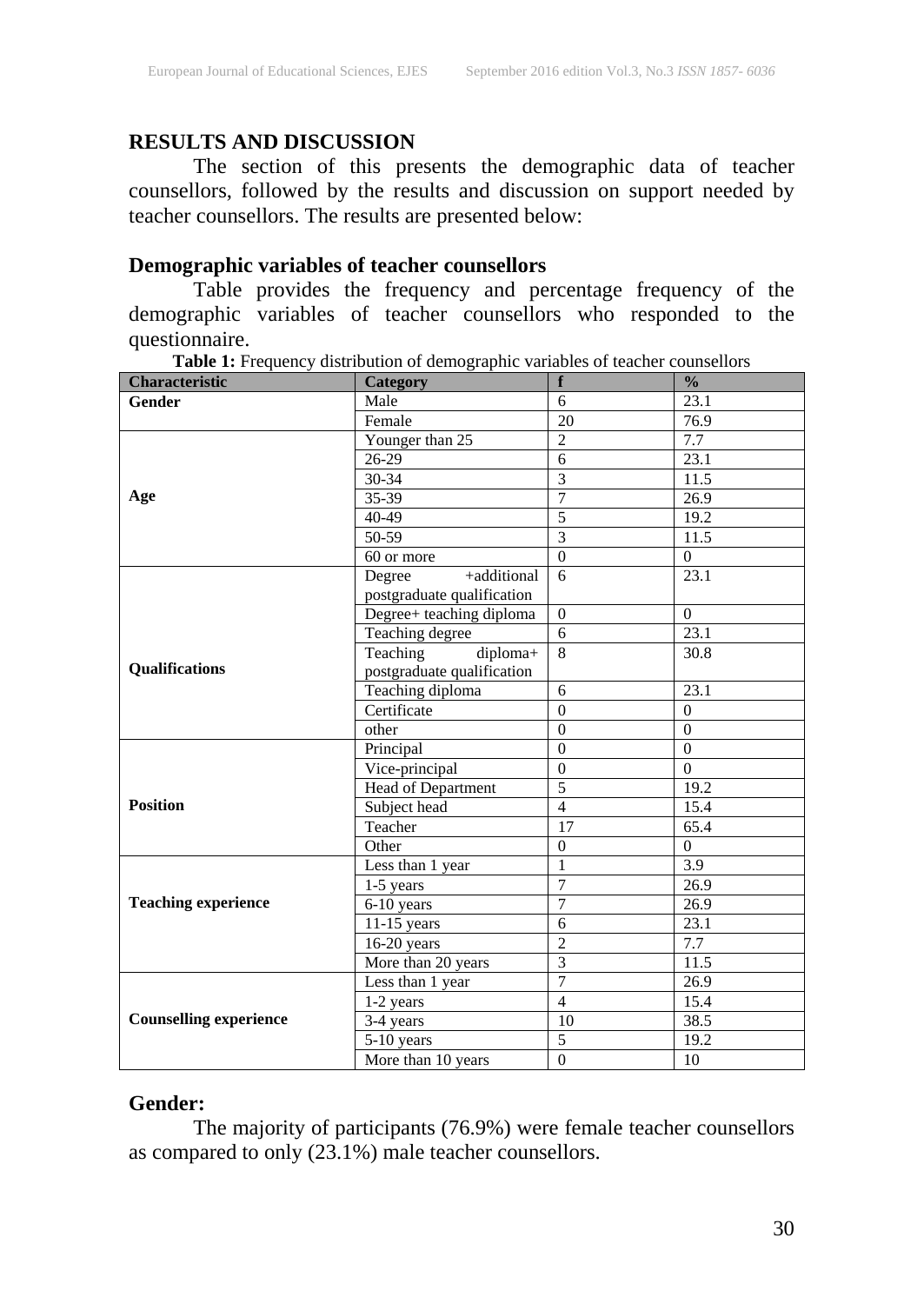### **RESULTS AND DISCUSSION**

The section of this presents the demographic data of teacher counsellors, followed by the results and discussion on support needed by teacher counsellors. The results are presented below:

### **Demographic variables of teacher counsellors**

Table provides the frequency and percentage frequency of the demographic variables of teacher counsellors who responded to the questionnaire.

| Characteristic                | Category                   | f                       | $\frac{0}{0}$  |
|-------------------------------|----------------------------|-------------------------|----------------|
| <b>Gender</b>                 | Male                       | 6                       | 23.1           |
|                               | Female                     | 20                      | 76.9           |
|                               | Younger than 25            | $\overline{c}$          | 7.7            |
|                               | 26-29                      | 6                       | 23.1           |
|                               | 30-34                      | $\overline{\mathbf{3}}$ | 11.5           |
| Age                           | 35-39                      | $\overline{7}$          | 26.9           |
|                               | 40-49                      | 5                       | 19.2           |
|                               | $50-59$                    | $\overline{3}$          | 11.5           |
|                               | 60 or more                 | $\Omega$                | $\overline{0}$ |
|                               | +additional<br>Degree      | 6                       | 23.1           |
|                               | postgraduate qualification |                         |                |
|                               | Degree+ teaching diploma   | $\mathbf{0}$            | $\Omega$       |
|                               | Teaching degree            | 6                       | 23.1           |
|                               | diploma+<br>Teaching       | 8                       | 30.8           |
| <b>Qualifications</b>         | postgraduate qualification |                         |                |
|                               | Teaching diploma           | 6                       | 23.1           |
|                               | Certificate                | $\mathbf{0}$            | $\overline{0}$ |
|                               | other                      | $\theta$                | $\theta$       |
|                               | Principal                  | $\theta$                | $\theta$       |
|                               | Vice-principal             | $\overline{0}$          | $\theta$       |
|                               | Head of Department         | $\overline{5}$          | 19.2           |
| <b>Position</b>               | Subject head               | $\overline{4}$          | 15.4           |
|                               | Teacher                    | $\overline{17}$         | 65.4           |
|                               | Other                      | $\mathbf{0}$            | $\overline{0}$ |
|                               | Less than 1 year           | $\mathbf{1}$            | 3.9            |
|                               | 1-5 years                  | $\overline{7}$          | 26.9           |
| <b>Teaching experience</b>    | $\overline{6}$ -10 years   | $\overline{7}$          | 26.9           |
|                               | $11-15$ years              | 6                       | 23.1           |
|                               | $16-20$ years              | $\overline{2}$          | 7.7            |
|                               | More than 20 years         | $\overline{3}$          | 11.5           |
|                               | Less than 1 year           | $\overline{7}$          | 26.9           |
|                               | 1-2 years                  | $\overline{4}$          | 15.4           |
| <b>Counselling experience</b> | 3-4 years                  | 10                      | 38.5           |
|                               | 5-10 years                 | $\overline{5}$          | 19.2           |
|                               | More than $10$ years       | $\overline{0}$          | 10             |

Table 1: Frequency distribution of demographic variables of teacher counsellors

### **Gender:**

The majority of participants (76.9%) were female teacher counsellors as compared to only (23.1%) male teacher counsellors.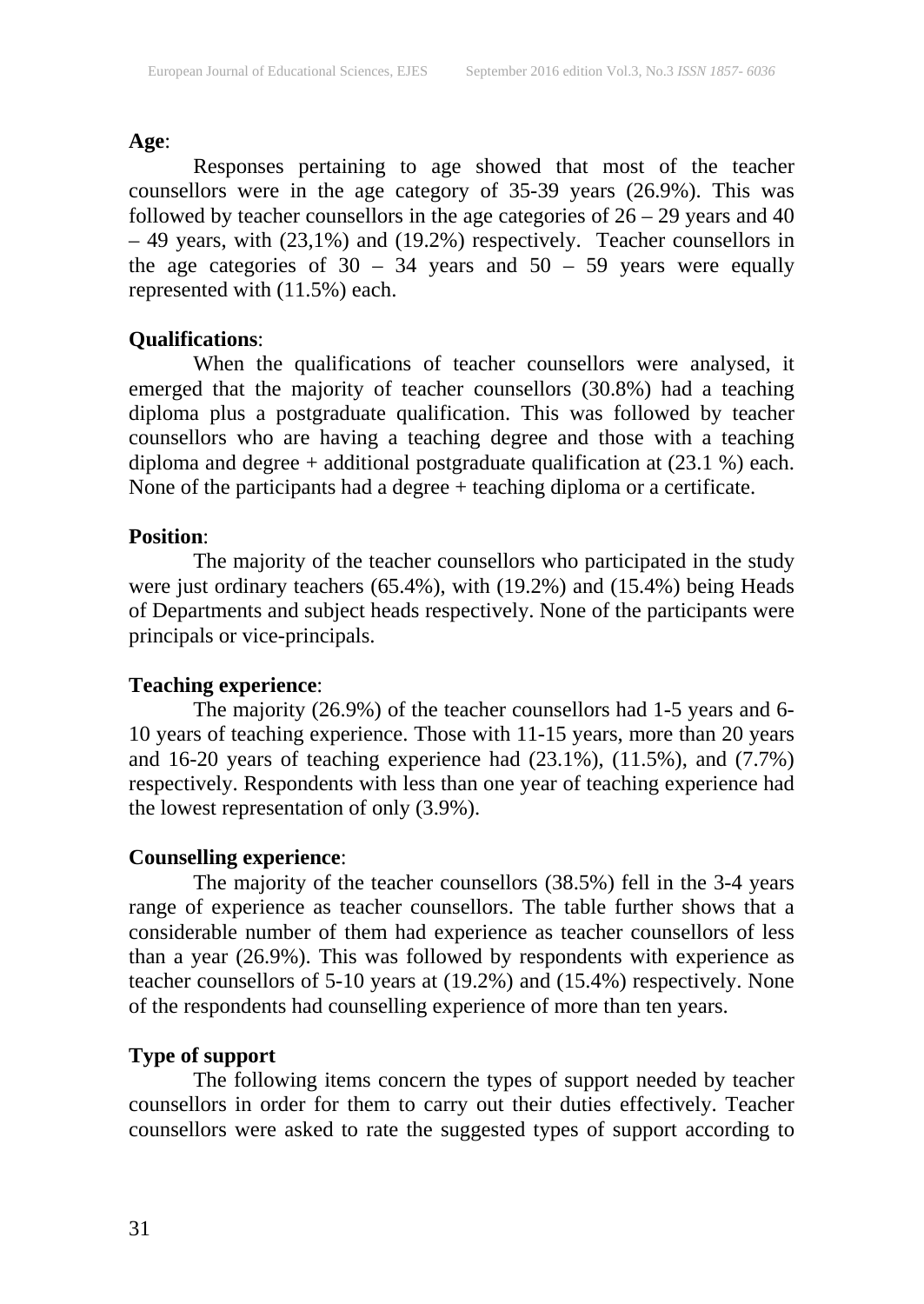#### **Age**:

Responses pertaining to age showed that most of the teacher counsellors were in the age category of 35-39 years (26.9%). This was followed by teacher counsellors in the age categories of  $26 - 29$  years and 40 – 49 years, with (23,1%) and (19.2%) respectively. Teacher counsellors in the age categories of  $30 - 34$  years and  $50 - 59$  years were equally represented with (11.5%) each.

### **Qualifications**:

When the qualifications of teacher counsellors were analysed, it emerged that the majority of teacher counsellors (30.8%) had a teaching diploma plus a postgraduate qualification. This was followed by teacher counsellors who are having a teaching degree and those with a teaching diploma and degree + additional postgraduate qualification at (23.1 %) each. None of the participants had a degree + teaching diploma or a certificate.

### **Position**:

The majority of the teacher counsellors who participated in the study were just ordinary teachers (65.4%), with (19.2%) and (15.4%) being Heads of Departments and subject heads respectively. None of the participants were principals or vice-principals.

### **Teaching experience**:

The majority (26.9%) of the teacher counsellors had 1-5 years and 6- 10 years of teaching experience. Those with 11-15 years, more than 20 years and 16-20 years of teaching experience had (23.1%), (11.5%), and (7.7%) respectively. Respondents with less than one year of teaching experience had the lowest representation of only (3.9%).

### **Counselling experience**:

The majority of the teacher counsellors (38.5%) fell in the 3-4 years range of experience as teacher counsellors. The table further shows that a considerable number of them had experience as teacher counsellors of less than a year (26.9%). This was followed by respondents with experience as teacher counsellors of 5-10 years at (19.2%) and (15.4%) respectively. None of the respondents had counselling experience of more than ten years.

### **Type of support**

The following items concern the types of support needed by teacher counsellors in order for them to carry out their duties effectively. Teacher counsellors were asked to rate the suggested types of support according to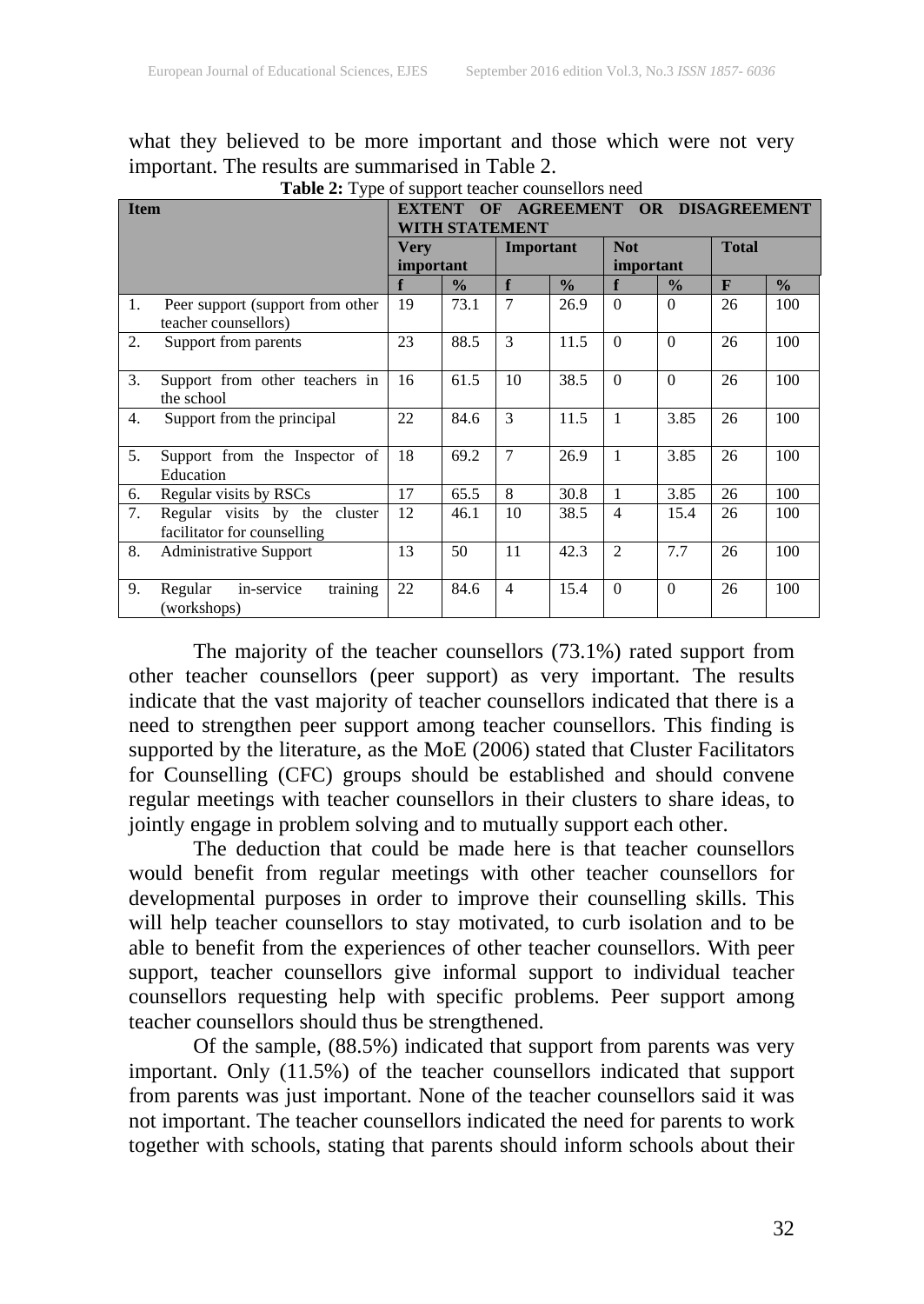|    | <b>Tuble 2.</b> Type of support teacher counseliors need     |           |                                                                                                             |                |               |                |               |              |               |
|----|--------------------------------------------------------------|-----------|-------------------------------------------------------------------------------------------------------------|----------------|---------------|----------------|---------------|--------------|---------------|
|    | <b>Item</b>                                                  |           | <b>OF</b><br><b>AGREEMENT</b><br><b>DISAGREEMENT</b><br><b>EXTENT</b><br><b>OR</b><br><b>WITH STATEMENT</b> |                |               |                |               |              |               |
|    |                                                              | Verv      |                                                                                                             | Important      |               | <b>Not</b>     |               | <b>Total</b> |               |
|    |                                                              | important |                                                                                                             |                |               | important      |               |              |               |
|    |                                                              | f         | $\frac{0}{0}$                                                                                               | f              | $\frac{0}{0}$ | f              | $\frac{0}{0}$ | $\mathbf{F}$ | $\frac{0}{0}$ |
| 1. | Peer support (support from other<br>teacher counsellors)     | 19        | 73.1                                                                                                        | $\tau$         | 26.9          | $\Omega$       | $\Omega$      | 26           | 100           |
| 2. | Support from parents                                         | 23        | 88.5                                                                                                        | $\mathcal{F}$  | 11.5          | $\Omega$       | $\Omega$      | 26           | 100           |
| 3. | Support from other teachers in<br>the school                 | 16        | 61.5                                                                                                        | 10             | 38.5          | $\Omega$       | $\Omega$      | 26           | 100           |
| 4. | Support from the principal                                   | 22        | 84.6                                                                                                        | $\mathcal{F}$  | 11.5          | 1              | 3.85          | 26           | 100           |
| 5. | Support from the Inspector of<br>Education                   | 18        | 69.2                                                                                                        | $\overline{7}$ | 26.9          | 1              | 3.85          | 26           | 100           |
| 6. | Regular visits by RSCs                                       | 17        | 65.5                                                                                                        | 8              | 30.8          |                | 3.85          | 26           | 100           |
| 7. | Regular visits by the cluster<br>facilitator for counselling | 12        | 46.1                                                                                                        | 10             | 38.5          | $\overline{4}$ | 15.4          | 26           | 100           |
| 8. | <b>Administrative Support</b>                                | 13        | 50                                                                                                          | 11             | 42.3          | $\mathfrak{D}$ | 7.7           | 26           | 100           |
| 9. | training<br>in-service<br>Regular<br>(workshops)             | 22        | 84.6                                                                                                        | $\overline{4}$ | 15.4          | $\Omega$       | $\Omega$      | 26           | 100           |

what they believed to be more important and those which were not very important. The results are summarised in Table 2.

**Table 2:** Type of support teacher counsellors need

The majority of the teacher counsellors (73.1%) rated support from other teacher counsellors (peer support) as very important. The results indicate that the vast majority of teacher counsellors indicated that there is a need to strengthen peer support among teacher counsellors. This finding is supported by the literature, as the MoE (2006) stated that Cluster Facilitators for Counselling (CFC) groups should be established and should convene regular meetings with teacher counsellors in their clusters to share ideas, to jointly engage in problem solving and to mutually support each other.

The deduction that could be made here is that teacher counsellors would benefit from regular meetings with other teacher counsellors for developmental purposes in order to improve their counselling skills. This will help teacher counsellors to stay motivated, to curb isolation and to be able to benefit from the experiences of other teacher counsellors. With peer support, teacher counsellors give informal support to individual teacher counsellors requesting help with specific problems. Peer support among teacher counsellors should thus be strengthened.

Of the sample, (88.5%) indicated that support from parents was very important. Only (11.5%) of the teacher counsellors indicated that support from parents was just important. None of the teacher counsellors said it was not important. The teacher counsellors indicated the need for parents to work together with schools, stating that parents should inform schools about their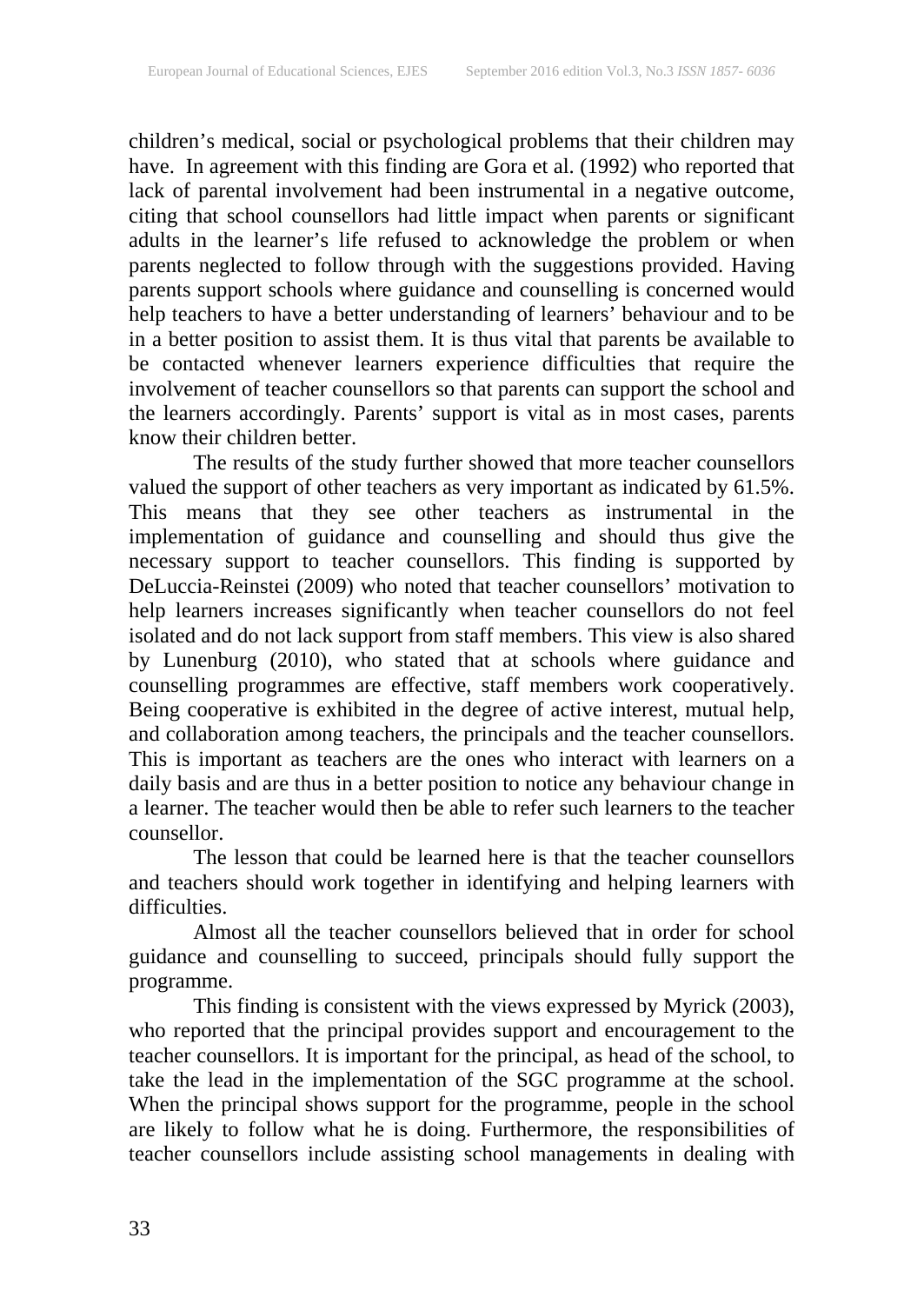children's medical, social or psychological problems that their children may have. In agreement with this finding are Gora et al. (1992) who reported that lack of parental involvement had been instrumental in a negative outcome, citing that school counsellors had little impact when parents or significant adults in the learner's life refused to acknowledge the problem or when parents neglected to follow through with the suggestions provided. Having parents support schools where guidance and counselling is concerned would help teachers to have a better understanding of learners' behaviour and to be in a better position to assist them. It is thus vital that parents be available to be contacted whenever learners experience difficulties that require the involvement of teacher counsellors so that parents can support the school and the learners accordingly. Parents' support is vital as in most cases, parents know their children better.

The results of the study further showed that more teacher counsellors valued the support of other teachers as very important as indicated by 61.5%. This means that they see other teachers as instrumental in the implementation of guidance and counselling and should thus give the necessary support to teacher counsellors. This finding is supported by DeLuccia-Reinstei (2009) who noted that teacher counsellors' motivation to help learners increases significantly when teacher counsellors do not feel isolated and do not lack support from staff members. This view is also shared by Lunenburg (2010), who stated that at schools where guidance and counselling programmes are effective, staff members work cooperatively. Being cooperative is exhibited in the degree of active interest, mutual help, and collaboration among teachers, the principals and the teacher counsellors. This is important as teachers are the ones who interact with learners on a daily basis and are thus in a better position to notice any behaviour change in a learner. The teacher would then be able to refer such learners to the teacher counsellor.

The lesson that could be learned here is that the teacher counsellors and teachers should work together in identifying and helping learners with difficulties.

Almost all the teacher counsellors believed that in order for school guidance and counselling to succeed, principals should fully support the programme.

This finding is consistent with the views expressed by Myrick (2003), who reported that the principal provides support and encouragement to the teacher counsellors. It is important for the principal, as head of the school, to take the lead in the implementation of the SGC programme at the school. When the principal shows support for the programme, people in the school are likely to follow what he is doing. Furthermore, the responsibilities of teacher counsellors include assisting school managements in dealing with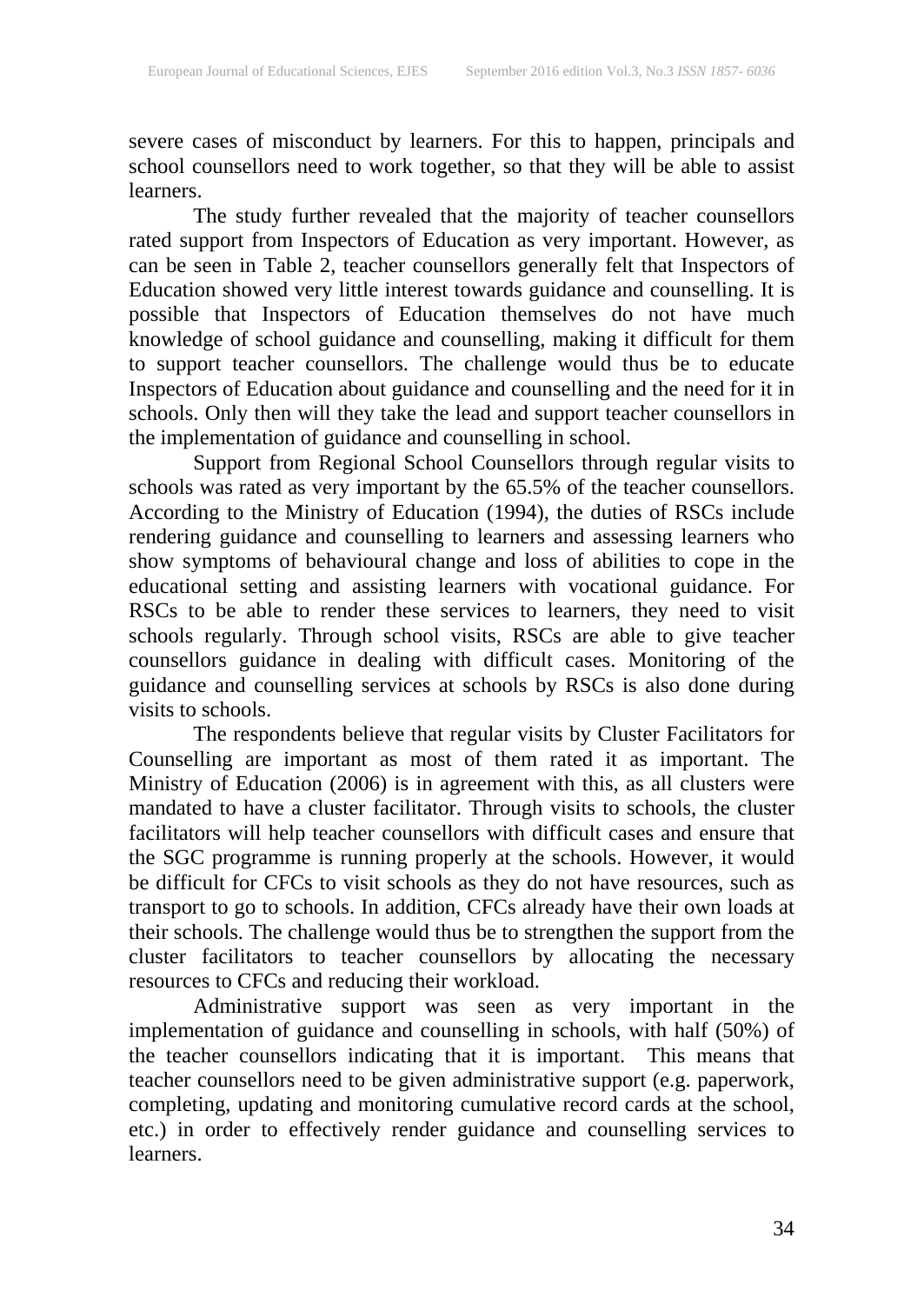severe cases of misconduct by learners. For this to happen, principals and school counsellors need to work together, so that they will be able to assist learners.

The study further revealed that the majority of teacher counsellors rated support from Inspectors of Education as very important. However, as can be seen in Table 2, teacher counsellors generally felt that Inspectors of Education showed very little interest towards guidance and counselling. It is possible that Inspectors of Education themselves do not have much knowledge of school guidance and counselling, making it difficult for them to support teacher counsellors. The challenge would thus be to educate Inspectors of Education about guidance and counselling and the need for it in schools. Only then will they take the lead and support teacher counsellors in the implementation of guidance and counselling in school.

Support from Regional School Counsellors through regular visits to schools was rated as very important by the 65.5% of the teacher counsellors. According to the Ministry of Education (1994), the duties of RSCs include rendering guidance and counselling to learners and assessing learners who show symptoms of behavioural change and loss of abilities to cope in the educational setting and assisting learners with vocational guidance. For RSCs to be able to render these services to learners, they need to visit schools regularly. Through school visits, RSCs are able to give teacher counsellors guidance in dealing with difficult cases. Monitoring of the guidance and counselling services at schools by RSCs is also done during visits to schools.

The respondents believe that regular visits by Cluster Facilitators for Counselling are important as most of them rated it as important. The Ministry of Education (2006) is in agreement with this, as all clusters were mandated to have a cluster facilitator. Through visits to schools, the cluster facilitators will help teacher counsellors with difficult cases and ensure that the SGC programme is running properly at the schools. However, it would be difficult for CFCs to visit schools as they do not have resources, such as transport to go to schools. In addition, CFCs already have their own loads at their schools. The challenge would thus be to strengthen the support from the cluster facilitators to teacher counsellors by allocating the necessary resources to CFCs and reducing their workload.

Administrative support was seen as very important in the implementation of guidance and counselling in schools, with half (50%) of the teacher counsellors indicating that it is important. This means that teacher counsellors need to be given administrative support (e.g. paperwork, completing, updating and monitoring cumulative record cards at the school, etc.) in order to effectively render guidance and counselling services to learners.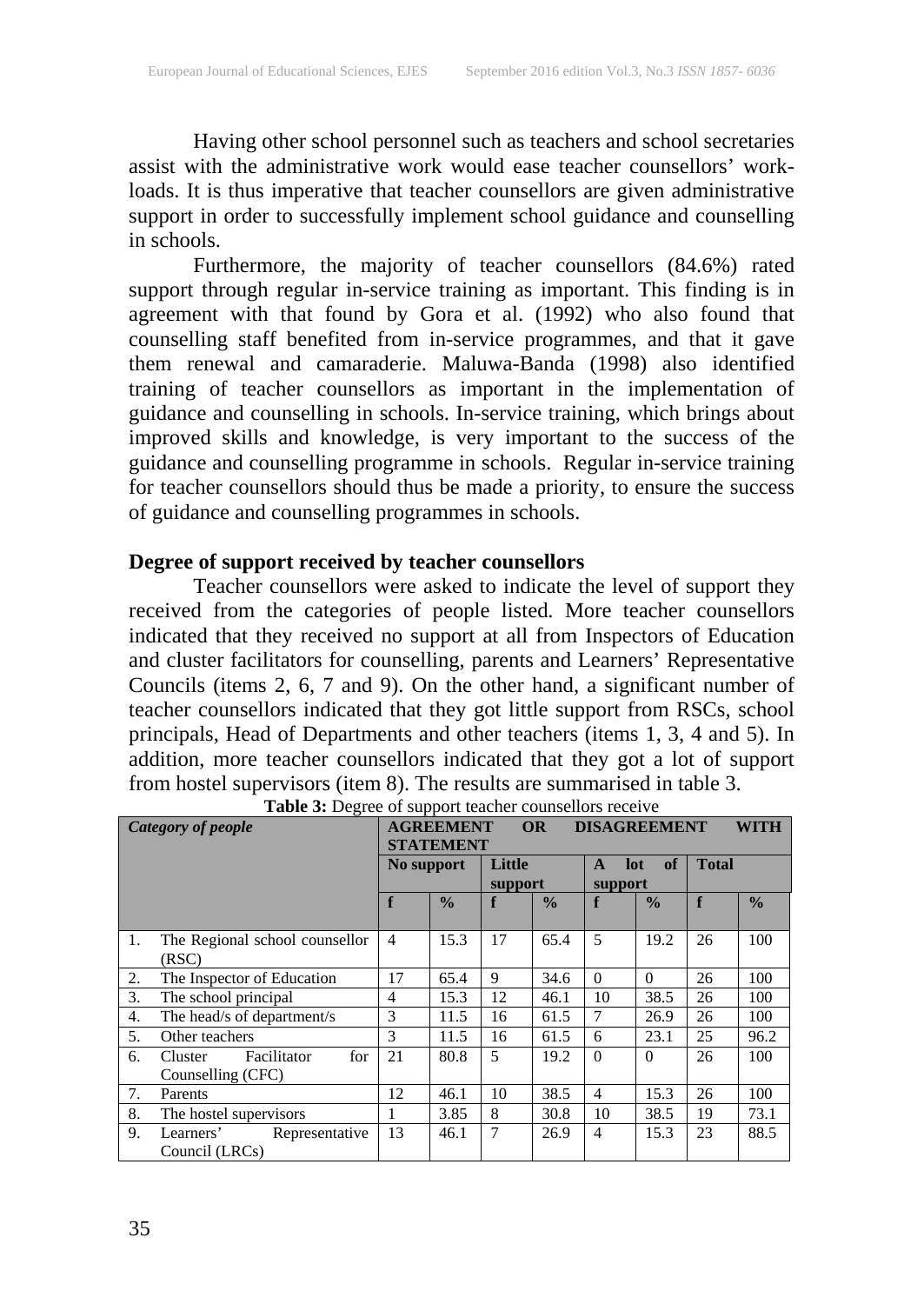Having other school personnel such as teachers and school secretaries assist with the administrative work would ease teacher counsellors' workloads. It is thus imperative that teacher counsellors are given administrative support in order to successfully implement school guidance and counselling in schools.

Furthermore, the majority of teacher counsellors (84.6%) rated support through regular in-service training as important. This finding is in agreement with that found by Gora et al. (1992) who also found that counselling staff benefited from in-service programmes, and that it gave them renewal and camaraderie. Maluwa-Banda (1998) also identified training of teacher counsellors as important in the implementation of guidance and counselling in schools. In-service training, which brings about improved skills and knowledge, is very important to the success of the guidance and counselling programme in schools. Regular in-service training for teacher counsellors should thus be made a priority, to ensure the success of guidance and counselling programmes in schools.

### **Degree of support received by teacher counsellors**

Teacher counsellors were asked to indicate the level of support they received from the categories of people listed. More teacher counsellors indicated that they received no support at all from Inspectors of Education and cluster facilitators for counselling, parents and Learners' Representative Councils (items 2, 6, 7 and 9). On the other hand, a significant number of teacher counsellors indicated that they got little support from RSCs, school principals, Head of Departments and other teachers (items 1, 3, 4 and 5). In addition, more teacher counsellors indicated that they got a lot of support from hostel supervisors (item 8). The results are summarised in table 3.

| Category of people |                                      | <b>AGREEMENT</b><br><b>OR</b> |               |         |               | <b>DISAGREEMENT</b><br>WITH |               |              |               |  |
|--------------------|--------------------------------------|-------------------------------|---------------|---------|---------------|-----------------------------|---------------|--------------|---------------|--|
|                    |                                      | <b>STATEMENT</b>              |               |         |               |                             |               |              |               |  |
|                    |                                      | No support                    |               | Little  |               | of<br>lot<br>A              |               | <b>Total</b> |               |  |
|                    |                                      |                               |               | support |               | support                     |               |              |               |  |
|                    |                                      | f                             | $\frac{0}{0}$ | f       | $\frac{0}{0}$ | f                           | $\frac{0}{0}$ | f            | $\frac{0}{0}$ |  |
|                    |                                      |                               |               |         |               |                             |               |              |               |  |
| 1.                 | The Regional school counsellor       | $\overline{4}$                | 15.3          | 17      | 65.4          | $\overline{5}$              | 19.2          | 26           | 100           |  |
|                    | (RSC)                                |                               |               |         |               |                             |               |              |               |  |
| 2.                 | The Inspector of Education           | 17                            | 65.4          | 9       | 34.6          | $\Omega$                    | $\Omega$      | 26           | 100           |  |
| 3.                 | The school principal                 | 4                             | 15.3          | 12      | 46.1          | 10                          | 38.5          | 26           | 100           |  |
| 4.                 | The head/s of department/s           | 3                             | 11.5          | 16      | 61.5          | 7                           | 26.9          | 26           | 100           |  |
| 5.                 | Other teachers                       | 3                             | 11.5          | 16      | 61.5          | 6                           | 23.1          | 25           | 96.2          |  |
| 6.                 | Facilitator<br>for<br><b>Cluster</b> | 21                            | 80.8          | 5       | 19.2          | $\Omega$                    | $\Omega$      | 26           | 100           |  |
|                    | Counselling (CFC)                    |                               |               |         |               |                             |               |              |               |  |
| 7.                 | Parents                              | 12                            | 46.1          | 10      | 38.5          | $\overline{4}$              | 15.3          | 26           | 100           |  |
| 8.                 | The hostel supervisors               | 1                             | 3.85          | 8       | 30.8          | 10                          | 38.5          | 19           | 73.1          |  |
| 9.                 | Learners'<br>Representative          | 13                            | 46.1          | 7       | 26.9          | $\overline{4}$              | 15.3          | 23           | 88.5          |  |
|                    | Council (LRCs)                       |                               |               |         |               |                             |               |              |               |  |

|  |  | Table 3: Degree of support teacher counsellors receive |  |
|--|--|--------------------------------------------------------|--|
|  |  |                                                        |  |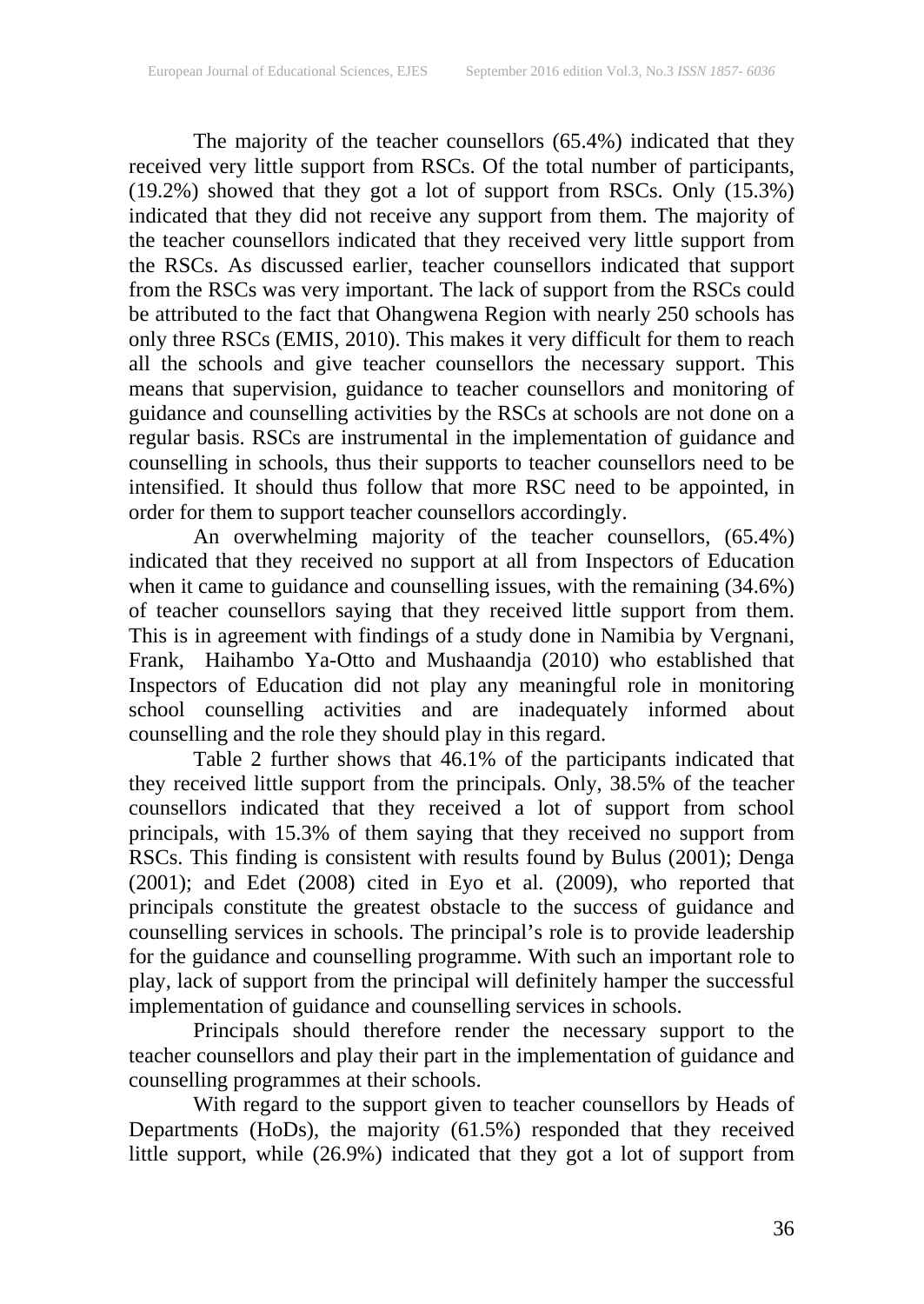The majority of the teacher counsellors (65.4%) indicated that they received very little support from RSCs. Of the total number of participants, (19.2%) showed that they got a lot of support from RSCs. Only (15.3%) indicated that they did not receive any support from them. The majority of the teacher counsellors indicated that they received very little support from the RSCs. As discussed earlier, teacher counsellors indicated that support from the RSCs was very important. The lack of support from the RSCs could be attributed to the fact that Ohangwena Region with nearly 250 schools has only three RSCs (EMIS, 2010). This makes it very difficult for them to reach all the schools and give teacher counsellors the necessary support. This means that supervision, guidance to teacher counsellors and monitoring of guidance and counselling activities by the RSCs at schools are not done on a regular basis. RSCs are instrumental in the implementation of guidance and counselling in schools, thus their supports to teacher counsellors need to be intensified. It should thus follow that more RSC need to be appointed, in order for them to support teacher counsellors accordingly.

An overwhelming majority of the teacher counsellors, (65.4%) indicated that they received no support at all from Inspectors of Education when it came to guidance and counselling issues, with the remaining (34.6%) of teacher counsellors saying that they received little support from them. This is in agreement with findings of a study done in Namibia by Vergnani, Frank, Haihambo Ya-Otto and Mushaandja (2010) who established that Inspectors of Education did not play any meaningful role in monitoring school counselling activities and are inadequately informed about counselling and the role they should play in this regard.

Table 2 further shows that 46.1% of the participants indicated that they received little support from the principals. Only, 38.5% of the teacher counsellors indicated that they received a lot of support from school principals, with 15.3% of them saying that they received no support from RSCs. This finding is consistent with results found by Bulus (2001); Denga (2001); and Edet (2008) cited in Eyo et al. (2009), who reported that principals constitute the greatest obstacle to the success of guidance and counselling services in schools. The principal's role is to provide leadership for the guidance and counselling programme. With such an important role to play, lack of support from the principal will definitely hamper the successful implementation of guidance and counselling services in schools.

Principals should therefore render the necessary support to the teacher counsellors and play their part in the implementation of guidance and counselling programmes at their schools.

With regard to the support given to teacher counsellors by Heads of Departments (HoDs), the majority (61.5%) responded that they received little support, while (26.9%) indicated that they got a lot of support from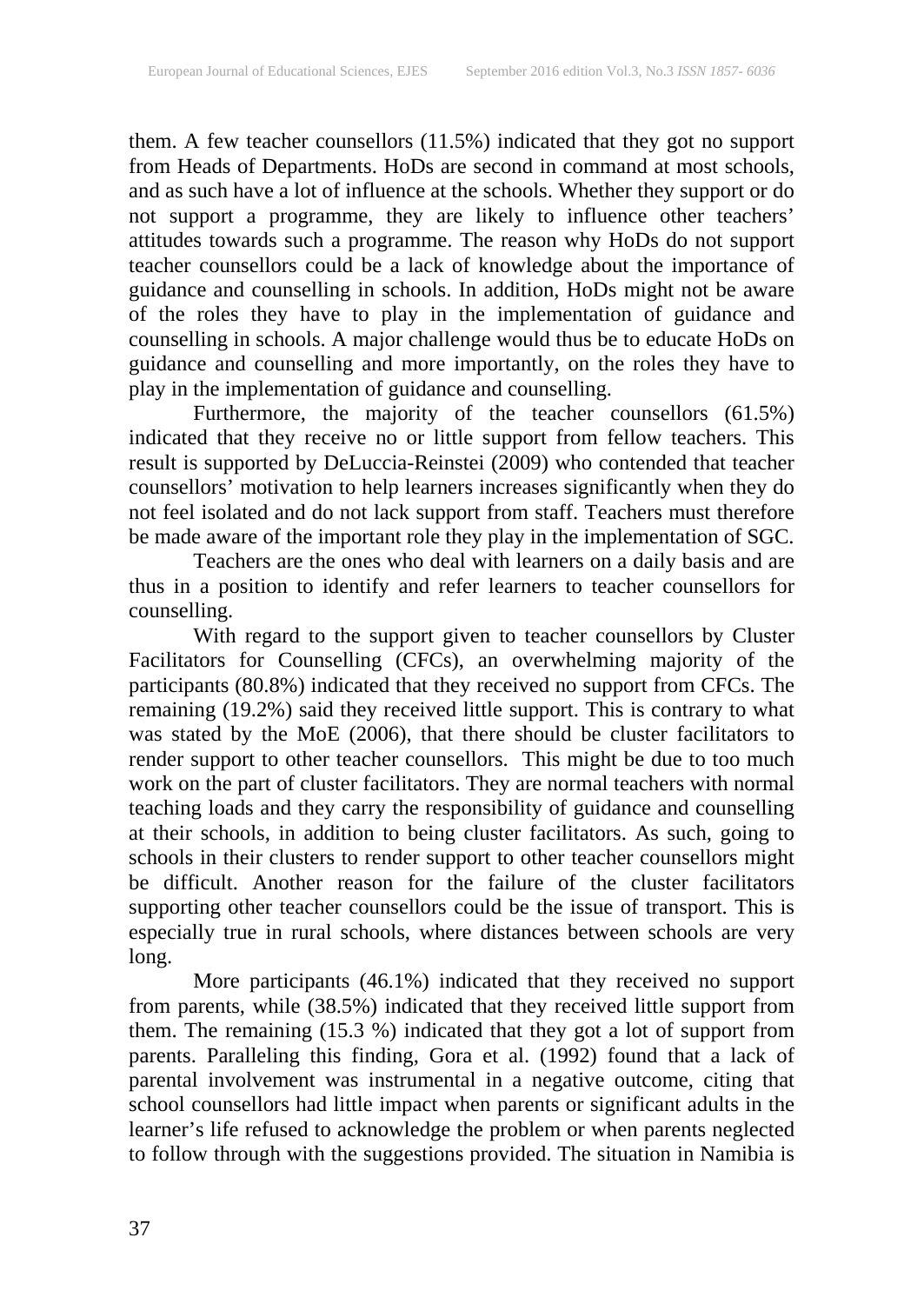them. A few teacher counsellors (11.5%) indicated that they got no support from Heads of Departments. HoDs are second in command at most schools, and as such have a lot of influence at the schools. Whether they support or do not support a programme, they are likely to influence other teachers' attitudes towards such a programme. The reason why HoDs do not support teacher counsellors could be a lack of knowledge about the importance of guidance and counselling in schools. In addition, HoDs might not be aware of the roles they have to play in the implementation of guidance and counselling in schools. A major challenge would thus be to educate HoDs on guidance and counselling and more importantly, on the roles they have to play in the implementation of guidance and counselling.

Furthermore, the majority of the teacher counsellors (61.5%) indicated that they receive no or little support from fellow teachers. This result is supported by DeLuccia-Reinstei (2009) who contended that teacher counsellors' motivation to help learners increases significantly when they do not feel isolated and do not lack support from staff. Teachers must therefore be made aware of the important role they play in the implementation of SGC.

Teachers are the ones who deal with learners on a daily basis and are thus in a position to identify and refer learners to teacher counsellors for counselling.

With regard to the support given to teacher counsellors by Cluster Facilitators for Counselling (CFCs), an overwhelming majority of the participants (80.8%) indicated that they received no support from CFCs. The remaining (19.2%) said they received little support. This is contrary to what was stated by the MoE (2006), that there should be cluster facilitators to render support to other teacher counsellors. This might be due to too much work on the part of cluster facilitators. They are normal teachers with normal teaching loads and they carry the responsibility of guidance and counselling at their schools, in addition to being cluster facilitators. As such, going to schools in their clusters to render support to other teacher counsellors might be difficult. Another reason for the failure of the cluster facilitators supporting other teacher counsellors could be the issue of transport. This is especially true in rural schools, where distances between schools are very long.

More participants (46.1%) indicated that they received no support from parents, while (38.5%) indicated that they received little support from them. The remaining (15.3 %) indicated that they got a lot of support from parents. Paralleling this finding, Gora et al. (1992) found that a lack of parental involvement was instrumental in a negative outcome, citing that school counsellors had little impact when parents or significant adults in the learner's life refused to acknowledge the problem or when parents neglected to follow through with the suggestions provided. The situation in Namibia is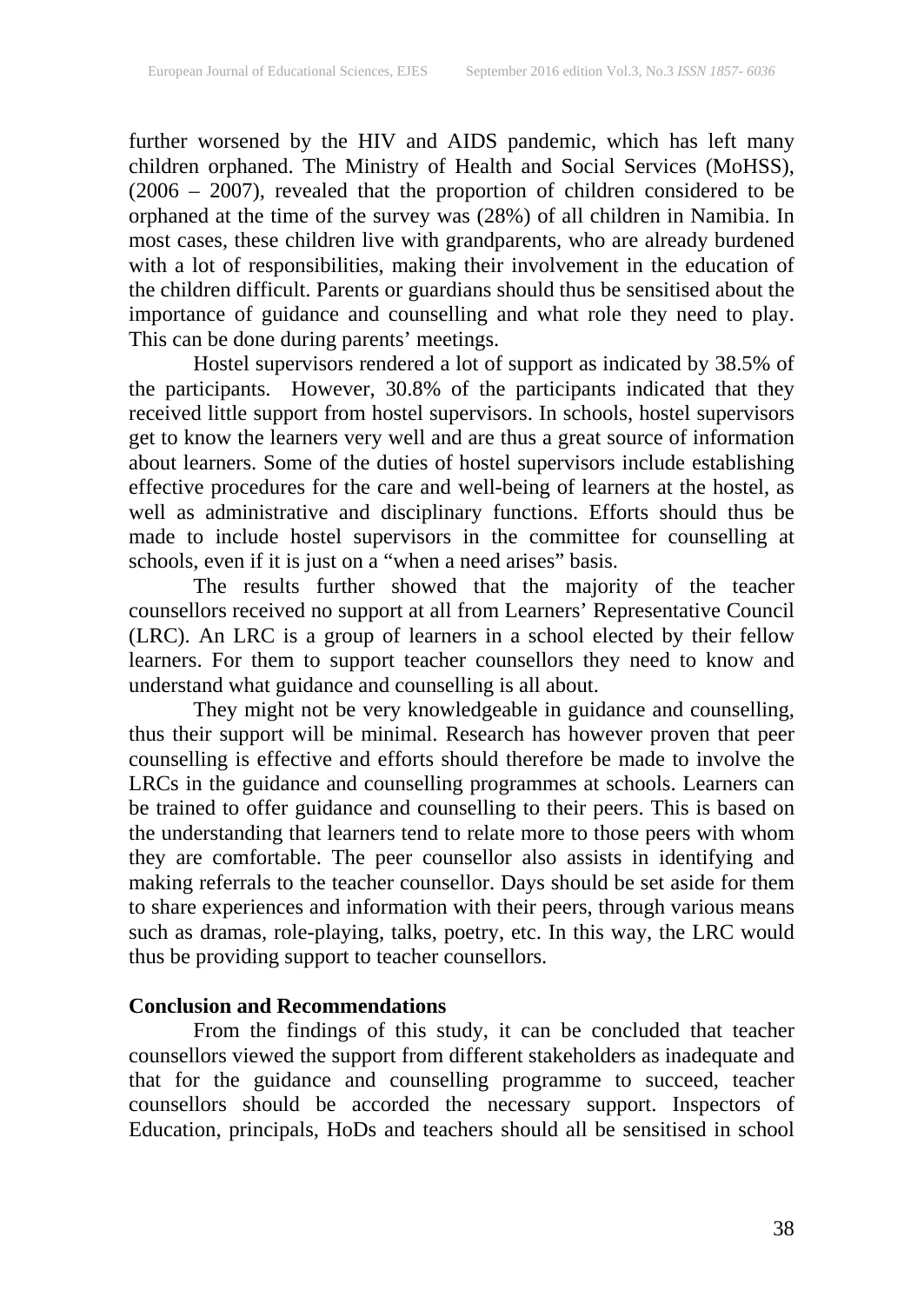further worsened by the HIV and AIDS pandemic, which has left many children orphaned. The Ministry of Health and Social Services (MoHSS), (2006 – 2007), revealed that the proportion of children considered to be orphaned at the time of the survey was (28%) of all children in Namibia. In most cases, these children live with grandparents, who are already burdened with a lot of responsibilities, making their involvement in the education of the children difficult. Parents or guardians should thus be sensitised about the importance of guidance and counselling and what role they need to play. This can be done during parents' meetings.

Hostel supervisors rendered a lot of support as indicated by 38.5% of the participants. However, 30.8% of the participants indicated that they received little support from hostel supervisors. In schools, hostel supervisors get to know the learners very well and are thus a great source of information about learners. Some of the duties of hostel supervisors include establishing effective procedures for the care and well-being of learners at the hostel, as well as administrative and disciplinary functions. Efforts should thus be made to include hostel supervisors in the committee for counselling at schools, even if it is just on a "when a need arises" basis.

The results further showed that the majority of the teacher counsellors received no support at all from Learners' Representative Council (LRC). An LRC is a group of learners in a school elected by their fellow learners. For them to support teacher counsellors they need to know and understand what guidance and counselling is all about.

They might not be very knowledgeable in guidance and counselling, thus their support will be minimal. Research has however proven that peer counselling is effective and efforts should therefore be made to involve the LRCs in the guidance and counselling programmes at schools. Learners can be trained to offer guidance and counselling to their peers. This is based on the understanding that learners tend to relate more to those peers with whom they are comfortable. The peer counsellor also assists in identifying and making referrals to the teacher counsellor. Days should be set aside for them to share experiences and information with their peers, through various means such as dramas, role-playing, talks, poetry, etc. In this way, the LRC would thus be providing support to teacher counsellors.

### **Conclusion and Recommendations**

From the findings of this study, it can be concluded that teacher counsellors viewed the support from different stakeholders as inadequate and that for the guidance and counselling programme to succeed, teacher counsellors should be accorded the necessary support. Inspectors of Education, principals, HoDs and teachers should all be sensitised in school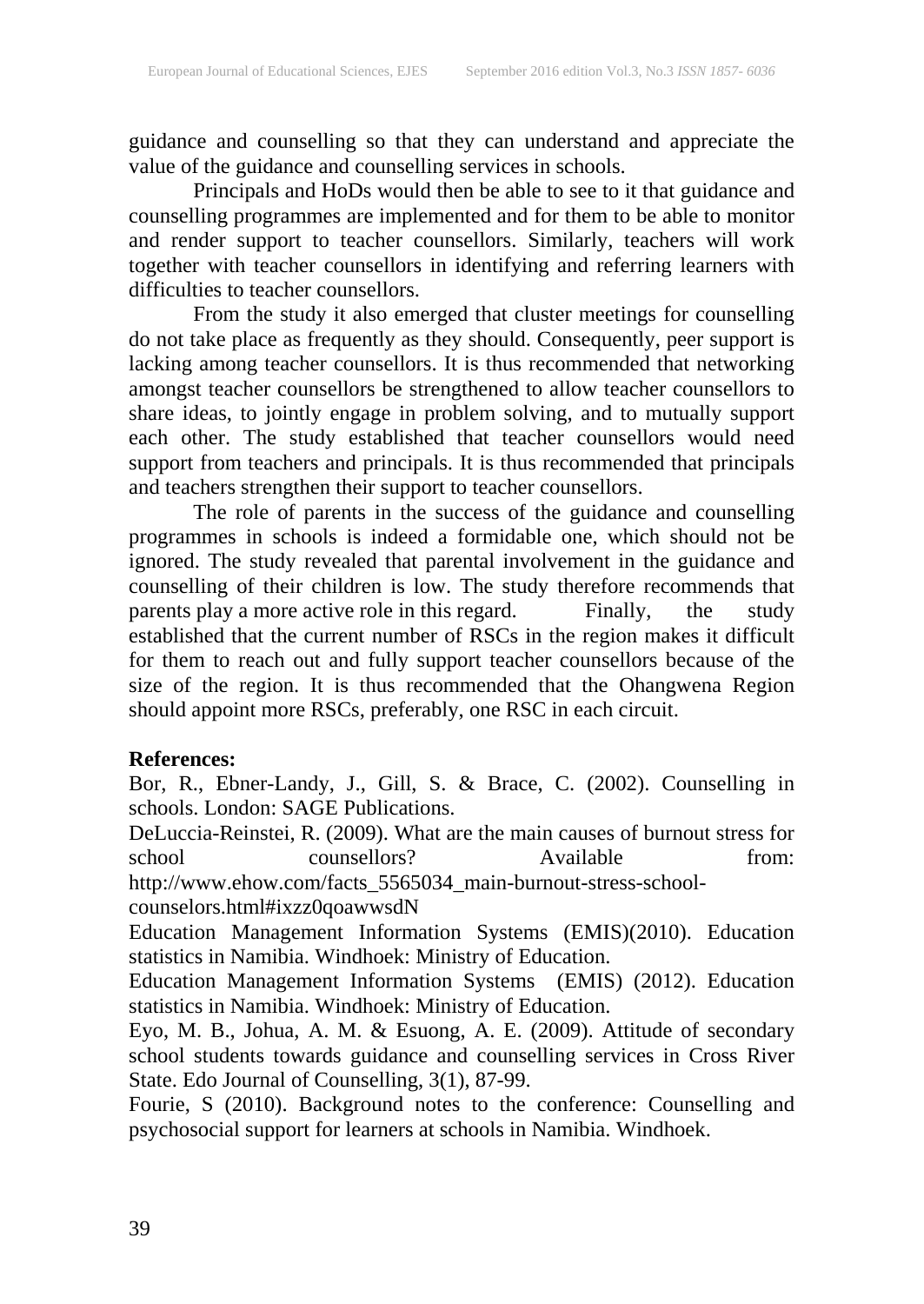guidance and counselling so that they can understand and appreciate the value of the guidance and counselling services in schools.

Principals and HoDs would then be able to see to it that guidance and counselling programmes are implemented and for them to be able to monitor and render support to teacher counsellors. Similarly, teachers will work together with teacher counsellors in identifying and referring learners with difficulties to teacher counsellors.

From the study it also emerged that cluster meetings for counselling do not take place as frequently as they should. Consequently, peer support is lacking among teacher counsellors. It is thus recommended that networking amongst teacher counsellors be strengthened to allow teacher counsellors to share ideas, to jointly engage in problem solving, and to mutually support each other. The study established that teacher counsellors would need support from teachers and principals. It is thus recommended that principals and teachers strengthen their support to teacher counsellors.

The role of parents in the success of the guidance and counselling programmes in schools is indeed a formidable one, which should not be ignored. The study revealed that parental involvement in the guidance and counselling of their children is low. The study therefore recommends that parents play a more active role in this regard. Finally, the study established that the current number of RSCs in the region makes it difficult for them to reach out and fully support teacher counsellors because of the size of the region. It is thus recommended that the Ohangwena Region should appoint more RSCs, preferably, one RSC in each circuit.

### **References:**

Bor, R., Ebner-Landy, J., Gill, S. & Brace, C. (2002). Counselling in schools. London: SAGE Publications.

DeLuccia-Reinstei, R. (2009). What are the main causes of burnout stress for school counsellors? Available from: http://www.ehow.com/facts\_5565034\_main-burnout-stress-school-

counselors.html#ixzz0qoawwsdN

Education Management Information Systems (EMIS)(2010). Education statistics in Namibia. Windhoek: Ministry of Education.

Education Management Information Systems (EMIS) (2012). Education statistics in Namibia. Windhoek: Ministry of Education.

Eyo, M. B., Johua, A. M. & Esuong, A. E. (2009). Attitude of secondary school students towards guidance and counselling services in Cross River State. Edo Journal of Counselling, 3(1), 87-99.

Fourie, S (2010). Background notes to the conference: Counselling and psychosocial support for learners at schools in Namibia. Windhoek.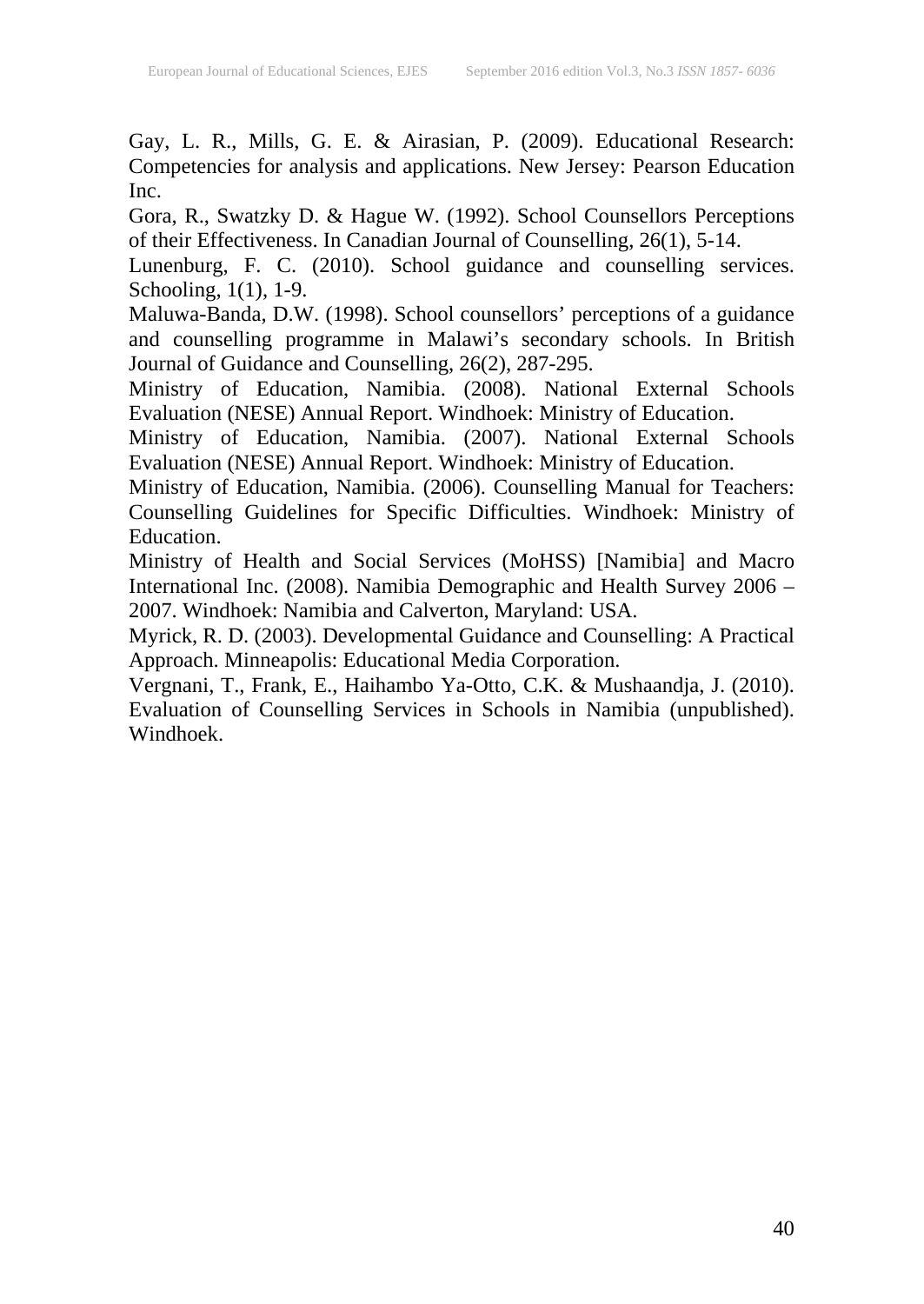Gay, L. R., Mills, G. E. & Airasian, P. (2009). Educational Research: Competencies for analysis and applications. New Jersey: Pearson Education Inc.

Gora, R., Swatzky D. & Hague W. (1992). School Counsellors Perceptions of their Effectiveness. In Canadian Journal of Counselling, 26(1), 5-14.

Lunenburg, F. C. (2010). School guidance and counselling services. Schooling, 1(1), 1-9.

Maluwa-Banda, D.W. (1998). School counsellors' perceptions of a guidance and counselling programme in Malawi's secondary schools. In British Journal of Guidance and Counselling, 26(2), 287-295.

Ministry of Education, Namibia. (2008). National External Schools Evaluation (NESE) Annual Report. Windhoek: Ministry of Education.

Ministry of Education, Namibia. (2007). National External Schools Evaluation (NESE) Annual Report. Windhoek: Ministry of Education.

Ministry of Education, Namibia. (2006). Counselling Manual for Teachers: Counselling Guidelines for Specific Difficulties. Windhoek: Ministry of Education.

Ministry of Health and Social Services (MoHSS) [Namibia] and Macro International Inc. (2008). Namibia Demographic and Health Survey 2006 – 2007. Windhoek: Namibia and Calverton, Maryland: USA.

Myrick, R. D. (2003). Developmental Guidance and Counselling: A Practical Approach. Minneapolis: Educational Media Corporation.

Vergnani, T., Frank, E., Haihambo Ya-Otto, C.K. & Mushaandja, J. (2010). Evaluation of Counselling Services in Schools in Namibia (unpublished). Windhoek.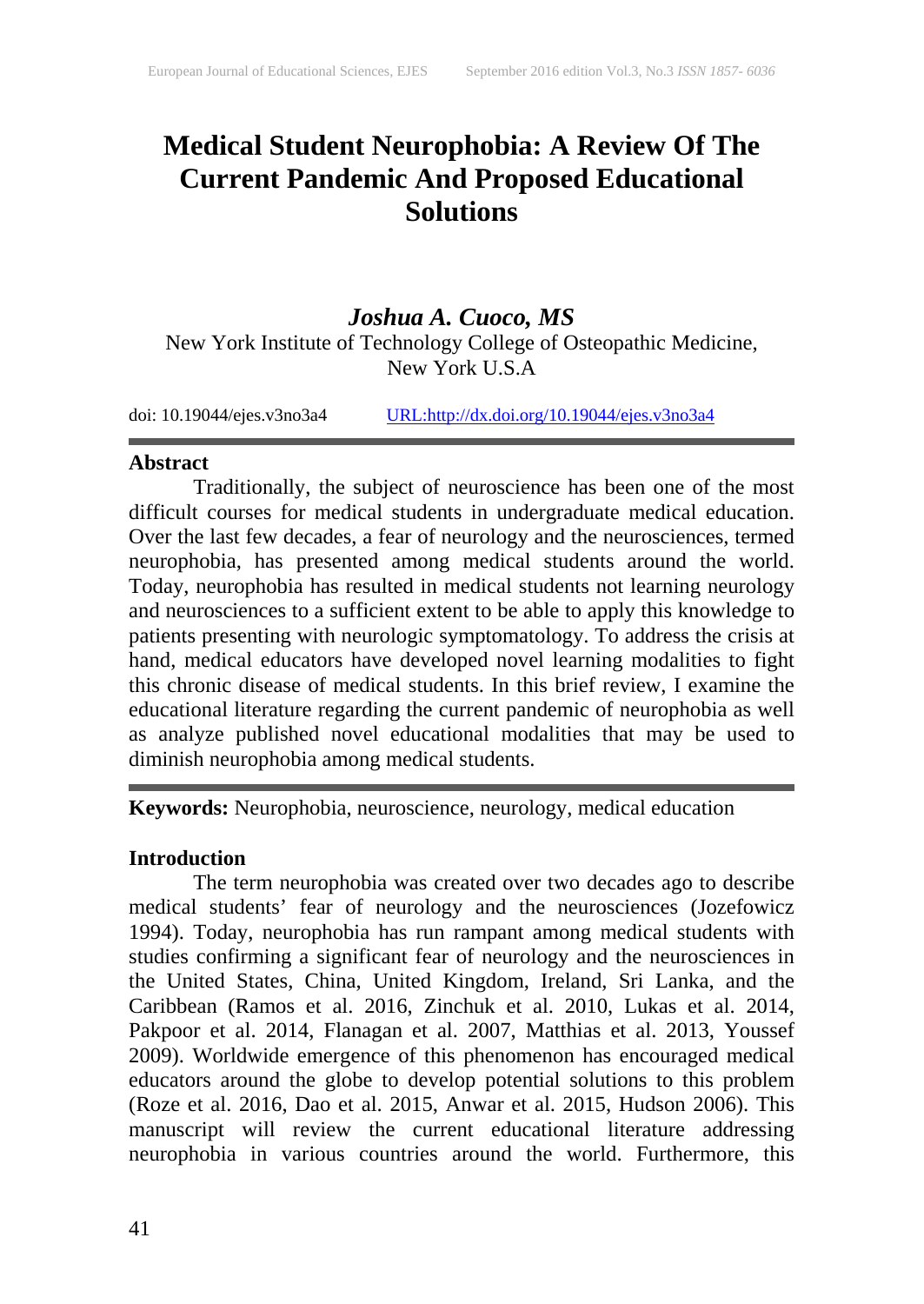### **Medical Student Neurophobia: A Review Of The Current Pandemic And Proposed Educational Solutions**

### *Joshua A. Cuoco, MS* New York Institute of Technology College of Osteopathic Medicine, New York U.S.A

doi: 10.19044/ejes.v3no3a4 [URL:http://dx.doi.org/10.19044/ejes.v3no3a4](http://dx.doi.org/10.19044/ejes.v3no3a4)

### **Abstract**

Traditionally, the subject of neuroscience has been one of the most difficult courses for medical students in undergraduate medical education. Over the last few decades, a fear of neurology and the neurosciences, termed neurophobia, has presented among medical students around the world. Today, neurophobia has resulted in medical students not learning neurology and neurosciences to a sufficient extent to be able to apply this knowledge to patients presenting with neurologic symptomatology. To address the crisis at hand, medical educators have developed novel learning modalities to fight this chronic disease of medical students. In this brief review, I examine the educational literature regarding the current pandemic of neurophobia as well as analyze published novel educational modalities that may be used to diminish neurophobia among medical students.

**Keywords:** Neurophobia, neuroscience, neurology, medical education

### **Introduction**

The term neurophobia was created over two decades ago to describe medical students' fear of neurology and the neurosciences (Jozefowicz 1994). Today, neurophobia has run rampant among medical students with studies confirming a significant fear of neurology and the neurosciences in the United States, China, United Kingdom, Ireland, Sri Lanka, and the Caribbean (Ramos et al. 2016, Zinchuk et al. 2010, Lukas et al. 2014, Pakpoor et al. 2014, Flanagan et al. 2007, Matthias et al. 2013, Youssef 2009). Worldwide emergence of this phenomenon has encouraged medical educators around the globe to develop potential solutions to this problem (Roze et al. 2016, Dao et al. 2015, Anwar et al. 2015, Hudson 2006). This manuscript will review the current educational literature addressing neurophobia in various countries around the world. Furthermore, this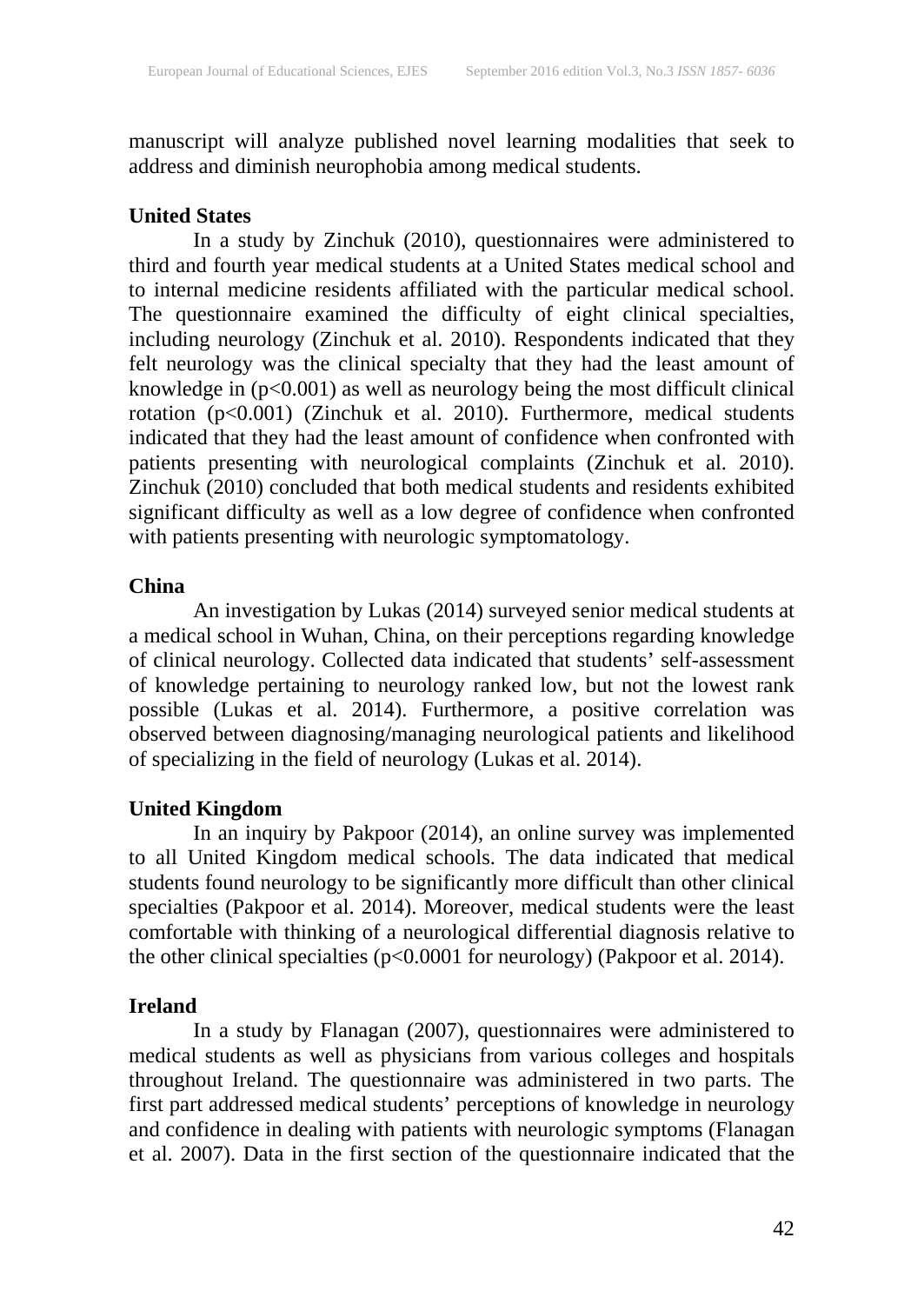manuscript will analyze published novel learning modalities that seek to address and diminish neurophobia among medical students.

### **United States**

In a study by Zinchuk (2010), questionnaires were administered to third and fourth year medical students at a United States medical school and to internal medicine residents affiliated with the particular medical school. The questionnaire examined the difficulty of eight clinical specialties, including neurology (Zinchuk et al. 2010). Respondents indicated that they felt neurology was the clinical specialty that they had the least amount of knowledge in (p<0.001) as well as neurology being the most difficult clinical rotation (p<0.001) (Zinchuk et al. 2010). Furthermore, medical students indicated that they had the least amount of confidence when confronted with patients presenting with neurological complaints (Zinchuk et al. 2010). Zinchuk (2010) concluded that both medical students and residents exhibited significant difficulty as well as a low degree of confidence when confronted with patients presenting with neurologic symptomatology.

### **China**

An investigation by Lukas (2014) surveyed senior medical students at a medical school in Wuhan, China, on their perceptions regarding knowledge of clinical neurology. Collected data indicated that students' self-assessment of knowledge pertaining to neurology ranked low, but not the lowest rank possible (Lukas et al. 2014). Furthermore, a positive correlation was observed between diagnosing/managing neurological patients and likelihood of specializing in the field of neurology (Lukas et al. 2014).

### **United Kingdom**

In an inquiry by Pakpoor (2014), an online survey was implemented to all United Kingdom medical schools. The data indicated that medical students found neurology to be significantly more difficult than other clinical specialties (Pakpoor et al. 2014). Moreover, medical students were the least comfortable with thinking of a neurological differential diagnosis relative to the other clinical specialties (p<0.0001 for neurology) (Pakpoor et al. 2014).

### **Ireland**

In a study by Flanagan (2007), questionnaires were administered to medical students as well as physicians from various colleges and hospitals throughout Ireland. The questionnaire was administered in two parts. The first part addressed medical students' perceptions of knowledge in neurology and confidence in dealing with patients with neurologic symptoms (Flanagan et al. 2007). Data in the first section of the questionnaire indicated that the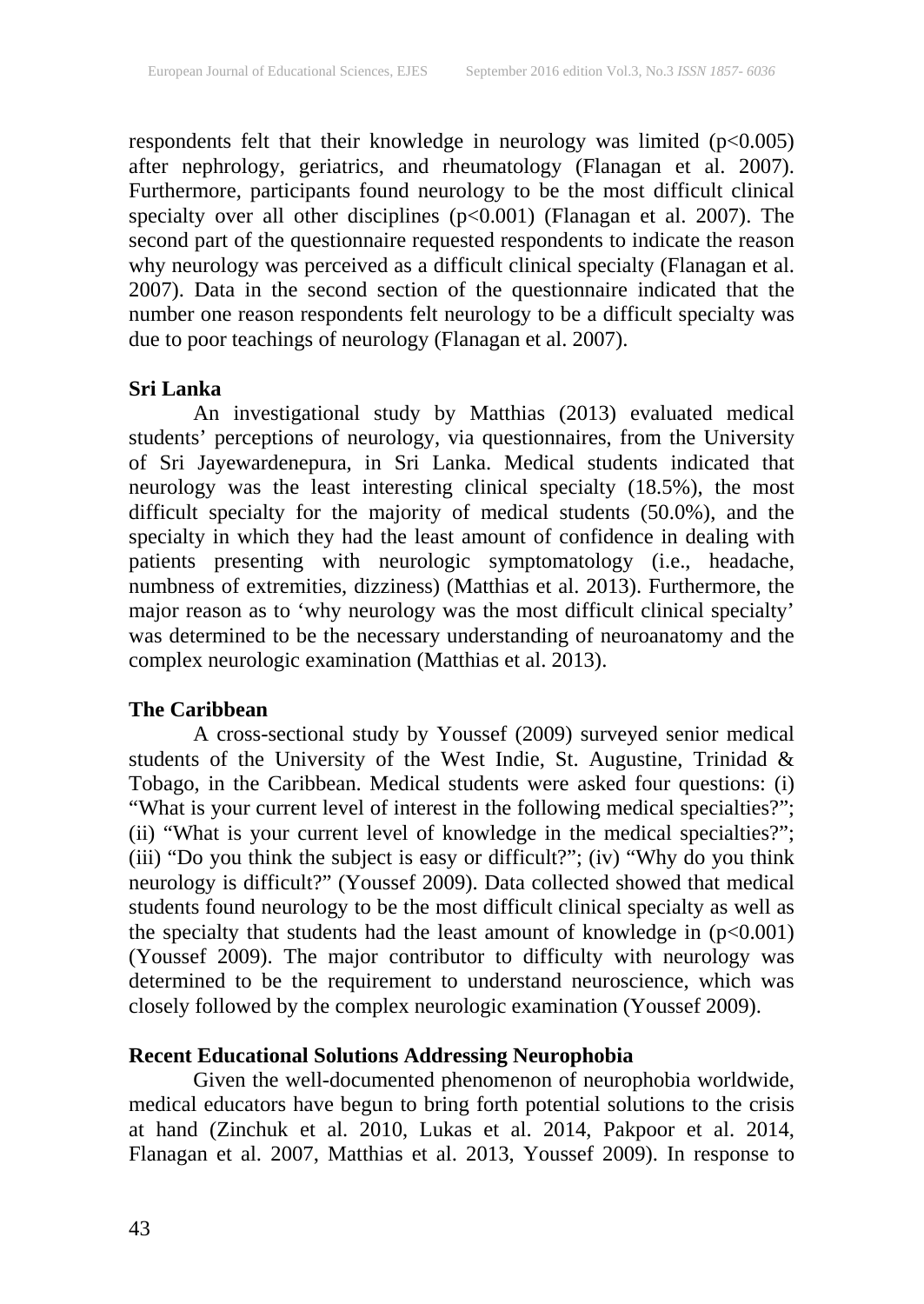respondents felt that their knowledge in neurology was limited (p<0.005) after nephrology, geriatrics, and rheumatology (Flanagan et al. 2007). Furthermore, participants found neurology to be the most difficult clinical specialty over all other disciplines (p<0.001) (Flanagan et al. 2007). The second part of the questionnaire requested respondents to indicate the reason why neurology was perceived as a difficult clinical specialty (Flanagan et al. 2007). Data in the second section of the questionnaire indicated that the number one reason respondents felt neurology to be a difficult specialty was due to poor teachings of neurology (Flanagan et al. 2007).

### **Sri Lanka**

An investigational study by Matthias (2013) evaluated medical students' perceptions of neurology, via questionnaires, from the University of Sri Jayewardenepura, in Sri Lanka. Medical students indicated that neurology was the least interesting clinical specialty (18.5%), the most difficult specialty for the majority of medical students (50.0%), and the specialty in which they had the least amount of confidence in dealing with patients presenting with neurologic symptomatology (i.e., headache, numbness of extremities, dizziness) (Matthias et al. 2013). Furthermore, the major reason as to 'why neurology was the most difficult clinical specialty' was determined to be the necessary understanding of neuroanatomy and the complex neurologic examination (Matthias et al. 2013).

### **The Caribbean**

A cross-sectional study by Youssef (2009) surveyed senior medical students of the University of the West Indie, St. Augustine, Trinidad & Tobago, in the Caribbean. Medical students were asked four questions: (i) "What is your current level of interest in the following medical specialties?"; (ii) "What is your current level of knowledge in the medical specialties?"; (iii) "Do you think the subject is easy or difficult?"; (iv) "Why do you think neurology is difficult?" (Youssef 2009). Data collected showed that medical students found neurology to be the most difficult clinical specialty as well as the specialty that students had the least amount of knowledge in  $(p<0.001)$ (Youssef 2009). The major contributor to difficulty with neurology was determined to be the requirement to understand neuroscience, which was closely followed by the complex neurologic examination (Youssef 2009).

### **Recent Educational Solutions Addressing Neurophobia**

Given the well-documented phenomenon of neurophobia worldwide, medical educators have begun to bring forth potential solutions to the crisis at hand (Zinchuk et al. 2010, Lukas et al. 2014, Pakpoor et al. 2014, Flanagan et al. 2007, Matthias et al. 2013, Youssef 2009). In response to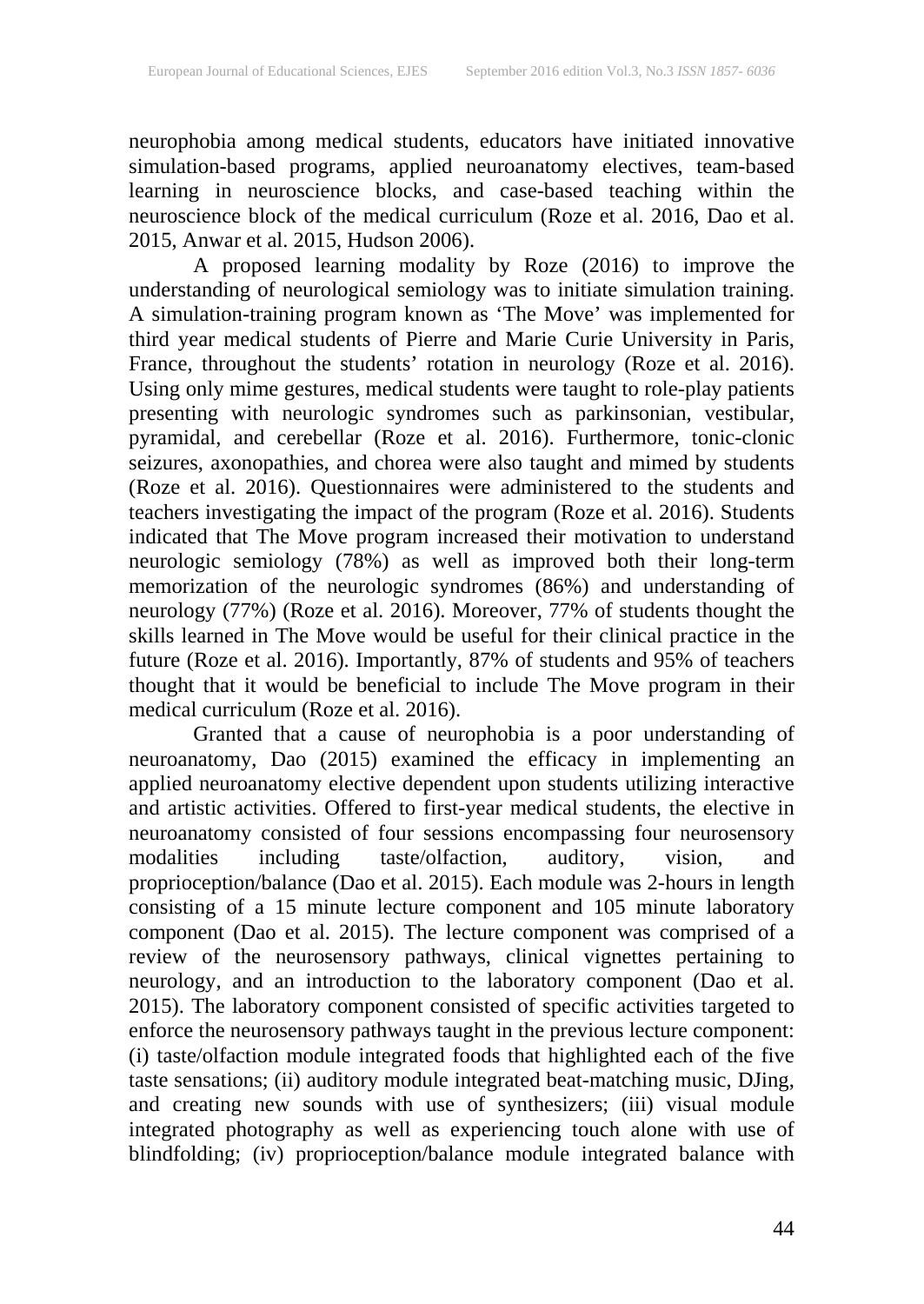neurophobia among medical students, educators have initiated innovative simulation-based programs, applied neuroanatomy electives, team-based learning in neuroscience blocks, and case-based teaching within the neuroscience block of the medical curriculum (Roze et al. 2016, Dao et al. 2015, Anwar et al. 2015, Hudson 2006).

A proposed learning modality by Roze (2016) to improve the understanding of neurological semiology was to initiate simulation training. A simulation-training program known as 'The Move' was implemented for third year medical students of Pierre and Marie Curie University in Paris, France, throughout the students' rotation in neurology (Roze et al. 2016). Using only mime gestures, medical students were taught to role-play patients presenting with neurologic syndromes such as parkinsonian, vestibular, pyramidal, and cerebellar (Roze et al. 2016). Furthermore, tonic-clonic seizures, axonopathies, and chorea were also taught and mimed by students (Roze et al. 2016). Questionnaires were administered to the students and teachers investigating the impact of the program (Roze et al. 2016). Students indicated that The Move program increased their motivation to understand neurologic semiology (78%) as well as improved both their long-term memorization of the neurologic syndromes (86%) and understanding of neurology (77%) (Roze et al. 2016). Moreover, 77% of students thought the skills learned in The Move would be useful for their clinical practice in the future (Roze et al. 2016). Importantly, 87% of students and 95% of teachers thought that it would be beneficial to include The Move program in their medical curriculum (Roze et al. 2016).

Granted that a cause of neurophobia is a poor understanding of neuroanatomy, Dao (2015) examined the efficacy in implementing an applied neuroanatomy elective dependent upon students utilizing interactive and artistic activities. Offered to first-year medical students, the elective in neuroanatomy consisted of four sessions encompassing four neurosensory modalities including taste/olfaction, auditory, vision, and proprioception/balance (Dao et al. 2015). Each module was 2-hours in length consisting of a 15 minute lecture component and 105 minute laboratory component (Dao et al. 2015). The lecture component was comprised of a review of the neurosensory pathways, clinical vignettes pertaining to neurology, and an introduction to the laboratory component (Dao et al. 2015). The laboratory component consisted of specific activities targeted to enforce the neurosensory pathways taught in the previous lecture component: (i) taste/olfaction module integrated foods that highlighted each of the five taste sensations; (ii) auditory module integrated beat-matching music, DJing, and creating new sounds with use of synthesizers; (iii) visual module integrated photography as well as experiencing touch alone with use of blindfolding; (iv) proprioception/balance module integrated balance with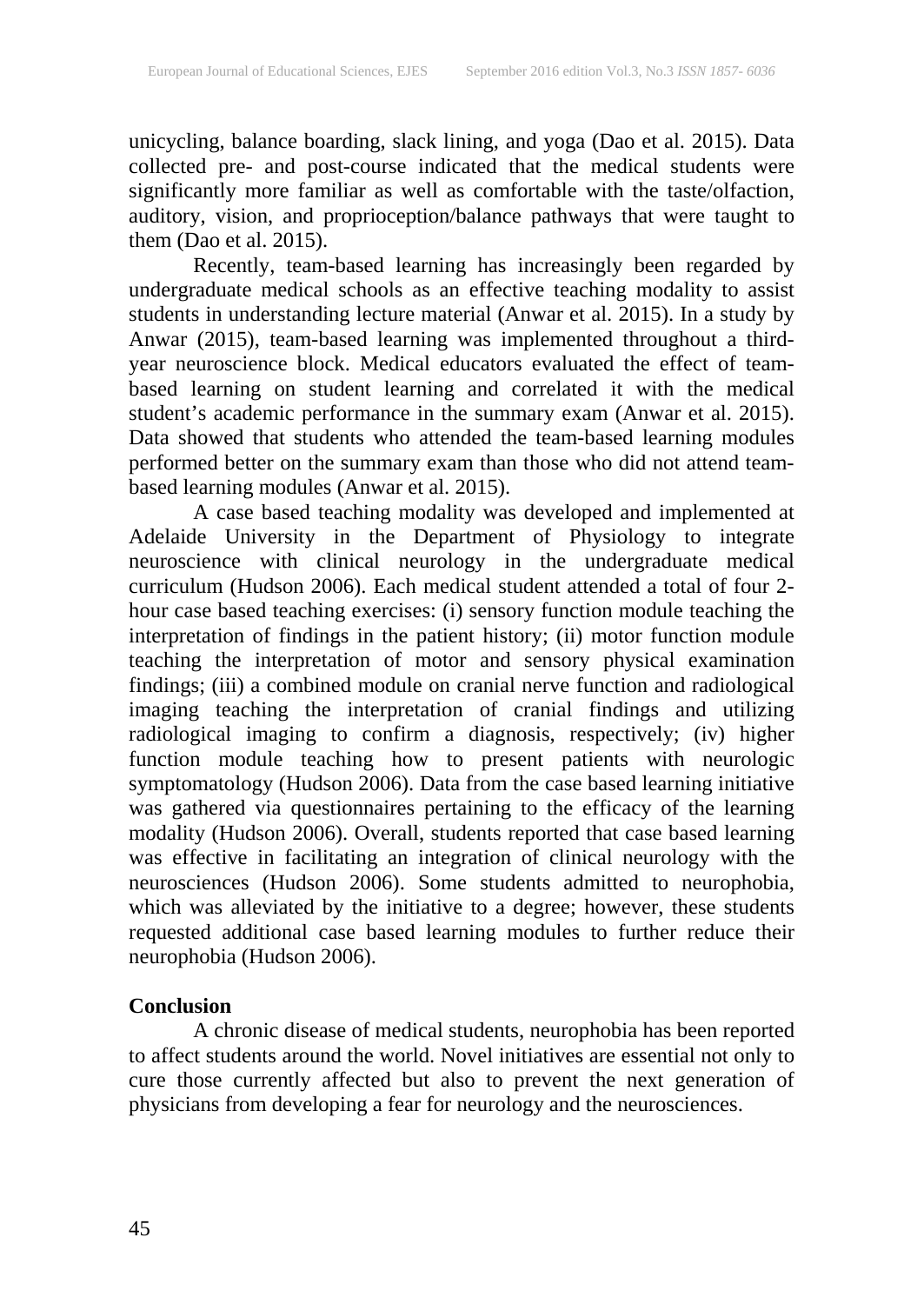unicycling, balance boarding, slack lining, and yoga (Dao et al. 2015). Data collected pre- and post-course indicated that the medical students were significantly more familiar as well as comfortable with the taste/olfaction, auditory, vision, and proprioception/balance pathways that were taught to them  $(Dao et al. 2015)$ .

Recently, team-based learning has increasingly been regarded by undergraduate medical schools as an effective teaching modality to assist students in understanding lecture material (Anwar et al. 2015). In a study by Anwar (2015), team-based learning was implemented throughout a thirdyear neuroscience block. Medical educators evaluated the effect of teambased learning on student learning and correlated it with the medical student's academic performance in the summary exam (Anwar et al. 2015). Data showed that students who attended the team-based learning modules performed better on the summary exam than those who did not attend teambased learning modules (Anwar et al. 2015).

A case based teaching modality was developed and implemented at Adelaide University in the Department of Physiology to integrate neuroscience with clinical neurology in the undergraduate medical curriculum (Hudson 2006). Each medical student attended a total of four 2 hour case based teaching exercises: (i) sensory function module teaching the interpretation of findings in the patient history; (ii) motor function module teaching the interpretation of motor and sensory physical examination findings; (iii) a combined module on cranial nerve function and radiological imaging teaching the interpretation of cranial findings and utilizing radiological imaging to confirm a diagnosis, respectively; (iv) higher function module teaching how to present patients with neurologic symptomatology (Hudson 2006). Data from the case based learning initiative was gathered via questionnaires pertaining to the efficacy of the learning modality (Hudson 2006). Overall, students reported that case based learning was effective in facilitating an integration of clinical neurology with the neurosciences (Hudson 2006). Some students admitted to neurophobia, which was alleviated by the initiative to a degree; however, these students requested additional case based learning modules to further reduce their neurophobia (Hudson 2006).

### **Conclusion**

A chronic disease of medical students, neurophobia has been reported to affect students around the world. Novel initiatives are essential not only to cure those currently affected but also to prevent the next generation of physicians from developing a fear for neurology and the neurosciences.